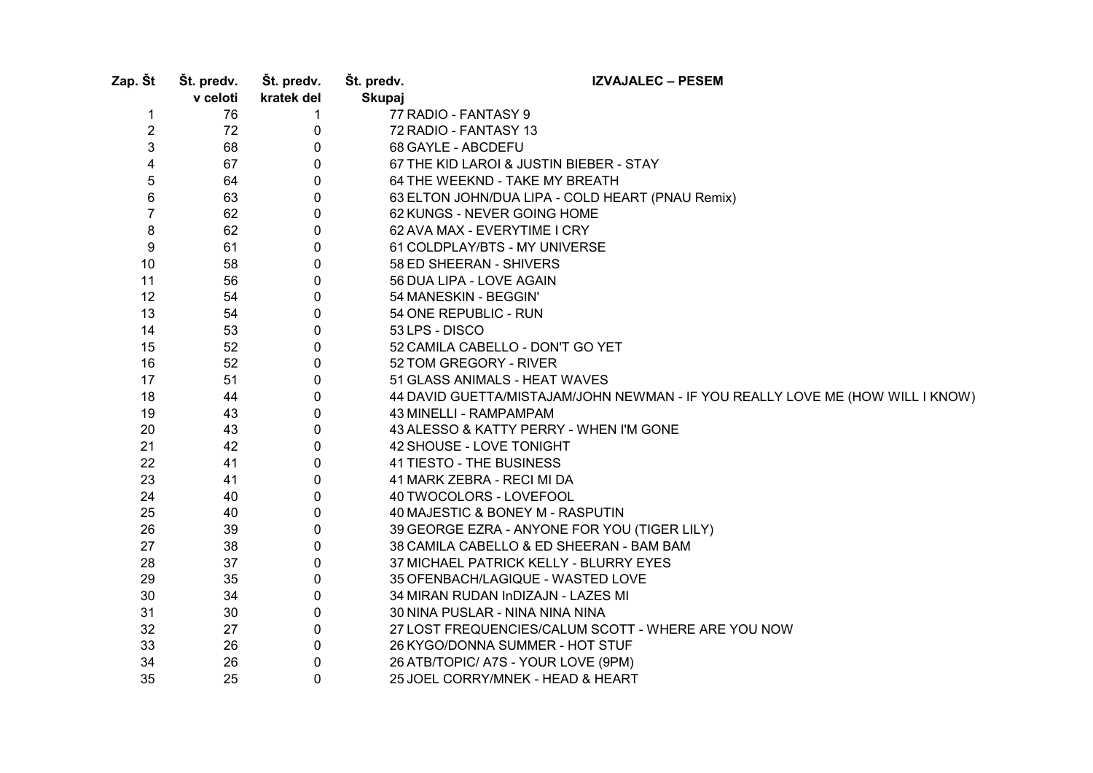| Zap. Št        | Št. predv.<br>v celoti | Št. predv.<br>kratek del | Št. predv.<br><b>Skupaj</b> | <b>IZVAJALEC - PESEM</b>                                                       |
|----------------|------------------------|--------------------------|-----------------------------|--------------------------------------------------------------------------------|
| 1              | 76                     | $\mathbf{1}$             |                             | 77 RADIO - FANTASY 9                                                           |
| $\overline{c}$ | 72                     | 0                        |                             | 72 RADIO - FANTASY 13                                                          |
| 3              | 68                     | 0                        |                             | 68 GAYLE - ABCDEFU                                                             |
| 4              | 67                     | 0                        |                             | 67 THE KID LAROI & JUSTIN BIEBER - STAY                                        |
| 5              | 64                     | 0                        |                             | 64 THE WEEKND - TAKE MY BREATH                                                 |
| 6              | 63                     | $\mathbf 0$              |                             | 63 ELTON JOHN/DUA LIPA - COLD HEART (PNAU Remix)                               |
| $\overline{7}$ | 62                     | $\mathbf 0$              |                             | 62 KUNGS - NEVER GOING HOME                                                    |
| 8              | 62                     | 0                        |                             | 62 AVA MAX - EVERYTIME I CRY                                                   |
| 9              | 61                     | 0                        |                             | 61 COLDPLAY/BTS - MY UNIVERSE                                                  |
| 10             | 58                     | 0                        |                             | 58 ED SHEERAN - SHIVERS                                                        |
| 11             | 56                     | 0                        |                             | 56 DUA LIPA - LOVE AGAIN                                                       |
| 12             | 54                     | 0                        |                             | 54 MANESKIN - BEGGIN'                                                          |
| 13             | 54                     | 0                        |                             | 54 ONE REPUBLIC - RUN                                                          |
| 14             | 53                     | 0                        |                             | 53 LPS - DISCO                                                                 |
| 15             | 52                     | 0                        |                             | 52 CAMILA CABELLO - DON'T GO YET                                               |
| 16             | 52                     | 0                        |                             | 52 TOM GREGORY - RIVER                                                         |
| 17             | 51                     | 0                        |                             | 51 GLASS ANIMALS - HEAT WAVES                                                  |
| 18             | 44                     | 0                        |                             | 44 DAVID GUETTA/MISTAJAM/JOHN NEWMAN - IF YOU REALLY LOVE ME (HOW WILL I KNOW) |
| 19             | 43                     | 0                        |                             | 43 MINELLI - RAMPAMPAM                                                         |
| 20             | 43                     | 0                        |                             | 43 ALESSO & KATTY PERRY - WHEN I'M GONE                                        |
| 21             | 42                     | 0                        |                             | 42 SHOUSE - LOVE TONIGHT                                                       |
| 22             | 41                     | 0                        |                             | 41 TIESTO - THE BUSINESS                                                       |
| 23             | 41                     | 0                        |                             | 41 MARK ZEBRA - RECI MI DA                                                     |
| 24             | 40                     | 0                        |                             | 40 TWOCOLORS - LOVEFOOL                                                        |
| 25             | 40                     | 0                        |                             | 40 MAJESTIC & BONEY M - RASPUTIN                                               |
| 26             | 39                     | 0                        |                             | 39 GEORGE EZRA - ANYONE FOR YOU (TIGER LILY)                                   |
| 27             | 38                     | 0                        |                             | 38 CAMILA CABELLO & ED SHEERAN - BAM BAM                                       |
| 28             | 37                     | 0                        |                             | 37 MICHAEL PATRICK KELLY - BLURRY EYES                                         |
| 29             | 35                     | 0                        |                             | 35 OFENBACH/LAGIQUE - WASTED LOVE                                              |
| 30             | 34                     | 0                        |                             | 34 MIRAN RUDAN InDIZAJN - LAZES MI                                             |
| 31             | 30                     | 0                        |                             | 30 NINA PUSLAR - NINA NINA NINA                                                |
| 32             | 27                     | $\pmb{0}$                |                             | 27 LOST FREQUENCIES/CALUM SCOTT - WHERE ARE YOU NOW                            |
| 33             | 26                     | 0                        |                             | 26 KYGO/DONNA SUMMER - HOT STUF                                                |
| 34             | 26                     | 0                        |                             | 26 ATB/TOPIC/ A7S - YOUR LOVE (9PM)                                            |
| 35             | 25                     | $\mathbf{0}$             |                             | 25 JOEL CORRY/MNEK - HEAD & HEART                                              |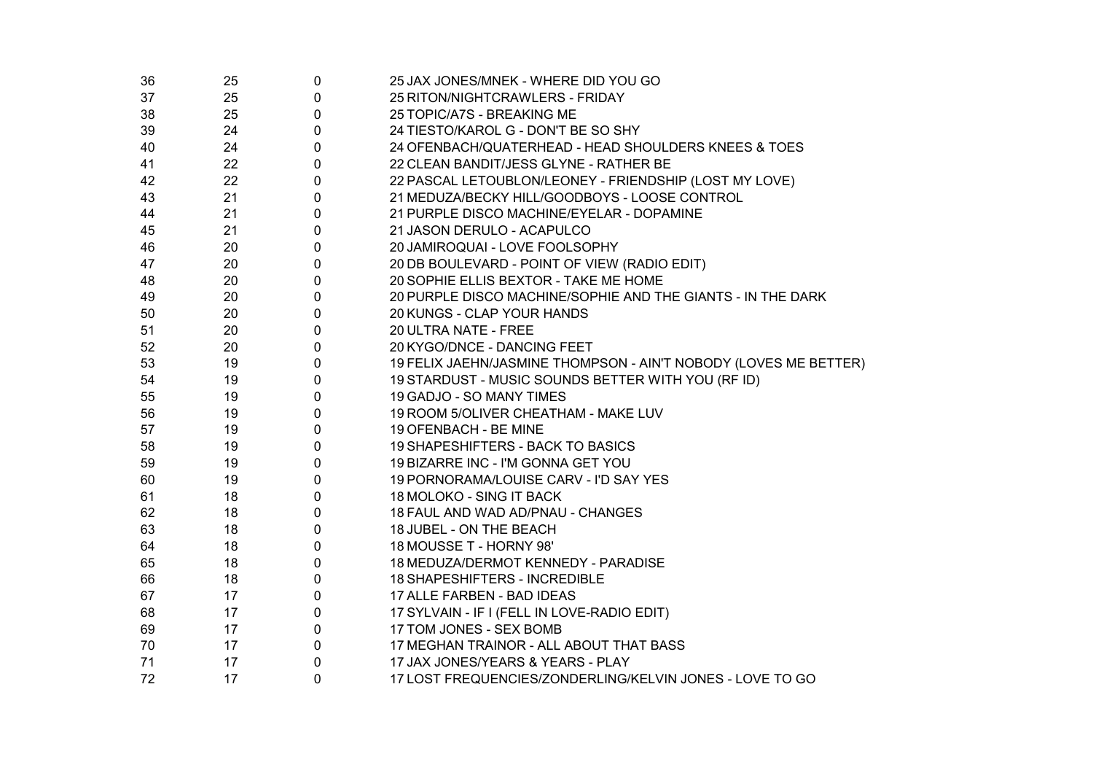| 36 | 25 | 0           | 25 JAX JONES/MNEK - WHERE DID YOU GO                             |
|----|----|-------------|------------------------------------------------------------------|
| 37 | 25 | 0           | 25 RITON/NIGHTCRAWLERS - FRIDAY                                  |
| 38 | 25 | 0           | 25 TOPIC/A7S - BREAKING ME                                       |
| 39 | 24 | $\mathbf 0$ | 24 TIESTO/KAROL G - DON'T BE SO SHY                              |
| 40 | 24 | 0           | 24 OFENBACH/QUATERHEAD - HEAD SHOULDERS KNEES & TOES             |
| 41 | 22 | 0           | 22 CLEAN BANDIT/JESS GLYNE - RATHER BE                           |
| 42 | 22 | 0           | 22 PASCAL LETOUBLON/LEONEY - FRIENDSHIP (LOST MY LOVE)           |
| 43 | 21 | $\mathbf 0$ | 21 MEDUZA/BECKY HILL/GOODBOYS - LOOSE CONTROL                    |
| 44 | 21 | 0           | 21 PURPLE DISCO MACHINE/EYELAR - DOPAMINE                        |
| 45 | 21 | $\mathbf 0$ | 21 JASON DERULO - ACAPULCO                                       |
| 46 | 20 | $\mathbf 0$ | 20 JAMIROQUAI - LOVE FOOLSOPHY                                   |
| 47 | 20 | $\mathbf 0$ | 20 DB BOULEVARD - POINT OF VIEW (RADIO EDIT)                     |
| 48 | 20 | $\mathbf 0$ | 20 SOPHIE ELLIS BEXTOR - TAKE ME HOME                            |
| 49 | 20 | $\mathbf 0$ | 20 PURPLE DISCO MACHINE/SOPHIE AND THE GIANTS - IN THE DARK      |
| 50 | 20 | $\mathbf 0$ | 20 KUNGS - CLAP YOUR HANDS                                       |
| 51 | 20 | 0           | 20 ULTRA NATE - FREE                                             |
| 52 | 20 | 0           | 20 KYGO/DNCE - DANCING FEET                                      |
| 53 | 19 | 0           | 19 FELIX JAEHN/JASMINE THOMPSON - AIN'T NOBODY (LOVES ME BETTER) |
| 54 | 19 | 0           | 19 STARDUST - MUSIC SOUNDS BETTER WITH YOU (RF ID)               |
| 55 | 19 | 0           | 19 GADJO - SO MANY TIMES                                         |
| 56 | 19 | 0           | 19 ROOM 5/OLIVER CHEATHAM - MAKE LUV                             |
| 57 | 19 | 0           | 19 OFENBACH - BE MINE                                            |
| 58 | 19 | 0           | 19 SHAPESHIFTERS - BACK TO BASICS                                |
| 59 | 19 | 0           | 19 BIZARRE INC - I'M GONNA GET YOU                               |
| 60 | 19 | 0           | 19 PORNORAMA/LOUISE CARV - I'D SAY YES                           |
| 61 | 18 | 0           | 18 MOLOKO - SING IT BACK                                         |
| 62 | 18 | 0           | 18 FAUL AND WAD AD/PNAU - CHANGES                                |
| 63 | 18 | 0           | 18 JUBEL - ON THE BEACH                                          |
| 64 | 18 | 0           | 18 MOUSSE T - HORNY 98'                                          |
| 65 | 18 | 0           | 18 MEDUZA/DERMOT KENNEDY - PARADISE                              |
| 66 | 18 | 0           | 18 SHAPESHIFTERS - INCREDIBLE                                    |
| 67 | 17 | 0           | 17 ALLE FARBEN - BAD IDEAS                                       |
| 68 | 17 | 0           | 17 SYLVAIN - IF I (FELL IN LOVE-RADIO EDIT)                      |
| 69 | 17 | 0           | 17 TOM JONES - SEX BOMB                                          |
| 70 | 17 | 0           | 17 MEGHAN TRAINOR - ALL ABOUT THAT BASS                          |
| 71 | 17 | 0           | 17 JAX JONES/YEARS & YEARS - PLAY                                |
| 72 | 17 | 0           | 17 LOST FREQUENCIES/ZONDERLING/KELVIN JONES - LOVE TO GO         |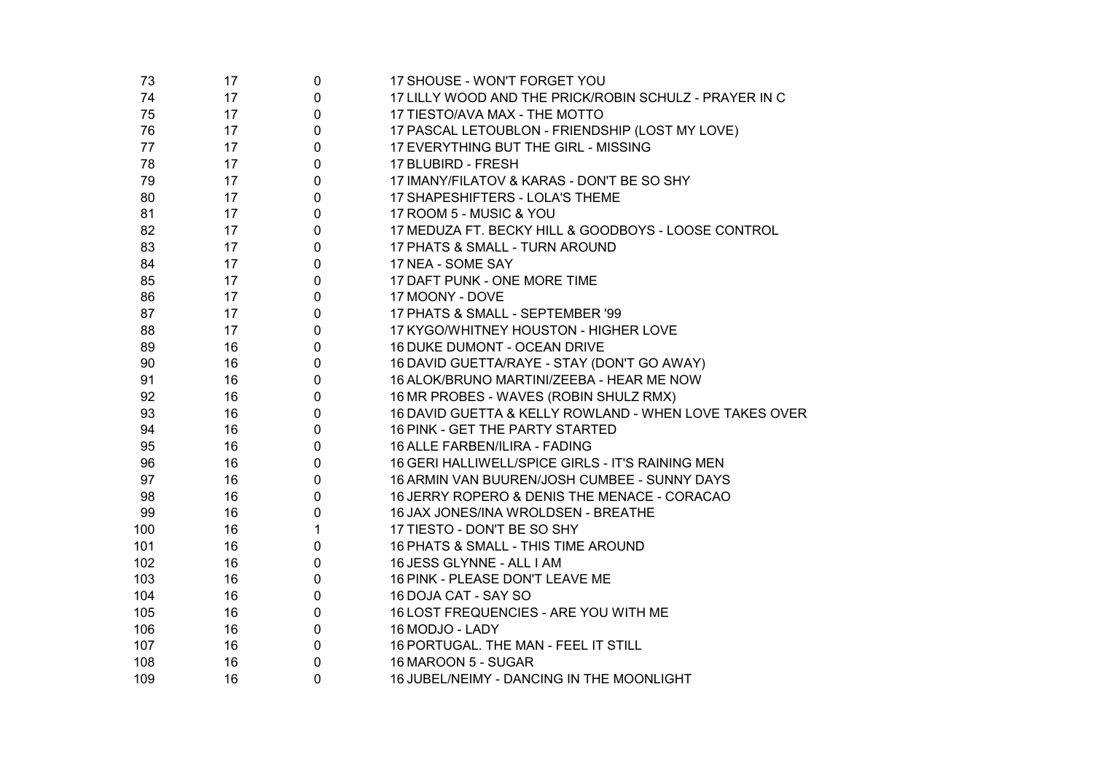| 73  | 17 | 0            | 17 SHOUSE - WON'T FORGET YOU                           |
|-----|----|--------------|--------------------------------------------------------|
| 74  | 17 | 0            | 17 LILLY WOOD AND THE PRICK/ROBIN SCHULZ - PRAYER IN C |
| 75  | 17 | 0            | 17 TIESTO/AVA MAX - THE MOTTO                          |
| 76  | 17 | 0            | 17 PASCAL LETOUBLON - FRIENDSHIP (LOST MY LOVE)        |
| 77  | 17 | 0            | 17 EVERYTHING BUT THE GIRL - MISSING                   |
| 78  | 17 | 0            | 17 BLUBIRD - FRESH                                     |
| 79  | 17 | 0            | 17 IMANY/FILATOV & KARAS - DON'T BE SO SHY             |
| 80  | 17 | 0            | 17 SHAPESHIFTERS - LOLA'S THEME                        |
| 81  | 17 | $\mathbf 0$  | 17 ROOM 5 - MUSIC & YOU                                |
| 82  | 17 | 0            | 17 MEDUZA FT. BECKY HILL & GOODBOYS - LOOSE CONTROL    |
| 83  | 17 | 0            | 17 PHATS & SMALL - TURN AROUND                         |
| 84  | 17 | 0            | 17 NEA - SOME SAY                                      |
| 85  | 17 | 0            | 17 DAFT PUNK - ONE MORE TIME                           |
| 86  | 17 | 0            | 17 MOONY - DOVE                                        |
| 87  | 17 | 0            | 17 PHATS & SMALL - SEPTEMBER '99                       |
| 88  | 17 | 0            | 17 KYGO/WHITNEY HOUSTON - HIGHER LOVE                  |
| 89  | 16 | 0            | 16 DUKE DUMONT - OCEAN DRIVE                           |
| 90  | 16 | 0            | 16 DAVID GUETTA/RAYE - STAY (DON'T GO AWAY)            |
| 91  | 16 | 0            | 16 ALOK/BRUNO MARTINI/ZEEBA - HEAR ME NOW              |
| 92  | 16 | 0            | 16 MR PROBES - WAVES (ROBIN SHULZ RMX)                 |
| 93  | 16 | 0            | 16 DAVID GUETTA & KELLY ROWLAND - WHEN LOVE TAKES OVER |
| 94  | 16 | 0            | 16 PINK - GET THE PARTY STARTED                        |
| 95  | 16 | 0            | 16 ALLE FARBEN/ILIRA - FADING                          |
| 96  | 16 | 0            | 16 GERI HALLIWELL/SPICE GIRLS - IT'S RAINING MEN       |
| 97  | 16 | 0            | 16 ARMIN VAN BUUREN/JOSH CUMBEE - SUNNY DAYS           |
| 98  | 16 | 0            | 16 JERRY ROPERO & DENIS THE MENACE - CORACAO           |
| 99  | 16 | 0            | 16 JAX JONES/INA WROLDSEN - BREATHE                    |
| 100 | 16 | $\mathbf{1}$ | 17 TIESTO - DON'T BE SO SHY                            |
| 101 | 16 | 0            | 16 PHATS & SMALL - THIS TIME AROUND                    |
| 102 | 16 | 0            | 16 JESS GLYNNE - ALL I AM                              |
| 103 | 16 | 0            | 16 PINK - PLEASE DON'T LEAVE ME                        |
| 104 | 16 | 0            | 16 DOJA CAT - SAY SO                                   |
| 105 | 16 | 0            | 16 LOST FREQUENCIES - ARE YOU WITH ME                  |
| 106 | 16 | 0            | 16 MODJO - LADY                                        |
| 107 | 16 | 0            | 16 PORTUGAL. THE MAN - FEEL IT STILL                   |
| 108 | 16 | 0            | 16 MAROON 5 - SUGAR                                    |
| 109 | 16 | $\mathbf 0$  | 16 JUBEL/NEIMY - DANCING IN THE MOONLIGHT              |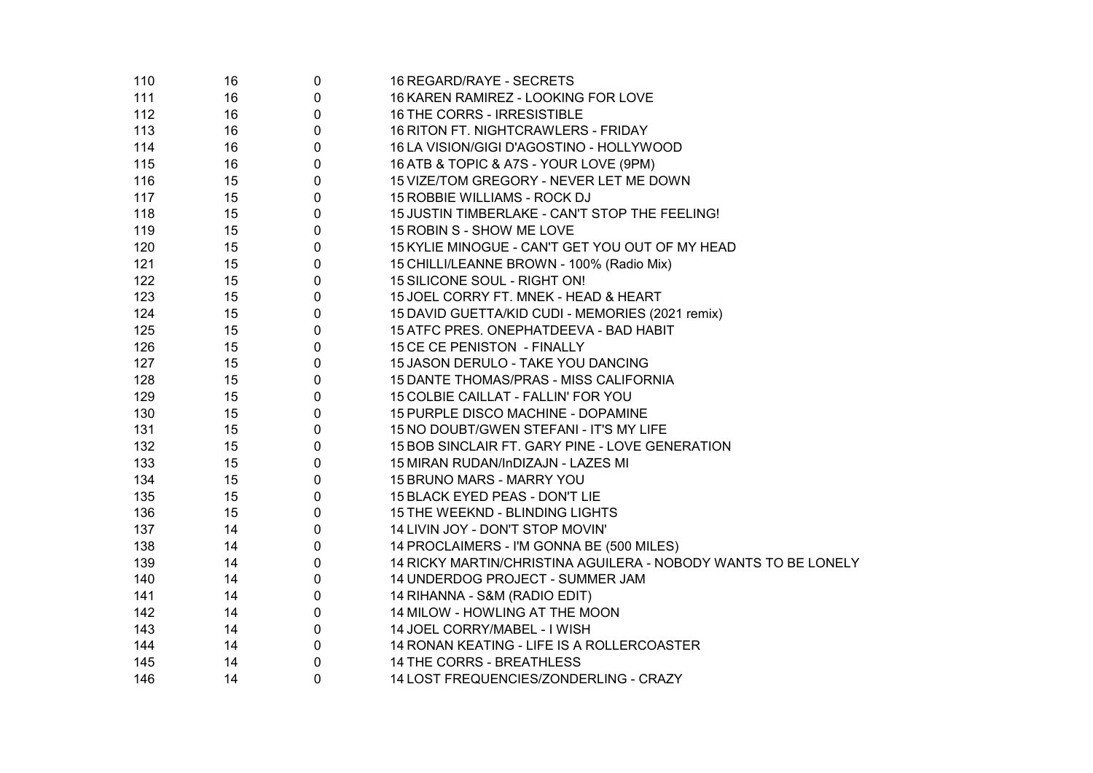| 110 | 16 | 0                | 16 REGARD/RAYE - SECRETS                                       |
|-----|----|------------------|----------------------------------------------------------------|
| 111 | 16 | 0                | 16 KAREN RAMIREZ - LOOKING FOR LOVE                            |
| 112 | 16 | 0                | 16 THE CORRS - IRRESISTIBLE                                    |
| 113 | 16 | 0                | 16 RITON FT. NIGHTCRAWLERS - FRIDAY                            |
| 114 | 16 | $\boldsymbol{0}$ | 16 LA VISION/GIGI D'AGOSTINO - HOLLYWOOD                       |
| 115 | 16 | 0                | 16 ATB & TOPIC & A7S - YOUR LOVE (9PM)                         |
| 116 | 15 | 0                | 15 VIZE/TOM GREGORY - NEVER LET ME DOWN                        |
| 117 | 15 | 0                | 15 ROBBIE WILLIAMS - ROCK DJ                                   |
| 118 | 15 | $\mathbf 0$      | 15 JUSTIN TIMBERLAKE - CAN'T STOP THE FEELING!                 |
| 119 | 15 | $\mathbf 0$      | 15 ROBIN S - SHOW ME LOVE                                      |
| 120 | 15 | $\pmb{0}$        | 15 KYLIE MINOGUE - CAN'T GET YOU OUT OF MY HEAD                |
| 121 | 15 | $\mathbf 0$      | 15 CHILLI/LEANNE BROWN - 100% (Radio Mix)                      |
| 122 | 15 | $\mathbf 0$      | 15 SILICONE SOUL - RIGHT ON!                                   |
| 123 | 15 | $\mathbf 0$      | 15 JOEL CORRY FT. MNEK - HEAD & HEART                          |
| 124 | 15 | $\mathbf 0$      | 15 DAVID GUETTA/KID CUDI - MEMORIES (2021 remix)               |
| 125 | 15 | 0                | 15 ATFC PRES. ONEPHATDEEVA - BAD HABIT                         |
| 126 | 15 | $\mathbf{0}$     | 15 CE CE PENISTON - FINALLY                                    |
| 127 | 15 | 0                | 15 JASON DERULO - TAKE YOU DANCING                             |
| 128 | 15 | $\mathbf 0$      | 15 DANTE THOMAS/PRAS - MISS CALIFORNIA                         |
| 129 | 15 | 0                | 15 COLBIE CAILLAT - FALLIN' FOR YOU                            |
| 130 | 15 | $\mathbf 0$      | 15 PURPLE DISCO MACHINE - DOPAMINE                             |
| 131 | 15 | 0                | 15 NO DOUBT/GWEN STEFANI - IT'S MY LIFE                        |
| 132 | 15 | $\mathbf 0$      | 15 BOB SINCLAIR FT. GARY PINE - LOVE GENERATION                |
| 133 | 15 | 0                | 15 MIRAN RUDAN/InDIZAJN - LAZES MI                             |
| 134 | 15 | $\mathbf 0$      | 15 BRUNO MARS - MARRY YOU                                      |
| 135 | 15 | 0                | 15 BLACK EYED PEAS - DON'T LIE                                 |
| 136 | 15 | 0                | 15 THE WEEKND - BLINDING LIGHTS                                |
| 137 | 14 | 0                | 14 LIVIN JOY - DON'T STOP MOVIN'                               |
| 138 | 14 | 0                | 14 PROCLAIMERS - I'M GONNA BE (500 MILES)                      |
| 139 | 14 | 0                | 14 RICKY MARTIN/CHRISTINA AGUILERA - NOBODY WANTS TO BE LONELY |
| 140 | 14 | $\pmb{0}$        | 14 UNDERDOG PROJECT - SUMMER JAM                               |
| 141 | 14 | $\boldsymbol{0}$ | 14 RIHANNA - S&M (RADIO EDIT)                                  |
| 142 | 14 | 0                | 14 MILOW - HOWLING AT THE MOON                                 |
| 143 | 14 | 0                | 14 JOEL CORRY/MABEL - I WISH                                   |
| 144 | 14 | $\pmb{0}$        | 14 RONAN KEATING - LIFE IS A ROLLERCOASTER                     |
| 145 | 14 | $\pmb{0}$        | 14 THE CORRS - BREATHLESS                                      |
| 146 | 14 | $\mathbf 0$      | 14 LOST FREQUENCIES/ZONDERLING - CRAZY                         |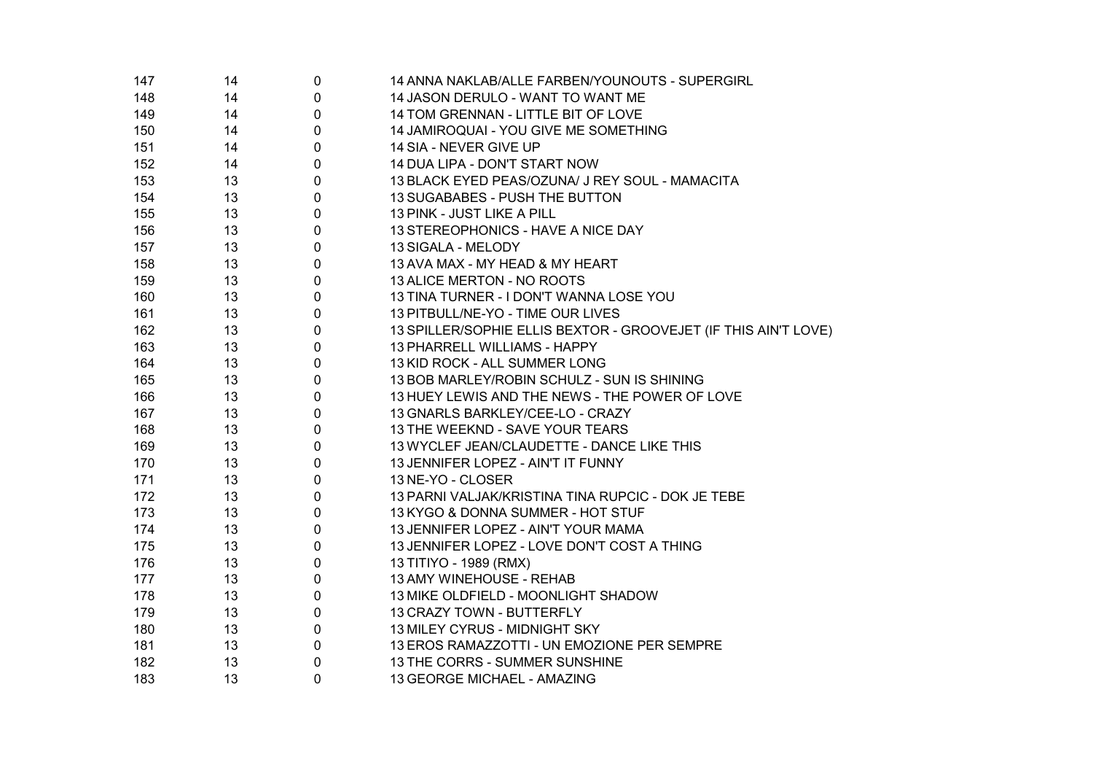| 147 | 14 | 0           | 14 ANNA NAKLAB/ALLE FARBEN/YOUNOUTS - SUPERGIRL                 |
|-----|----|-------------|-----------------------------------------------------------------|
| 148 | 14 | $\pmb{0}$   | 14 JASON DERULO - WANT TO WANT ME                               |
| 149 | 14 | $\pmb{0}$   | 14 TOM GRENNAN - LITTLE BIT OF LOVE                             |
| 150 | 14 | $\pmb{0}$   | 14 JAMIROQUAI - YOU GIVE ME SOMETHING                           |
| 151 | 14 | $\mathbf 0$ | 14 SIA - NEVER GIVE UP                                          |
| 152 | 14 | $\mathbf 0$ | 14 DUA LIPA - DON'T START NOW                                   |
| 153 | 13 | $\mathbf 0$ | 13 BLACK EYED PEAS/OZUNA/ J REY SOUL - MAMACITA                 |
| 154 | 13 | $\mathbf 0$ | 13 SUGABABES - PUSH THE BUTTON                                  |
| 155 | 13 | $\mathbf 0$ | 13 PINK - JUST LIKE A PILL                                      |
| 156 | 13 | $\mathbf 0$ | 13 STEREOPHONICS - HAVE A NICE DAY                              |
| 157 | 13 | $\mathbf 0$ | 13 SIGALA - MELODY                                              |
| 158 | 13 | $\mathbf 0$ | 13 AVA MAX - MY HEAD & MY HEART                                 |
| 159 | 13 | $\mathbf 0$ | 13 ALICE MERTON - NO ROOTS                                      |
| 160 | 13 | $\pmb{0}$   | 13 TINA TURNER - I DON'T WANNA LOSE YOU                         |
| 161 | 13 | $\mathbf 0$ | 13 PITBULL/NE-YO - TIME OUR LIVES                               |
| 162 | 13 | $\pmb{0}$   | 13 SPILLER/SOPHIE ELLIS BEXTOR - GROOVEJET (IF THIS AIN'T LOVE) |
| 163 | 13 | $\mathbf 0$ | 13 PHARRELL WILLIAMS - HAPPY                                    |
| 164 | 13 | $\pmb{0}$   | 13 KID ROCK - ALL SUMMER LONG                                   |
| 165 | 13 | $\pmb{0}$   | 13 BOB MARLEY/ROBIN SCHULZ - SUN IS SHINING                     |
| 166 | 13 | $\pmb{0}$   | 13 HUEY LEWIS AND THE NEWS - THE POWER OF LOVE                  |
| 167 | 13 | $\pmb{0}$   | 13 GNARLS BARKLEY/CEE-LO - CRAZY                                |
| 168 | 13 | $\mathbf 0$ | 13 THE WEEKND - SAVE YOUR TEARS                                 |
| 169 | 13 | $\pmb{0}$   | 13 WYCLEF JEAN/CLAUDETTE - DANCE LIKE THIS                      |
| 170 | 13 | 0           | 13 JENNIFER LOPEZ - AIN'T IT FUNNY                              |
| 171 | 13 | 0           | 13 NE-YO - CLOSER                                               |
| 172 | 13 | 0           | 13 PARNI VALJAK/KRISTINA TINA RUPCIC - DOK JE TEBE              |
| 173 | 13 | 0           | 13 KYGO & DONNA SUMMER - HOT STUF                               |
| 174 | 13 | 0           | 13 JENNIFER LOPEZ - AIN'T YOUR MAMA                             |
| 175 | 13 | 0           | 13 JENNIFER LOPEZ - LOVE DON'T COST A THING                     |
| 176 | 13 | 0           | 13 TITIYO - 1989 (RMX)                                          |
| 177 | 13 | $\pmb{0}$   | 13 AMY WINEHOUSE - REHAB                                        |
| 178 | 13 | $\pmb{0}$   | 13 MIKE OLDFIELD - MOONLIGHT SHADOW                             |
| 179 | 13 | $\pmb{0}$   | 13 CRAZY TOWN - BUTTERFLY                                       |
| 180 | 13 | $\pmb{0}$   | 13 MILEY CYRUS - MIDNIGHT SKY                                   |
| 181 | 13 | $\pmb{0}$   | 13 EROS RAMAZZOTTI - UN EMOZIONE PER SEMPRE                     |
| 182 | 13 | $\pmb{0}$   | 13 THE CORRS - SUMMER SUNSHINE                                  |
| 183 | 13 | 0           | 13 GEORGE MICHAEL - AMAZING                                     |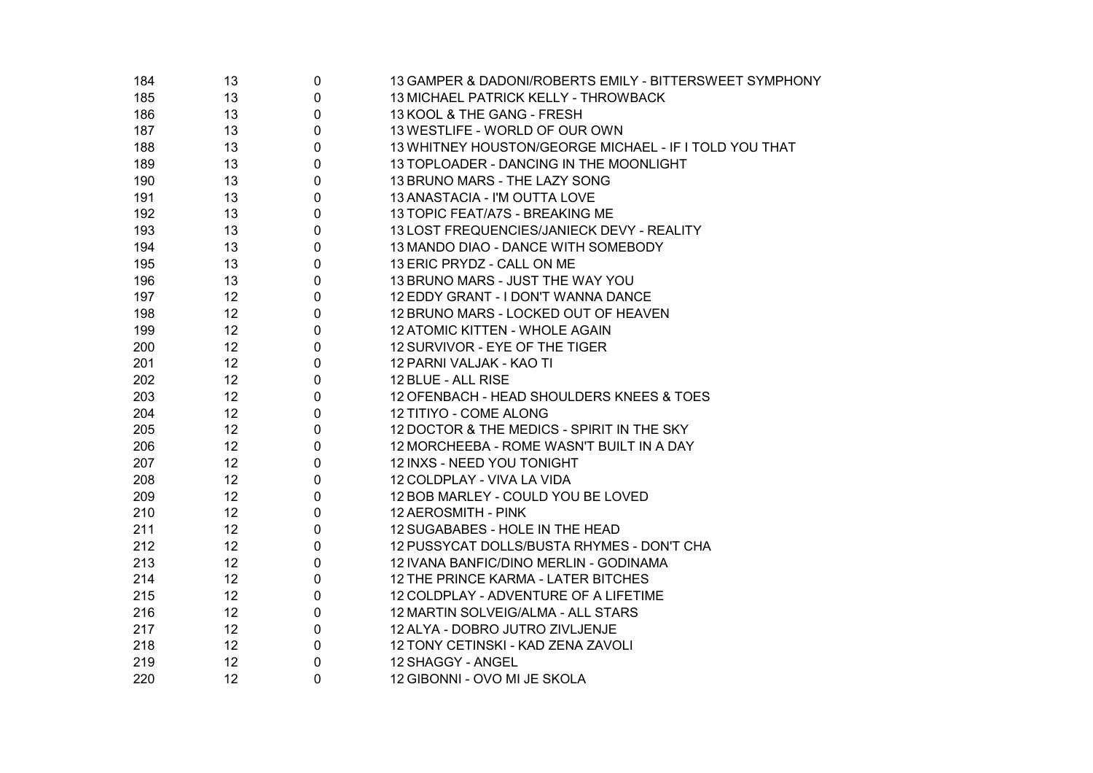| 184 | 13 | 0           | 13 GAMPER & DADONI/ROBERTS EMILY - BITTERSWEET SYMPHONY |
|-----|----|-------------|---------------------------------------------------------|
| 185 | 13 | $\pmb{0}$   | 13 MICHAEL PATRICK KELLY - THROWBACK                    |
| 186 | 13 | $\pmb{0}$   | 13 KOOL & THE GANG - FRESH                              |
| 187 | 13 | 0           | 13 WESTLIFE - WORLD OF OUR OWN                          |
| 188 | 13 | 0           | 13 WHITNEY HOUSTON/GEORGE MICHAEL - IF I TOLD YOU THAT  |
| 189 | 13 | 0           | 13 TOPLOADER - DANCING IN THE MOONLIGHT                 |
| 190 | 13 | $\mathbf 0$ | 13 BRUNO MARS - THE LAZY SONG                           |
| 191 | 13 | 0           | 13 ANASTACIA - I'M OUTTA LOVE                           |
| 192 | 13 | 0           | 13 TOPIC FEAT/A7S - BREAKING ME                         |
| 193 | 13 | 0           | 13 LOST FREQUENCIES/JANIECK DEVY - REALITY              |
| 194 | 13 | 0           | 13 MANDO DIAO - DANCE WITH SOMEBODY                     |
| 195 | 13 | 0           | 13 ERIC PRYDZ - CALL ON ME                              |
| 196 | 13 | 0           | 13 BRUNO MARS - JUST THE WAY YOU                        |
| 197 | 12 | 0           | 12 EDDY GRANT - I DON'T WANNA DANCE                     |
| 198 | 12 | 0           | 12 BRUNO MARS - LOCKED OUT OF HEAVEN                    |
| 199 | 12 | 0           | 12 ATOMIC KITTEN - WHOLE AGAIN                          |
| 200 | 12 | 0           | 12 SURVIVOR - EYE OF THE TIGER                          |
| 201 | 12 | 0           | 12 PARNI VALJAK - KAO TI                                |
| 202 | 12 | 0           | 12 BLUE - ALL RISE                                      |
| 203 | 12 | 0           | 12 OFENBACH - HEAD SHOULDERS KNEES & TOES               |
| 204 | 12 | 0           | 12 TITIYO - COME ALONG                                  |
| 205 | 12 | 0           | 12 DOCTOR & THE MEDICS - SPIRIT IN THE SKY              |
| 206 | 12 | 0           | 12 MORCHEEBA - ROME WASN'T BUILT IN A DAY               |
| 207 | 12 | 0           | 12 INXS - NEED YOU TONIGHT                              |
| 208 | 12 | 0           | 12 COLDPLAY - VIVA LA VIDA                              |
| 209 | 12 | 0           | 12 BOB MARLEY - COULD YOU BE LOVED                      |
| 210 | 12 | 0           | 12 AEROSMITH - PINK                                     |
| 211 | 12 | 0           | 12 SUGABABES - HOLE IN THE HEAD                         |
| 212 | 12 | 0           | 12 PUSSYCAT DOLLS/BUSTA RHYMES - DON'T CHA              |
| 213 | 12 | 0           | 12 IVANA BANFIC/DINO MERLIN - GODINAMA                  |
| 214 | 12 | 0           | 12 THE PRINCE KARMA - LATER BITCHES                     |
| 215 | 12 | $\pmb{0}$   | 12 COLDPLAY - ADVENTURE OF A LIFETIME                   |
| 216 | 12 | 0           | 12 MARTIN SOLVEIG/ALMA - ALL STARS                      |
| 217 | 12 | 0           | 12 ALYA - DOBRO JUTRO ZIVLJENJE                         |
| 218 | 12 | 0           | 12 TONY CETINSKI - KAD ZENA ZAVOLI                      |
| 219 | 12 | 0           | 12 SHAGGY - ANGEL                                       |
| 220 | 12 | 0           | 12 GIBONNI - OVO MI JE SKOLA                            |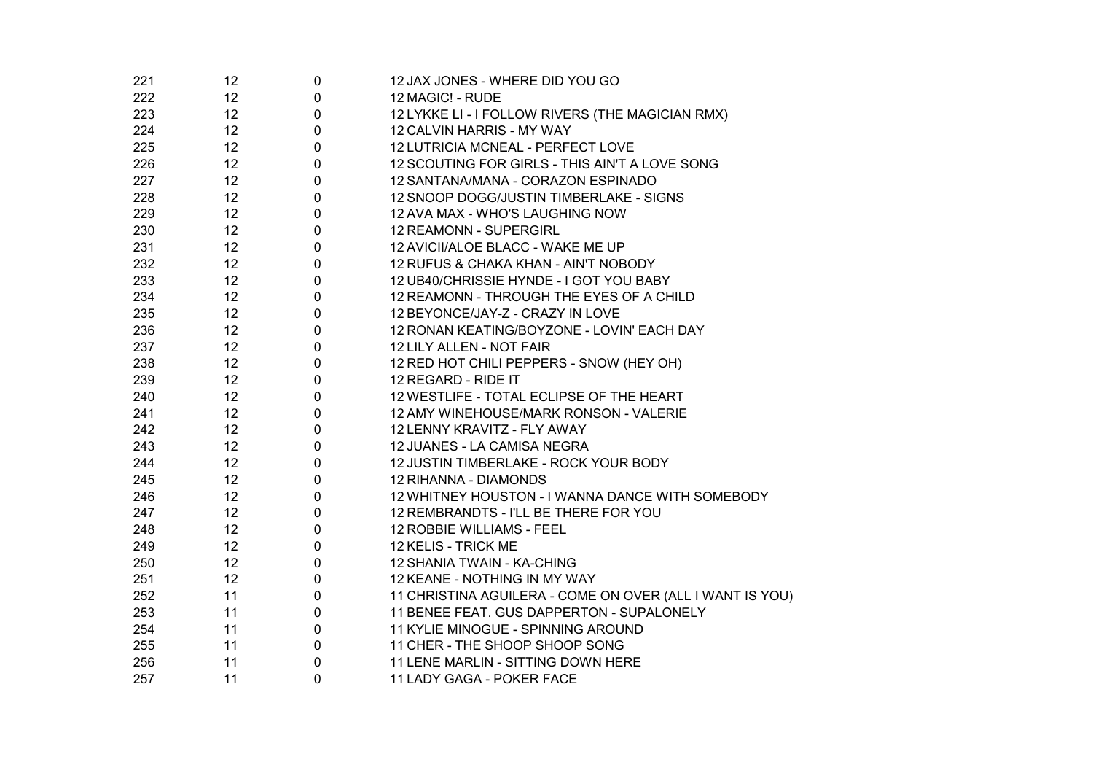| 221 | 12 | 0 | 12 JAX JONES - WHERE DID YOU GO                          |
|-----|----|---|----------------------------------------------------------|
| 222 | 12 | 0 | 12 MAGIC! - RUDE                                         |
| 223 | 12 | 0 | 12 LYKKE LI - I FOLLOW RIVERS (THE MAGICIAN RMX)         |
| 224 | 12 | 0 | 12 CALVIN HARRIS - MY WAY                                |
| 225 | 12 | 0 | 12 LUTRICIA MCNEAL - PERFECT LOVE                        |
| 226 | 12 | 0 | 12 SCOUTING FOR GIRLS - THIS AIN'T A LOVE SONG           |
| 227 | 12 | 0 | 12 SANTANA/MANA - CORAZON ESPINADO                       |
| 228 | 12 | 0 | 12 SNOOP DOGG/JUSTIN TIMBERLAKE - SIGNS                  |
| 229 | 12 | 0 | 12 AVA MAX - WHO'S LAUGHING NOW                          |
| 230 | 12 | 0 | 12 REAMONN - SUPERGIRL                                   |
| 231 | 12 | 0 | 12 AVICII/ALOE BLACC - WAKE ME UP                        |
| 232 | 12 | 0 | 12 RUFUS & CHAKA KHAN - AIN'T NOBODY                     |
| 233 | 12 | 0 | 12 UB40/CHRISSIE HYNDE - I GOT YOU BABY                  |
| 234 | 12 | 0 | 12 REAMONN - THROUGH THE EYES OF A CHILD                 |
| 235 | 12 | 0 | 12 BEYONCE/JAY-Z - CRAZY IN LOVE                         |
| 236 | 12 | 0 | 12 RONAN KEATING/BOYZONE - LOVIN' EACH DAY               |
| 237 | 12 | 0 | 12 LILY ALLEN - NOT FAIR                                 |
| 238 | 12 | 0 | 12 RED HOT CHILI PEPPERS - SNOW (HEY OH)                 |
| 239 | 12 | 0 | 12 REGARD - RIDE IT                                      |
| 240 | 12 | 0 | 12 WESTLIFE - TOTAL ECLIPSE OF THE HEART                 |
| 241 | 12 | 0 | 12 AMY WINEHOUSE/MARK RONSON - VALERIE                   |
| 242 | 12 | 0 | 12 LENNY KRAVITZ - FLY AWAY                              |
| 243 | 12 | 0 | 12 JUANES - LA CAMISA NEGRA                              |
| 244 | 12 | 0 | 12 JUSTIN TIMBERLAKE - ROCK YOUR BODY                    |
| 245 | 12 | 0 | 12 RIHANNA - DIAMONDS                                    |
| 246 | 12 | 0 | 12 WHITNEY HOUSTON - I WANNA DANCE WITH SOMEBODY         |
| 247 | 12 | 0 | 12 REMBRANDTS - I'LL BE THERE FOR YOU                    |
| 248 | 12 | 0 | 12 ROBBIE WILLIAMS - FEEL                                |
| 249 | 12 | 0 | 12 KELIS - TRICK ME                                      |
| 250 | 12 | 0 | 12 SHANIA TWAIN - KA-CHING                               |
| 251 | 12 | 0 | 12 KEANE - NOTHING IN MY WAY                             |
| 252 | 11 | 0 | 11 CHRISTINA AGUILERA - COME ON OVER (ALL I WANT IS YOU) |
| 253 | 11 | 0 | 11 BENEE FEAT. GUS DAPPERTON - SUPALONELY                |
| 254 | 11 | 0 | 11 KYLIE MINOGUE - SPINNING AROUND                       |
| 255 | 11 | 0 | 11 CHER - THE SHOOP SHOOP SONG                           |
| 256 | 11 | 0 | 11 LENE MARLIN - SITTING DOWN HERE                       |
| 257 | 11 | 0 | 11 LADY GAGA - POKER FACE                                |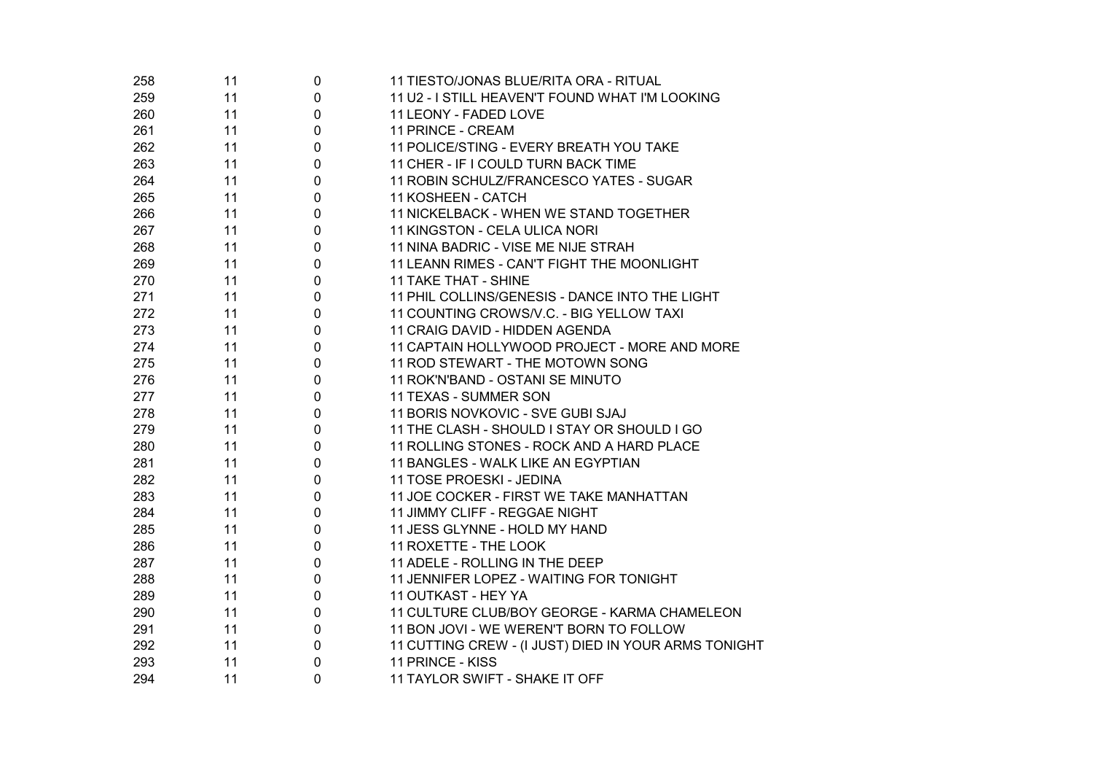| 258 | 11 | 0            | 11 TIESTO/JONAS BLUE/RITA ORA - RITUAL               |  |
|-----|----|--------------|------------------------------------------------------|--|
| 259 | 11 | 0            | 11 U2 - I STILL HEAVEN'T FOUND WHAT I'M LOOKING      |  |
| 260 | 11 | $\mathbf 0$  | 11 LEONY - FADED LOVE                                |  |
| 261 | 11 | 0            | 11 PRINCE - CREAM                                    |  |
| 262 | 11 | $\mathbf 0$  | 11 POLICE/STING - EVERY BREATH YOU TAKE              |  |
| 263 | 11 | $\mathbf 0$  | 11 CHER - IF I COULD TURN BACK TIME                  |  |
| 264 | 11 | 0            | 11 ROBIN SCHULZ/FRANCESCO YATES - SUGAR              |  |
| 265 | 11 | $\mathbf 0$  | 11 KOSHEEN - CATCH                                   |  |
| 266 | 11 | $\mathbf 0$  | 11 NICKELBACK - WHEN WE STAND TOGETHER               |  |
| 267 | 11 | 0            | 11 KINGSTON - CELA ULICA NORI                        |  |
| 268 | 11 | $\mathbf 0$  | 11 NINA BADRIC - VISE ME NIJE STRAH                  |  |
| 269 | 11 | $\mathbf 0$  | 11 LEANN RIMES - CAN'T FIGHT THE MOONLIGHT           |  |
| 270 | 11 | $\mathbf{0}$ | 11 TAKE THAT - SHINE                                 |  |
| 271 | 11 | $\mathbf 0$  | 11 PHIL COLLINS/GENESIS - DANCE INTO THE LIGHT       |  |
| 272 | 11 | 0            | 11 COUNTING CROWS/V.C. - BIG YELLOW TAXI             |  |
| 273 | 11 | $\mathbf{0}$ | 11 CRAIG DAVID - HIDDEN AGENDA                       |  |
| 274 | 11 | 0            | 11 CAPTAIN HOLLYWOOD PROJECT - MORE AND MORE         |  |
| 275 | 11 | 0            | 11 ROD STEWART - THE MOTOWN SONG                     |  |
| 276 | 11 | 0            | 11 ROK'N'BAND - OSTANI SE MINUTO                     |  |
| 277 | 11 | 0            | 11 TEXAS - SUMMER SON                                |  |
| 278 | 11 | 0            | 11 BORIS NOVKOVIC - SVE GUBI SJAJ                    |  |
| 279 | 11 | 0            | 11 THE CLASH - SHOULD I STAY OR SHOULD I GO          |  |
| 280 | 11 | 0            | 11 ROLLING STONES - ROCK AND A HARD PLACE            |  |
| 281 | 11 | 0            | 11 BANGLES - WALK LIKE AN EGYPTIAN                   |  |
| 282 | 11 | 0            | 11 TOSE PROESKI - JEDINA                             |  |
| 283 | 11 | 0            | 11 JOE COCKER - FIRST WE TAKE MANHATTAN              |  |
| 284 | 11 | 0            | 11 JIMMY CLIFF - REGGAE NIGHT                        |  |
| 285 | 11 | 0            | 11 JESS GLYNNE - HOLD MY HAND                        |  |
| 286 | 11 | 0            | 11 ROXETTE - THE LOOK                                |  |
| 287 | 11 | 0            | 11 ADELE - ROLLING IN THE DEEP                       |  |
| 288 | 11 | 0            | 11 JENNIFER LOPEZ - WAITING FOR TONIGHT              |  |
| 289 | 11 | 0            | 11 OUTKAST - HEY YA                                  |  |
| 290 | 11 | 0            | 11 CULTURE CLUB/BOY GEORGE - KARMA CHAMELEON         |  |
| 291 | 11 | 0            | 11 BON JOVI - WE WEREN'T BORN TO FOLLOW              |  |
| 292 | 11 | 0            | 11 CUTTING CREW - (I JUST) DIED IN YOUR ARMS TONIGHT |  |
| 293 | 11 | 0            | 11 PRINCE - KISS                                     |  |
| 294 | 11 | 0            | 11 TAYLOR SWIFT - SHAKE IT OFF                       |  |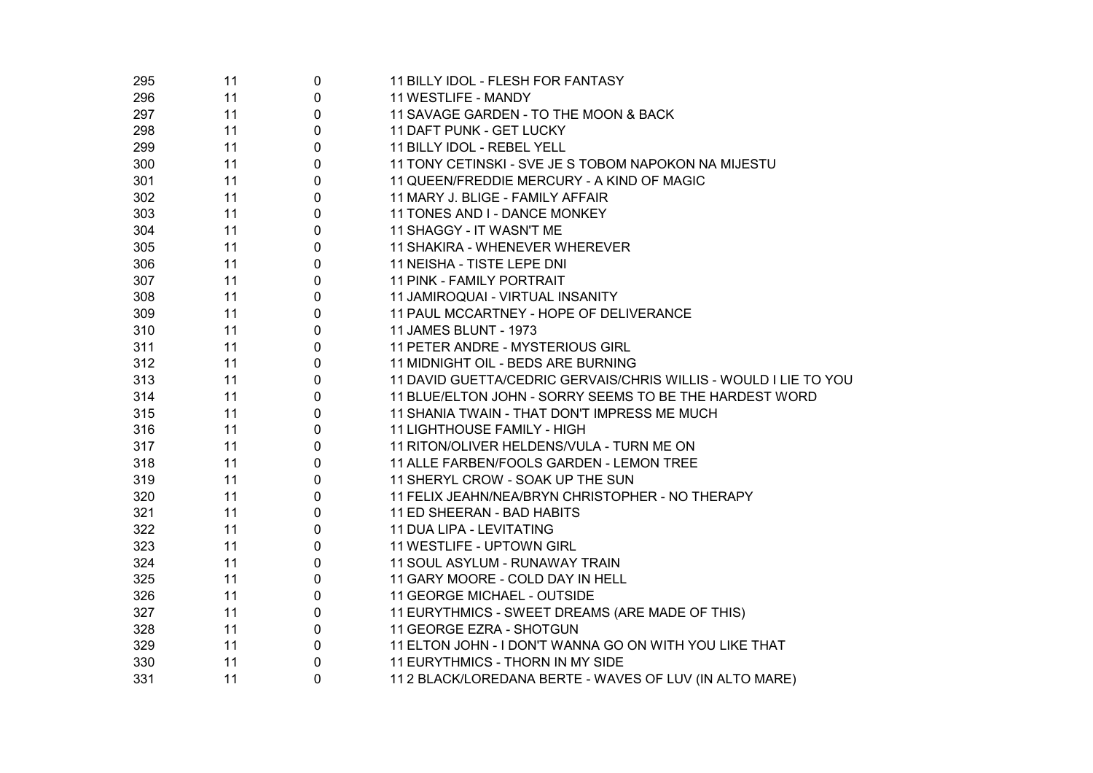| 295 | 11 | 0 | 11 BILLY IDOL - FLESH FOR FANTASY                                |  |
|-----|----|---|------------------------------------------------------------------|--|
| 296 | 11 | 0 | 11 WESTLIFE - MANDY                                              |  |
| 297 | 11 | 0 | 11 SAVAGE GARDEN - TO THE MOON & BACK                            |  |
| 298 | 11 | 0 | 11 DAFT PUNK - GET LUCKY                                         |  |
| 299 | 11 | 0 | 11 BILLY IDOL - REBEL YELL                                       |  |
| 300 | 11 | 0 | 11 TONY CETINSKI - SVE JE S TOBOM NAPOKON NA MIJESTU             |  |
| 301 | 11 | 0 | 11 QUEEN/FREDDIE MERCURY - A KIND OF MAGIC                       |  |
| 302 | 11 | 0 | 11 MARY J. BLIGE - FAMILY AFFAIR                                 |  |
| 303 | 11 | 0 | 11 TONES AND I - DANCE MONKEY                                    |  |
| 304 | 11 | 0 | 11 SHAGGY - IT WASN'T ME                                         |  |
| 305 | 11 | 0 | 11 SHAKIRA - WHENEVER WHEREVER                                   |  |
| 306 | 11 | 0 | 11 NEISHA - TISTE LEPE DNI                                       |  |
| 307 | 11 | 0 | 11 PINK - FAMILY PORTRAIT                                        |  |
| 308 | 11 | 0 | 11 JAMIROQUAI - VIRTUAL INSANITY                                 |  |
| 309 | 11 | 0 | 11 PAUL MCCARTNEY - HOPE OF DELIVERANCE                          |  |
| 310 | 11 | 0 | 11 JAMES BLUNT - 1973                                            |  |
| 311 | 11 | 0 | 11 PETER ANDRE - MYSTERIOUS GIRL                                 |  |
| 312 | 11 | 0 | 11 MIDNIGHT OIL - BEDS ARE BURNING                               |  |
| 313 | 11 | 0 | 11 DAVID GUETTA/CEDRIC GERVAIS/CHRIS WILLIS - WOULD I LIE TO YOU |  |
| 314 | 11 | 0 | 11 BLUE/ELTON JOHN - SORRY SEEMS TO BE THE HARDEST WORD          |  |
| 315 | 11 | 0 | 11 SHANIA TWAIN - THAT DON'T IMPRESS ME MUCH                     |  |
| 316 | 11 | 0 | <b>11 LIGHTHOUSE FAMILY - HIGH</b>                               |  |
| 317 | 11 | 0 | 11 RITON/OLIVER HELDENS/VULA - TURN ME ON                        |  |
| 318 | 11 | 0 | 11 ALLE FARBEN/FOOLS GARDEN - LEMON TREE                         |  |
| 319 | 11 | 0 | 11 SHERYL CROW - SOAK UP THE SUN                                 |  |
| 320 | 11 | 0 | 11 FELIX JEAHN/NEA/BRYN CHRISTOPHER - NO THERAPY                 |  |
| 321 | 11 | 0 | 11 ED SHEERAN - BAD HABITS                                       |  |
| 322 | 11 | 0 | 11 DUA LIPA - LEVITATING                                         |  |
| 323 | 11 | 0 | 11 WESTLIFE - UPTOWN GIRL                                        |  |
| 324 | 11 | 0 | 11 SOUL ASYLUM - RUNAWAY TRAIN                                   |  |
| 325 | 11 | 0 | 11 GARY MOORE - COLD DAY IN HELL                                 |  |
| 326 | 11 | 0 | 11 GEORGE MICHAEL - OUTSIDE                                      |  |
| 327 | 11 | 0 | 11 EURYTHMICS - SWEET DREAMS (ARE MADE OF THIS)                  |  |
| 328 | 11 | 0 | 11 GEORGE EZRA - SHOTGUN                                         |  |
| 329 | 11 | 0 | 11 ELTON JOHN - I DON'T WANNA GO ON WITH YOU LIKE THAT           |  |
| 330 | 11 | 0 | 11 EURYTHMICS - THORN IN MY SIDE                                 |  |
| 331 | 11 | 0 | 11 2 BLACK/LOREDANA BERTE - WAVES OF LUV (IN ALTO MARE)          |  |
|     |    |   |                                                                  |  |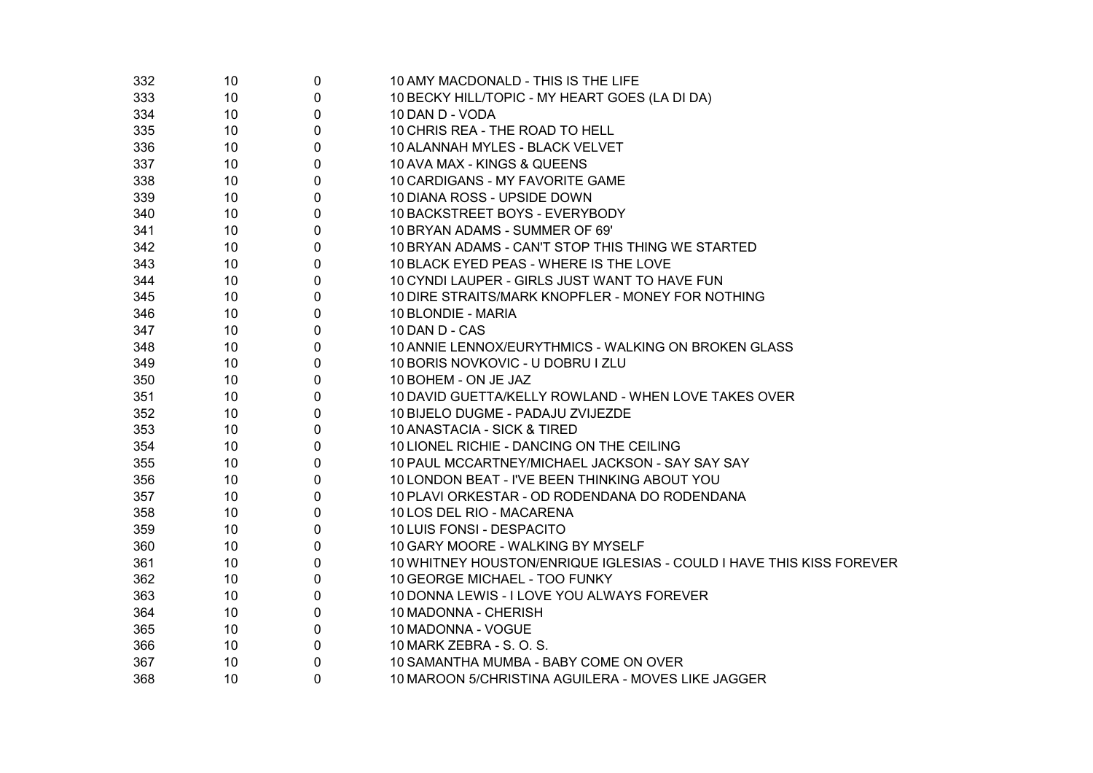| 332 | 10 <sup>°</sup> | $\mathbf 0$ | 10 AMY MACDONALD - THIS IS THE LIFE                                  |
|-----|-----------------|-------------|----------------------------------------------------------------------|
| 333 | 10 <sup>1</sup> | 0           | 10 BECKY HILL/TOPIC - MY HEART GOES (LA DI DA)                       |
| 334 | 10              | 0           | 10 DAN D - VODA                                                      |
| 335 | 10              | $\mathbf 0$ | 10 CHRIS REA - THE ROAD TO HELL                                      |
| 336 | 10              | 0           | 10 ALANNAH MYLES - BLACK VELVET                                      |
| 337 | 10              | 0           | 10 AVA MAX - KINGS & QUEENS                                          |
| 338 | 10              | 0           | 10 CARDIGANS - MY FAVORITE GAME                                      |
| 339 | 10              | 0           | 10 DIANA ROSS - UPSIDE DOWN                                          |
| 340 | 10              | 0           | 10 BACKSTREET BOYS - EVERYBODY                                       |
| 341 | 10              | 0           | 10 BRYAN ADAMS - SUMMER OF 69'                                       |
| 342 | 10              | 0           | 10 BRYAN ADAMS - CAN'T STOP THIS THING WE STARTED                    |
| 343 | 10              | 0           | 10 BLACK EYED PEAS - WHERE IS THE LOVE                               |
| 344 | 10              | 0           | 10 CYNDI LAUPER - GIRLS JUST WANT TO HAVE FUN                        |
| 345 | 10              | 0           | 10 DIRE STRAITS/MARK KNOPFLER - MONEY FOR NOTHING                    |
| 346 | 10              | 0           | 10 BLONDIE - MARIA                                                   |
| 347 | 10              | 0           | 10 DAN D - CAS                                                       |
| 348 | 10              | 0           | 10 ANNIE LENNOX/EURYTHMICS - WALKING ON BROKEN GLASS                 |
| 349 | 10              | 0           | 10 BORIS NOVKOVIC - U DOBRU I ZLU                                    |
| 350 | 10              | 0           | 10 BOHEM - ON JE JAZ                                                 |
| 351 | 10              | 0           | 10 DAVID GUETTA/KELLY ROWLAND - WHEN LOVE TAKES OVER                 |
| 352 | 10              | 0           | 10 BIJELO DUGME - PADAJU ZVIJEZDE                                    |
| 353 | 10              | 0           | 10 ANASTACIA - SICK & TIRED                                          |
| 354 | 10              | 0           | 10 LIONEL RICHIE - DANCING ON THE CEILING                            |
| 355 | 10              | 0           | 10 PAUL MCCARTNEY/MICHAEL JACKSON - SAY SAY SAY                      |
| 356 | 10              | 0           | 10 LONDON BEAT - I'VE BEEN THINKING ABOUT YOU                        |
| 357 | 10              | 0           | 10 PLAVI ORKESTAR - OD RODENDANA DO RODENDANA                        |
| 358 | 10              | 0           | 10 LOS DEL RIO - MACARENA                                            |
| 359 | 10              | 0           | 10 LUIS FONSI - DESPACITO                                            |
| 360 | 10              | 0           | 10 GARY MOORE - WALKING BY MYSELF                                    |
| 361 | 10              | 0           | 10 WHITNEY HOUSTON/ENRIQUE IGLESIAS - COULD I HAVE THIS KISS FOREVER |
| 362 | 10              | 0           | 10 GEORGE MICHAEL - TOO FUNKY                                        |
| 363 | 10              | 0           | 10 DONNA LEWIS - I LOVE YOU ALWAYS FOREVER                           |
| 364 | 10              | 0           | 10 MADONNA - CHERISH                                                 |
| 365 | 10              | 0           | 10 MADONNA - VOGUE                                                   |
| 366 | 10              | 0           | 10 MARK ZEBRA - S. O. S.                                             |
| 367 | 10              | 0           | 10 SAMANTHA MUMBA - BABY COME ON OVER                                |
| 368 | 10 <sup>1</sup> | $\Omega$    | 10 MAROON 5/CHRISTINA AGUILERA - MOVES LIKE JAGGER                   |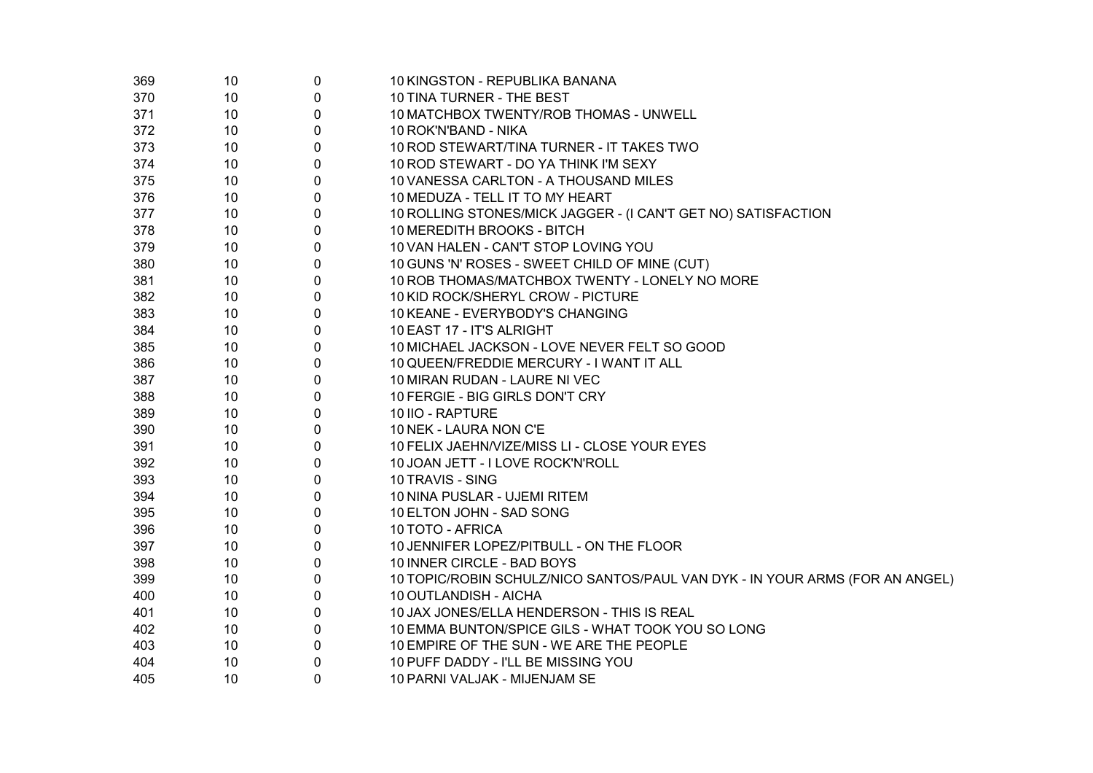| 369 | 10 <sup>°</sup> | 0           | 10 KINGSTON - REPUBLIKA BANANA                                               |
|-----|-----------------|-------------|------------------------------------------------------------------------------|
| 370 | 10              | 0           | 10 TINA TURNER - THE BEST                                                    |
| 371 | 10              | 0           | 10 MATCHBOX TWENTY/ROB THOMAS - UNWELL                                       |
| 372 | 10              | 0           | 10 ROK'N'BAND - NIKA                                                         |
| 373 | 10              | 0           | 10 ROD STEWART/TINA TURNER - IT TAKES TWO                                    |
| 374 | 10              | 0           | 10 ROD STEWART - DO YA THINK I'M SEXY                                        |
| 375 | 10              | 0           | 10 VANESSA CARLTON - A THOUSAND MILES                                        |
| 376 | 10              | 0           | 10 MEDUZA - TELL IT TO MY HEART                                              |
| 377 | 10              | 0           | 10 ROLLING STONES/MICK JAGGER - (I CAN'T GET NO) SATISFACTION                |
| 378 | 10              | 0           | 10 MEREDITH BROOKS - BITCH                                                   |
| 379 | 10              | 0           | 10 VAN HALEN - CAN'T STOP LOVING YOU                                         |
| 380 | 10              | 0           | 10 GUNS 'N' ROSES - SWEET CHILD OF MINE (CUT)                                |
| 381 | 10              | $\mathbf 0$ | 10 ROB THOMAS/MATCHBOX TWENTY - LONELY NO MORE                               |
| 382 | 10              | $\mathbf 0$ | 10 KID ROCK/SHERYL CROW - PICTURE                                            |
| 383 | 10              | 0           | 10 KEANE - EVERYBODY'S CHANGING                                              |
| 384 | 10              | $\mathbf 0$ | 10 EAST 17 - IT'S ALRIGHT                                                    |
| 385 | 10              | 0           | 10 MICHAEL JACKSON - LOVE NEVER FELT SO GOOD                                 |
| 386 | 10              | $\mathbf 0$ | 10 QUEEN/FREDDIE MERCURY - I WANT IT ALL                                     |
| 387 | 10              | 0           | 10 MIRAN RUDAN - LAURE NI VEC                                                |
| 388 | 10              | 0           | 10 FERGIE - BIG GIRLS DON'T CRY                                              |
| 389 | 10              | 0           | 10 IIO - RAPTURE                                                             |
| 390 | 10              | 0           | 10 NEK - LAURA NON C'E                                                       |
| 391 | 10              | 0           | 10 FELIX JAEHN/VIZE/MISS LI - CLOSE YOUR EYES                                |
| 392 | 10              | 0           | 10 JOAN JETT - I LOVE ROCK'N'ROLL                                            |
| 393 | 10              | 0           | 10 TRAVIS - SING                                                             |
| 394 | 10              | 0           | 10 NINA PUSLAR - UJEMI RITEM                                                 |
| 395 | 10              | 0           | 10 ELTON JOHN - SAD SONG                                                     |
| 396 | 10              | 0           | 10 TOTO - AFRICA                                                             |
| 397 | 10              | 0           | 10 JENNIFER LOPEZ/PITBULL - ON THE FLOOR                                     |
| 398 | 10              | 0           | 10 INNER CIRCLE - BAD BOYS                                                   |
| 399 | 10              | 0           | 10 TOPIC/ROBIN SCHULZ/NICO SANTOS/PAUL VAN DYK - IN YOUR ARMS (FOR AN ANGEL) |
| 400 | 10              | 0           | 10 OUTLANDISH - AICHA                                                        |
| 401 | 10              | 0           | 10 JAX JONES/ELLA HENDERSON - THIS IS REAL                                   |
| 402 | 10              | 0           | 10 EMMA BUNTON/SPICE GILS - WHAT TOOK YOU SO LONG                            |
| 403 | 10              | 0           | 10 EMPIRE OF THE SUN - WE ARE THE PEOPLE                                     |
| 404 | 10              | 0           | 10 PUFF DADDY - I'LL BE MISSING YOU                                          |
| 405 | 10              | $\mathbf 0$ | 10 PARNI VALJAK - MIJENJAM SE                                                |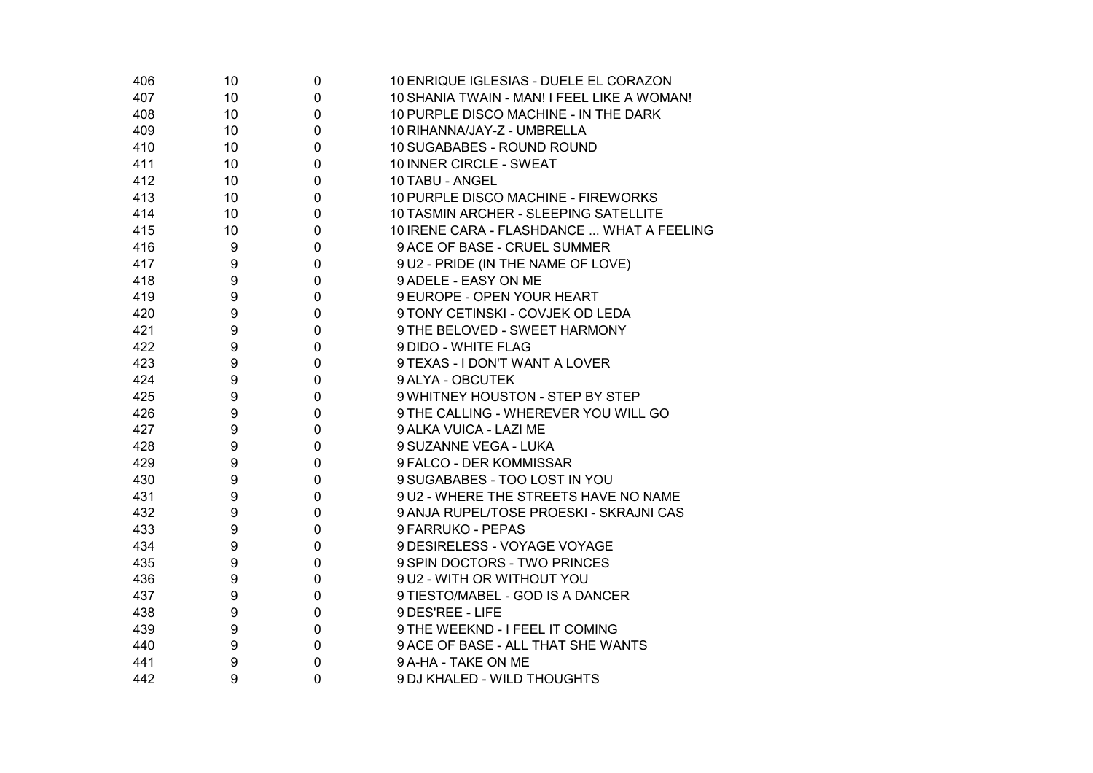| 406 | 10 | 0           | 10 ENRIQUE IGLESIAS - DUELE EL CORAZON      |
|-----|----|-------------|---------------------------------------------|
| 407 | 10 | $\mathbf 0$ | 10 SHANIA TWAIN - MAN! I FEEL LIKE A WOMAN! |
| 408 | 10 | $\pmb{0}$   | 10 PURPLE DISCO MACHINE - IN THE DARK       |
| 409 | 10 | 0           | 10 RIHANNA/JAY-Z - UMBRELLA                 |
| 410 | 10 | $\mathbf 0$ | 10 SUGABABES - ROUND ROUND                  |
| 411 | 10 | 0           | 10 INNER CIRCLE - SWEAT                     |
| 412 | 10 | $\mathbf 0$ | 10 TABU - ANGEL                             |
| 413 | 10 | $\mathbf 0$ | 10 PURPLE DISCO MACHINE - FIREWORKS         |
| 414 | 10 | 0           | 10 TASMIN ARCHER - SLEEPING SATELLITE       |
| 415 | 10 | $\mathbf 0$ | 10 IRENE CARA - FLASHDANCE  WHAT A FEELING  |
| 416 | 9  | 0           | 9 ACE OF BASE - CRUEL SUMMER                |
| 417 | 9  | $\mathbf 0$ | 9 U2 - PRIDE (IN THE NAME OF LOVE)          |
| 418 | 9  | $\mathbf 0$ | 9 ADELE - EASY ON ME                        |
| 419 | 9  | 0           | 9 EUROPE - OPEN YOUR HEART                  |
| 420 | 9  | $\mathbf 0$ | 9 TONY CETINSKI - COVJEK OD LEDA            |
| 421 | 9  | $\mathbf 0$ | 9 THE BELOVED - SWEET HARMONY               |
| 422 | 9  | $\mathbf 0$ | 9 DIDO - WHITE FLAG                         |
| 423 | 9  | $\mathbf 0$ | 9 TEXAS - I DON'T WANT A LOVER              |
| 424 | 9  | 0           | 9 ALYA - OBCUTEK                            |
| 425 | 9  | 0           | 9 WHITNEY HOUSTON - STEP BY STEP            |
| 426 | 9  | 0           | 9 THE CALLING - WHEREVER YOU WILL GO        |
| 427 | 9  | $\mathbf 0$ | 9 ALKA VUICA - LAZI ME                      |
| 428 | 9  | 0           | 9 SUZANNE VEGA - LUKA                       |
| 429 | 9  | 0           | 9 FALCO - DER KOMMISSAR                     |
| 430 | 9  | $\mathbf 0$ | 9 SUGABABES - TOO LOST IN YOU               |
| 431 | 9  | 0           | 9 U2 - WHERE THE STREETS HAVE NO NAME       |
| 432 | 9  | $\mathbf 0$ | 9 ANJA RUPEL/TOSE PROESKI - SKRAJNI CAS     |
| 433 | 9  | 0           | 9 FARRUKO - PEPAS                           |
| 434 | 9  | 0           | 9 DESIRELESS - VOYAGE VOYAGE                |
| 435 | 9  | 0           | 9 SPIN DOCTORS - TWO PRINCES                |
| 436 | 9  | 0           | 9 U2 - WITH OR WITHOUT YOU                  |
| 437 | 9  | $\pmb{0}$   | 9 TIESTO/MABEL - GOD IS A DANCER            |
| 438 | 9  | $\pmb{0}$   | 9 DES'REE - LIFE                            |
| 439 | 9  | 0           | 9 THE WEEKND - I FEEL IT COMING             |
| 440 | 9  | $\pmb{0}$   | 9 ACE OF BASE - ALL THAT SHE WANTS          |
| 441 | 9  | 0           | 9 A-HA - TAKE ON ME                         |
| 442 | 9  | $\mathbf 0$ | 9 DJ KHALED - WILD THOUGHTS                 |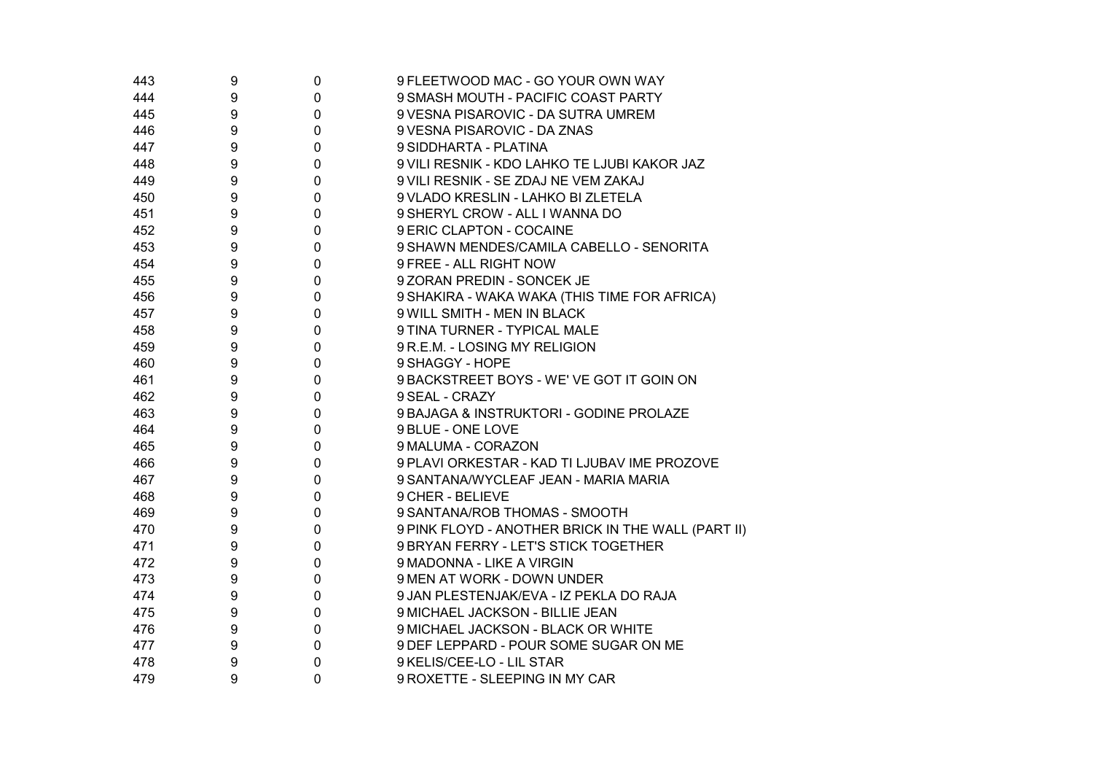| 443 | 9 | 0              | 9 FLEETWOOD MAC - GO YOUR OWN WAY                  |
|-----|---|----------------|----------------------------------------------------|
| 444 | 9 | 0              | 9 SMASH MOUTH - PACIFIC COAST PARTY                |
| 445 | 9 | 0              | 9 VESNA PISAROVIC - DA SUTRA UMREM                 |
| 446 | 9 | 0              | 9 VESNA PISAROVIC - DA ZNAS                        |
| 447 | 9 | 0              | 9 SIDDHARTA - PLATINA                              |
| 448 | 9 | 0              | 9 VILI RESNIK - KDO LAHKO TE LJUBI KAKOR JAZ       |
| 449 | 9 | 0              | 9 VILI RESNIK - SE ZDAJ NE VEM ZAKAJ               |
| 450 | 9 | 0              | 9 VLADO KRESLIN - LAHKO BI ZLETELA                 |
| 451 | 9 | 0              | 9 SHERYL CROW - ALL I WANNA DO                     |
| 452 | 9 | 0              | 9 ERIC CLAPTON - COCAINE                           |
| 453 | 9 | 0              | 9 SHAWN MENDES/CAMILA CABELLO - SENORITA           |
| 454 | 9 | 0              | 9 FREE - ALL RIGHT NOW                             |
| 455 | 9 | 0              | 9 ZORAN PREDIN - SONCEK JE                         |
| 456 | 9 | 0              | 9 SHAKIRA - WAKA WAKA (THIS TIME FOR AFRICA)       |
| 457 | 9 | 0              | 9 WILL SMITH - MEN IN BLACK                        |
| 458 | 9 | 0              | 9 TINA TURNER - TYPICAL MALE                       |
| 459 | 9 | 0              | 9 R.E.M. - LOSING MY RELIGION                      |
| 460 | 9 | 0              | 9 SHAGGY - HOPE                                    |
| 461 | 9 | 0              | 9 BACKSTREET BOYS - WE' VE GOT IT GOIN ON          |
| 462 | 9 | 0              | 9 SEAL - CRAZY                                     |
| 463 | 9 | 0              | 9 BAJAGA & INSTRUKTORI - GODINE PROLAZE            |
| 464 | 9 | 0              | 9 BLUE - ONE LOVE                                  |
| 465 | 9 | 0              | 9 MALUMA - CORAZON                                 |
| 466 | 9 | 0              | 9 PLAVI ORKESTAR - KAD TI LJUBAV IME PROZOVE       |
| 467 | 9 | 0              | 9 SANTANA/WYCLEAF JEAN - MARIA MARIA               |
| 468 | 9 | 0              | 9 CHER - BELIEVE                                   |
| 469 | 9 | 0              | 9 SANTANA/ROB THOMAS - SMOOTH                      |
| 470 | 9 | 0              | 9 PINK FLOYD - ANOTHER BRICK IN THE WALL (PART II) |
| 471 | 9 | 0              | 9 BRYAN FERRY - LET'S STICK TOGETHER               |
| 472 | 9 | 0              | 9 MADONNA - LIKE A VIRGIN                          |
| 473 | 9 | 0              | 9 MEN AT WORK - DOWN UNDER                         |
| 474 | 9 | 0              | 9 JAN PLESTENJAK/EVA - IZ PEKLA DO RAJA            |
| 475 | 9 | 0              | 9 MICHAEL JACKSON - BILLIE JEAN                    |
| 476 | 9 | 0              | 9 MICHAEL JACKSON - BLACK OR WHITE                 |
| 477 | 9 | 0              | 9 DEF LEPPARD - POUR SOME SUGAR ON ME              |
| 478 | 9 | 0              | 9 KELIS/CEE-LO - LIL STAR                          |
| 479 | 9 | $\overline{0}$ | 9 ROXETTE - SLEEPING IN MY CAR                     |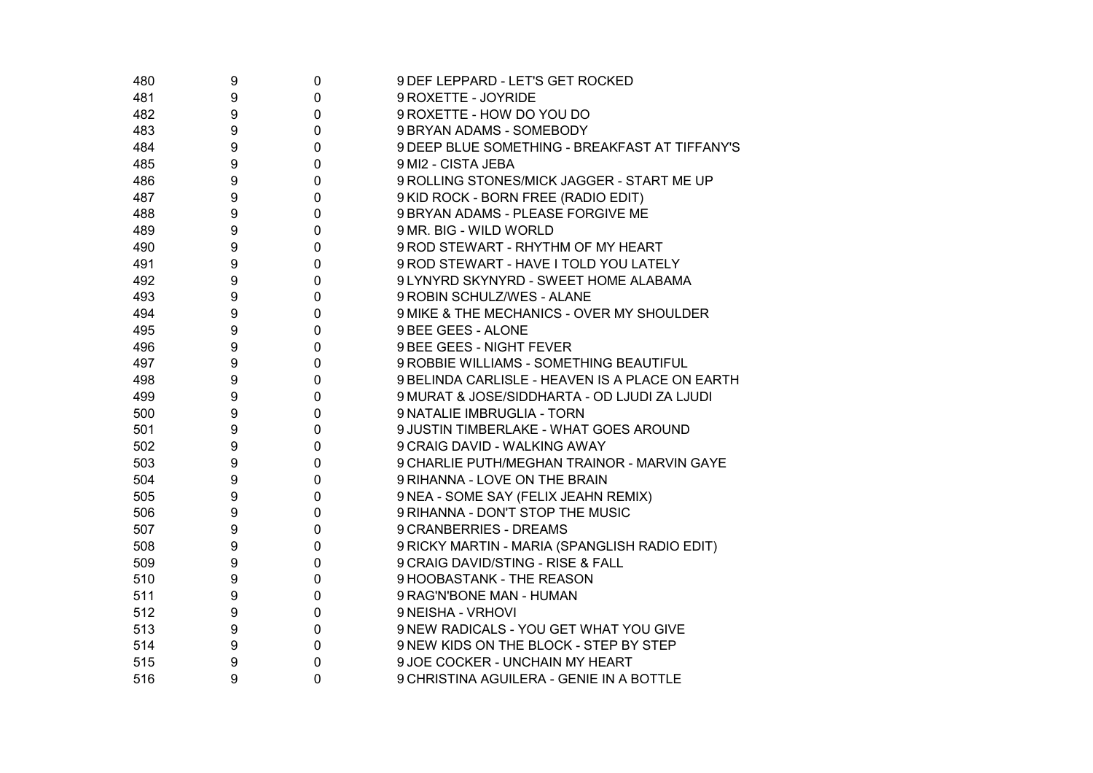| 480 | 9                | 0           | 9 DEF LEPPARD - LET'S GET ROCKED                |
|-----|------------------|-------------|-------------------------------------------------|
| 481 | $\boldsymbol{9}$ | 0           | 9 ROXETTE - JOYRIDE                             |
| 482 | 9                | 0           | 9 ROXETTE - HOW DO YOU DO                       |
| 483 | 9                | 0           | 9 BRYAN ADAMS - SOMEBODY                        |
| 484 | 9                | 0           | 9 DEEP BLUE SOMETHING - BREAKFAST AT TIFFANY'S  |
| 485 | 9                | 0           | 9 MI2 - CISTA JEBA                              |
| 486 | 9                | 0           | 9 ROLLING STONES/MICK JAGGER - START ME UP      |
| 487 | 9                | 0           | 9 KID ROCK - BORN FREE (RADIO EDIT)             |
| 488 | 9                | 0           | 9 BRYAN ADAMS - PLEASE FORGIVE ME               |
| 489 | 9                | 0           | 9 MR. BIG - WILD WORLD                          |
| 490 | 9                | 0           | 9 ROD STEWART - RHYTHM OF MY HEART              |
| 491 | 9                | 0           | 9 ROD STEWART - HAVE I TOLD YOU LATELY          |
| 492 | 9                | 0           | 9 LYNYRD SKYNYRD - SWEET HOME ALABAMA           |
| 493 | 9                | 0           | 9 ROBIN SCHULZ/WES - ALANE                      |
| 494 | 9                | 0           | 9 MIKE & THE MECHANICS - OVER MY SHOULDER       |
| 495 | 9                | 0           | 9 BEE GEES - ALONE                              |
| 496 | 9                | 0           | 9 BEE GEES - NIGHT FEVER                        |
| 497 | 9                | 0           | 9 ROBBIE WILLIAMS - SOMETHING BEAUTIFUL         |
| 498 | 9                | 0           | 9 BELINDA CARLISLE - HEAVEN IS A PLACE ON EARTH |
| 499 | 9                | 0           | 9 MURAT & JOSE/SIDDHARTA - OD LJUDI ZA LJUDI    |
| 500 | 9                | 0           | 9 NATALIE IMBRUGLIA - TORN                      |
| 501 | 9                | 0           | 9 JUSTIN TIMBERLAKE - WHAT GOES AROUND          |
| 502 | 9                | 0           | 9 CRAIG DAVID - WALKING AWAY                    |
| 503 | 9                | 0           | 9 CHARLIE PUTH/MEGHAN TRAINOR - MARVIN GAYE     |
| 504 | 9                | 0           | 9 RIHANNA - LOVE ON THE BRAIN                   |
| 505 | 9                | 0           | 9 NEA - SOME SAY (FELIX JEAHN REMIX)            |
| 506 | 9                | 0           | 9 RIHANNA - DON'T STOP THE MUSIC                |
| 507 | 9                | 0           | 9 CRANBERRIES - DREAMS                          |
| 508 | 9                | 0           | 9 RICKY MARTIN - MARIA (SPANGLISH RADIO EDIT)   |
| 509 | 9                | 0           | 9 CRAIG DAVID/STING - RISE & FALL               |
| 510 | 9                | 0           | 9 HOOBASTANK - THE REASON                       |
| 511 | 9                | 0           | 9 RAG'N'BONE MAN - HUMAN                        |
| 512 | 9                | 0           | 9 NEISHA - VRHOVI                               |
| 513 | $\boldsymbol{9}$ | $\pmb{0}$   | 9 NEW RADICALS - YOU GET WHAT YOU GIVE          |
| 514 | 9                | 0           | 9 NEW KIDS ON THE BLOCK - STEP BY STEP          |
| 515 | 9                | 0           | 9 JOE COCKER - UNCHAIN MY HEART                 |
| 516 | 9                | $\mathbf 0$ | 9 CHRISTINA AGUILERA - GENIE IN A BOTTLE        |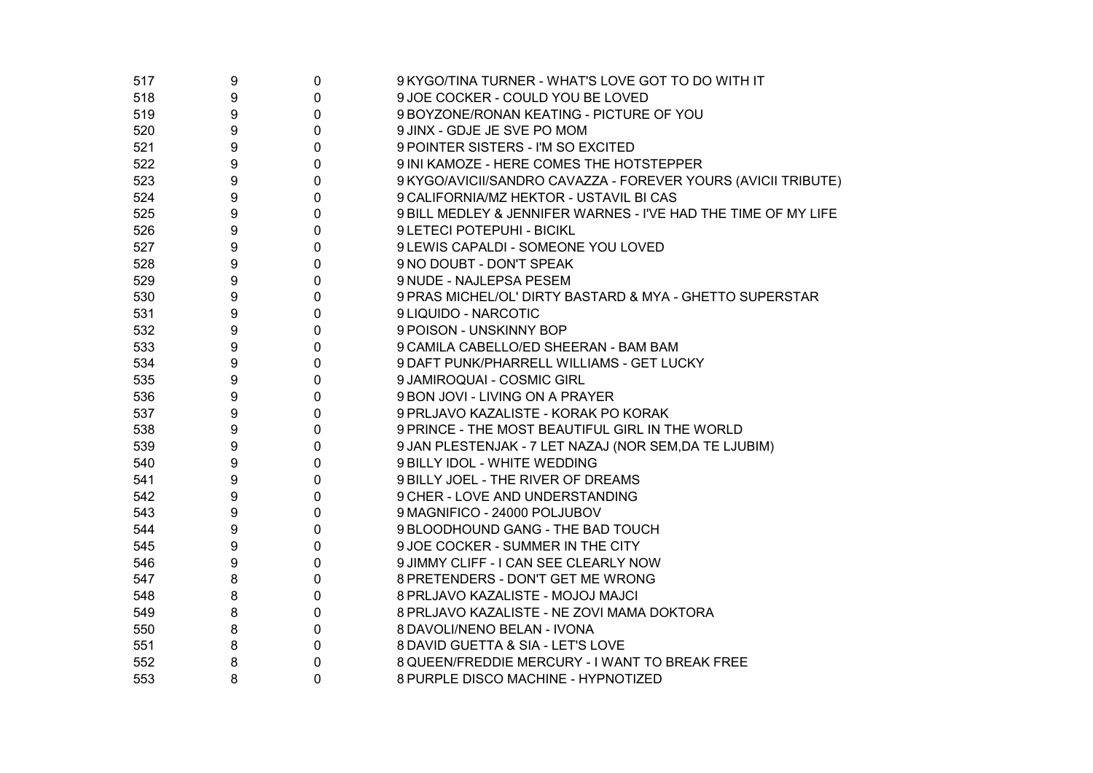| 517 | 9 | 0            | 9 KYGO/TINA TURNER - WHAT'S LOVE GOT TO DO WITH IT             |
|-----|---|--------------|----------------------------------------------------------------|
| 518 | 9 | $\mathbf 0$  | 9 JOE COCKER - COULD YOU BE LOVED                              |
| 519 | 9 | $\mathbf 0$  | 9 BOYZONE/RONAN KEATING - PICTURE OF YOU                       |
| 520 | 9 | $\mathbf 0$  | 9 JINX - GDJE JE SVE PO MOM                                    |
| 521 | 9 | $\mathbf 0$  | 9 POINTER SISTERS - I'M SO EXCITED                             |
| 522 | 9 | $\mathbf 0$  | 9 INI KAMOZE - HERE COMES THE HOTSTEPPER                       |
| 523 | 9 | $\mathbf 0$  | 9 KYGO/AVICII/SANDRO CAVAZZA - FOREVER YOURS (AVICII TRIBUTE)  |
| 524 | 9 | $\mathbf 0$  | 9 CALIFORNIA/MZ HEKTOR - USTAVIL BI CAS                        |
| 525 | 9 | $\mathbf 0$  | 9 BILL MEDLEY & JENNIFER WARNES - I'VE HAD THE TIME OF MY LIFE |
| 526 | 9 | $\mathbf 0$  | 9 LETECI POTEPUHI - BICIKL                                     |
| 527 | 9 | $\mathbf 0$  | 9 LEWIS CAPALDI - SOMEONE YOU LOVED                            |
| 528 | 9 | $\mathbf 0$  | 9 NO DOUBT - DON'T SPEAK                                       |
| 529 | 9 | $\mathbf 0$  | 9 NUDE - NAJLEPSA PESEM                                        |
| 530 | 9 | $\mathbf 0$  | 9 PRAS MICHEL/OL' DIRTY BASTARD & MYA - GHETTO SUPERSTAR       |
| 531 | 9 | $\mathbf{0}$ | 9 LIQUIDO - NARCOTIC                                           |
| 532 | 9 | $\mathbf 0$  | 9 POISON - UNSKINNY BOP                                        |
| 533 | 9 | $\mathbf 0$  | 9 CAMILA CABELLO/ED SHEERAN - BAM BAM                          |
| 534 | 9 | $\mathbf 0$  | 9 DAFT PUNK/PHARRELL WILLIAMS - GET LUCKY                      |
| 535 | 9 | $\mathbf 0$  | 9 JAMIROQUAI - COSMIC GIRL                                     |
| 536 | 9 | 0            | 9 BON JOVI - LIVING ON A PRAYER                                |
| 537 | 9 | $\mathbf 0$  | 9 PRLJAVO KAZALISTE - KORAK PO KORAK                           |
| 538 | 9 | 0            | 9 PRINCE - THE MOST BEAUTIFUL GIRL IN THE WORLD                |
| 539 | 9 | $\mathbf 0$  | 9 JAN PLESTENJAK - 7 LET NAZAJ (NOR SEM, DA TE LJUBIM)         |
| 540 | 9 | 0            | 9 BILLY IDOL - WHITE WEDDING                                   |
| 541 | 9 | $\mathbf 0$  | 9 BILLY JOEL - THE RIVER OF DREAMS                             |
| 542 | 9 | $\mathbf 0$  | 9 CHER - LOVE AND UNDERSTANDING                                |
| 543 | 9 | $\mathbf 0$  | 9 MAGNIFICO - 24000 POLJUBOV                                   |
| 544 | 9 | $\mathbf{0}$ | 9 BLOODHOUND GANG - THE BAD TOUCH                              |
| 545 | 9 | 0            | 9 JOE COCKER - SUMMER IN THE CITY                              |
| 546 | 9 | $\mathbf 0$  | 9 JIMMY CLIFF - I CAN SEE CLEARLY NOW                          |
| 547 | 8 | $\mathbf 0$  | 8 PRETENDERS - DON'T GET ME WRONG                              |
| 548 | 8 | $\mathbf 0$  | 8 PRLJAVO KAZALISTE - MOJOJ MAJCI                              |
| 549 | 8 | $\mathbf 0$  | 8 PRLJAVO KAZALISTE - NE ZOVI MAMA DOKTORA                     |
| 550 | 8 | $\mathbf 0$  | 8 DAVOLI/NENO BELAN - IVONA                                    |
| 551 | 8 | $\mathbf 0$  | 8 DAVID GUETTA & SIA - LET'S LOVE                              |
| 552 | 8 | 0            | 8 QUEEN/FREDDIE MERCURY - I WANT TO BREAK FREE                 |
| 553 | 8 | $\mathbf 0$  | 8 PURPLE DISCO MACHINE - HYPNOTIZED                            |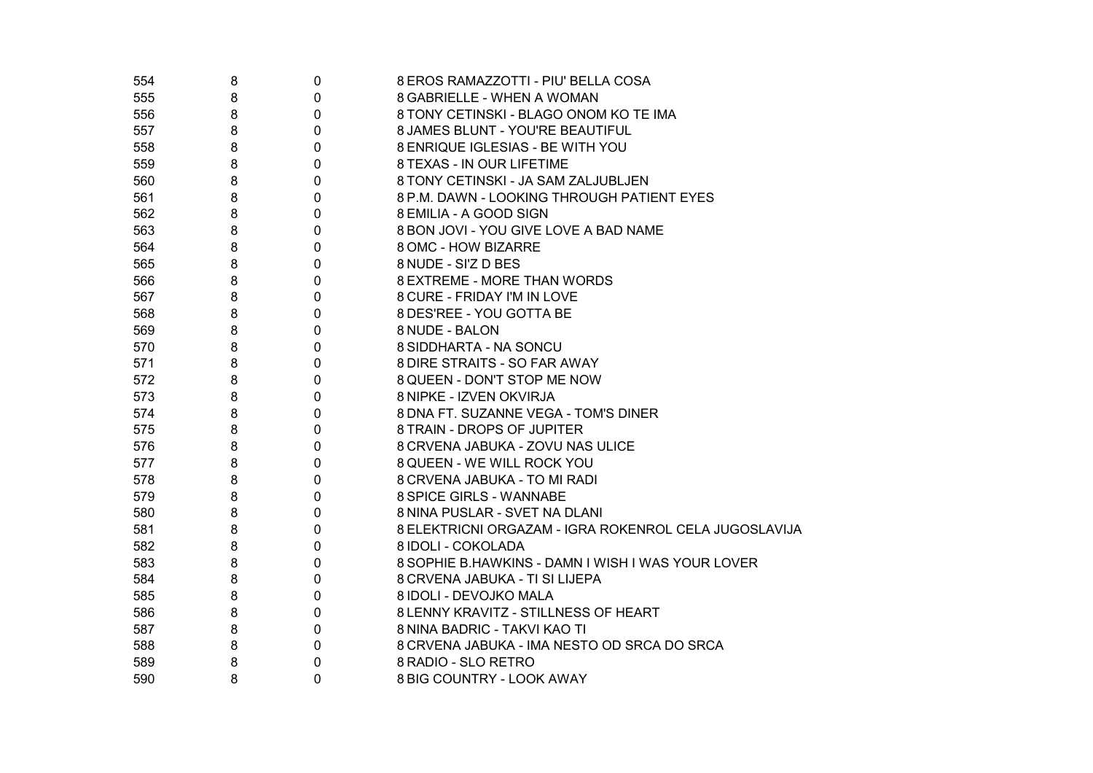| 554 | 8 | $\pmb{0}$   | 8 EROS RAMAZZOTTI - PIU' BELLA COSA                   |
|-----|---|-------------|-------------------------------------------------------|
| 555 | 8 | $\mathbf 0$ | 8 GABRIELLE - WHEN A WOMAN                            |
| 556 | 8 | $\mathbf 0$ | 8 TONY CETINSKI - BLAGO ONOM KO TE IMA                |
| 557 | 8 | $\pmb{0}$   | 8 JAMES BLUNT - YOU'RE BEAUTIFUL                      |
| 558 | 8 | $\mathbf 0$ | 8 ENRIQUE IGLESIAS - BE WITH YOU                      |
| 559 | 8 | 0           | 8 TEXAS - IN OUR LIFETIME                             |
| 560 | 8 | $\mathbf 0$ | 8 TONY CETINSKI - JA SAM ZALJUBLJEN                   |
| 561 | 8 | 0           | 8 P.M. DAWN - LOOKING THROUGH PATIENT EYES            |
| 562 | 8 | 0           | 8 EMILIA - A GOOD SIGN                                |
| 563 | 8 | 0           | 8 BON JOVI - YOU GIVE LOVE A BAD NAME                 |
| 564 | 8 | 0           | 8 OMC - HOW BIZARRE                                   |
| 565 | 8 | 0           | 8 NUDE - SI'Z D BES                                   |
| 566 | 8 | 0           | 8 EXTREME - MORE THAN WORDS                           |
| 567 | 8 | 0           | 8 CURE - FRIDAY I'M IN LOVE                           |
| 568 | 8 | 0           | 8 DES'REE - YOU GOTTA BE                              |
| 569 | 8 | 0           | 8 NUDE - BALON                                        |
| 570 | 8 | 0           | 8 SIDDHARTA - NA SONCU                                |
| 571 | 8 | 0           | 8 DIRE STRAITS - SO FAR AWAY                          |
| 572 | 8 | 0           | 8 QUEEN - DON'T STOP ME NOW                           |
| 573 | 8 | 0           | 8 NIPKE - IZVEN OKVIRJA                               |
| 574 | 8 | 0           | 8 DNA FT. SUZANNE VEGA - TOM'S DINER                  |
| 575 | 8 | 0           | 8 TRAIN - DROPS OF JUPITER                            |
| 576 | 8 | 0           | 8 CRVENA JABUKA - ZOVU NAS ULICE                      |
| 577 | 8 | 0           | 8 QUEEN - WE WILL ROCK YOU                            |
| 578 | 8 | 0           | 8 CRVENA JABUKA - TO MI RADI                          |
| 579 | 8 | 0           | 8 SPICE GIRLS - WANNABE                               |
| 580 | 8 | 0           | 8 NINA PUSLAR - SVET NA DLANI                         |
| 581 | 8 | 0           | 8 ELEKTRICNI ORGAZAM - IGRA ROKENROL CELA JUGOSLAVIJA |
| 582 | 8 | 0           | 8 IDOLI - COKOLADA                                    |
| 583 | 8 | 0           | 8 SOPHIE B.HAWKINS - DAMN I WISH I WAS YOUR LOVER     |
| 584 | 8 | 0           | 8 CRVENA JABUKA - TI SI LIJEPA                        |
| 585 | 8 | 0           | 8 IDOLI - DEVOJKO MALA                                |
| 586 | 8 | 0           | 8 LENNY KRAVITZ - STILLNESS OF HEART                  |
| 587 | 8 | 0           | 8 NINA BADRIC - TAKVI KAO TI                          |
| 588 | 8 | $\pmb{0}$   | 8 CRVENA JABUKA - IMA NESTO OD SRCA DO SRCA           |
| 589 | 8 | $\pmb{0}$   | 8 RADIO - SLO RETRO                                   |
| 590 | 8 | 0           | 8 BIG COUNTRY - LOOK AWAY                             |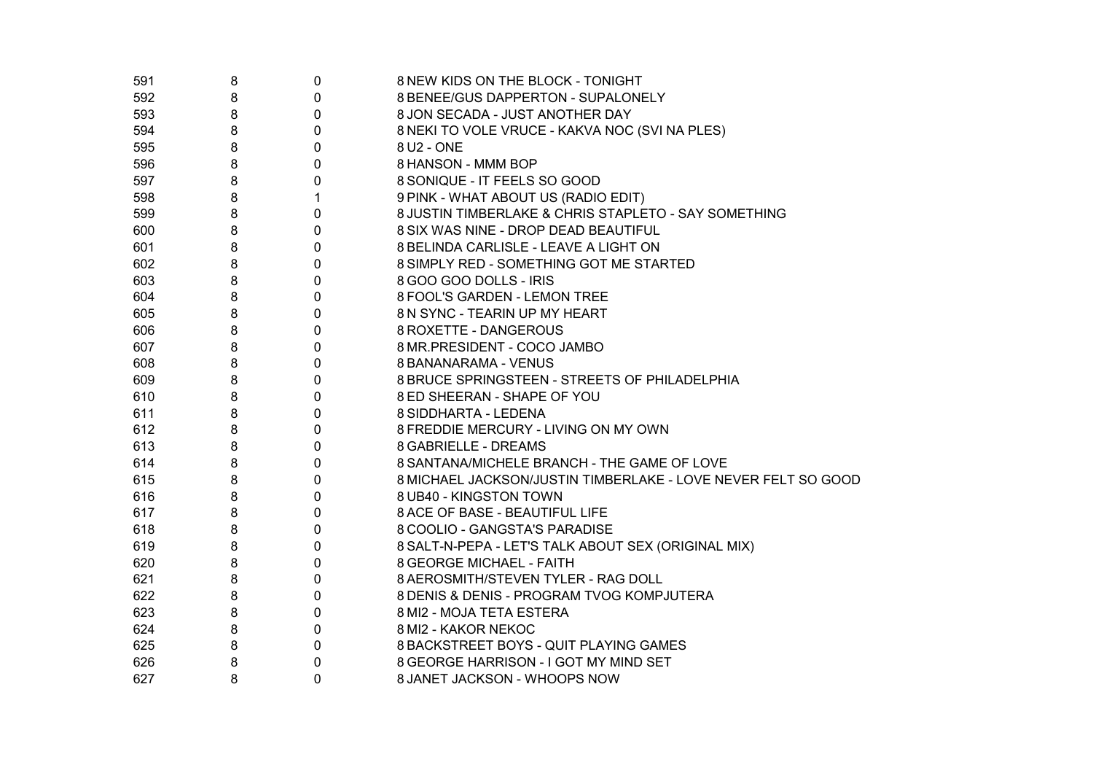| 591 | 8 | 0            | 8 NEW KIDS ON THE BLOCK - TONIGHT                             |
|-----|---|--------------|---------------------------------------------------------------|
| 592 | 8 | 0            | 8 BENEE/GUS DAPPERTON - SUPALONELY                            |
| 593 | 8 | $\mathbf 0$  | 8 JON SECADA - JUST ANOTHER DAY                               |
| 594 | 8 | 0            | 8 NEKI TO VOLE VRUCE - KAKVA NOC (SVI NA PLES)                |
| 595 | 8 | $\mathbf 0$  | 8 U2 - ONE                                                    |
| 596 | 8 | $\mathbf 0$  | 8 HANSON - MMM BOP                                            |
| 597 | 8 | 0            | 8 SONIQUE - IT FEELS SO GOOD                                  |
| 598 | 8 | $\mathbf{1}$ | 9 PINK - WHAT ABOUT US (RADIO EDIT)                           |
| 599 | 8 | $\mathbf 0$  | 8 JUSTIN TIMBERLAKE & CHRIS STAPLETO - SAY SOMETHING          |
| 600 | 8 | $\mathbf 0$  | 8 SIX WAS NINE - DROP DEAD BEAUTIFUL                          |
| 601 | 8 | $\mathbf 0$  | 8 BELINDA CARLISLE - LEAVE A LIGHT ON                         |
| 602 | 8 | 0            | 8 SIMPLY RED - SOMETHING GOT ME STARTED                       |
| 603 | 8 | $\mathbf 0$  | 8 GOO GOO DOLLS - IRIS                                        |
| 604 | 8 | 0            | 8 FOOL'S GARDEN - LEMON TREE                                  |
| 605 | 8 | 0            | 8 N SYNC - TEARIN UP MY HEART                                 |
| 606 | 8 | 0            | 8 ROXETTE - DANGEROUS                                         |
| 607 | 8 | $\mathbf 0$  | 8 MR.PRESIDENT - COCO JAMBO                                   |
| 608 | 8 | 0            | 8 BANANARAMA - VENUS                                          |
| 609 | 8 | 0            | 8 BRUCE SPRINGSTEEN - STREETS OF PHILADELPHIA                 |
| 610 | 8 | 0            | 8 ED SHEERAN - SHAPE OF YOU                                   |
| 611 | 8 | 0            | 8 SIDDHARTA - LEDENA                                          |
| 612 | 8 | 0            | 8 FREDDIE MERCURY - LIVING ON MY OWN                          |
| 613 | 8 | 0            | 8 GABRIELLE - DREAMS                                          |
| 614 | 8 | 0            | 8 SANTANA/MICHELE BRANCH - THE GAME OF LOVE                   |
| 615 | 8 | 0            | 8 MICHAEL JACKSON/JUSTIN TIMBERLAKE - LOVE NEVER FELT SO GOOD |
| 616 | 8 | 0            | 8 UB40 - KINGSTON TOWN                                        |
| 617 | 8 | 0            | 8 ACE OF BASE - BEAUTIFUL LIFE                                |
| 618 | 8 | 0            | 8 COOLIO - GANGSTA'S PARADISE                                 |
| 619 | 8 | 0            | 8 SALT-N-PEPA - LET'S TALK ABOUT SEX (ORIGINAL MIX)           |
| 620 | 8 | 0            | 8 GEORGE MICHAEL - FAITH                                      |
| 621 | 8 | $\pmb{0}$    | 8 AEROSMITH/STEVEN TYLER - RAG DOLL                           |
| 622 | 8 | $\pmb{0}$    | 8 DENIS & DENIS - PROGRAM TVOG KOMPJUTERA                     |
| 623 | 8 | $\pmb{0}$    | 8 MI2 - MOJA TETA ESTERA                                      |
| 624 | 8 | $\pmb{0}$    | 8 MI2 - KAKOR NEKOC                                           |
| 625 | 8 | $\pmb{0}$    | 8 BACKSTREET BOYS - QUIT PLAYING GAMES                        |
| 626 | 8 | 0            | 8 GEORGE HARRISON - I GOT MY MIND SET                         |
| 627 | 8 | 0            | 8 JANET JACKSON - WHOOPS NOW                                  |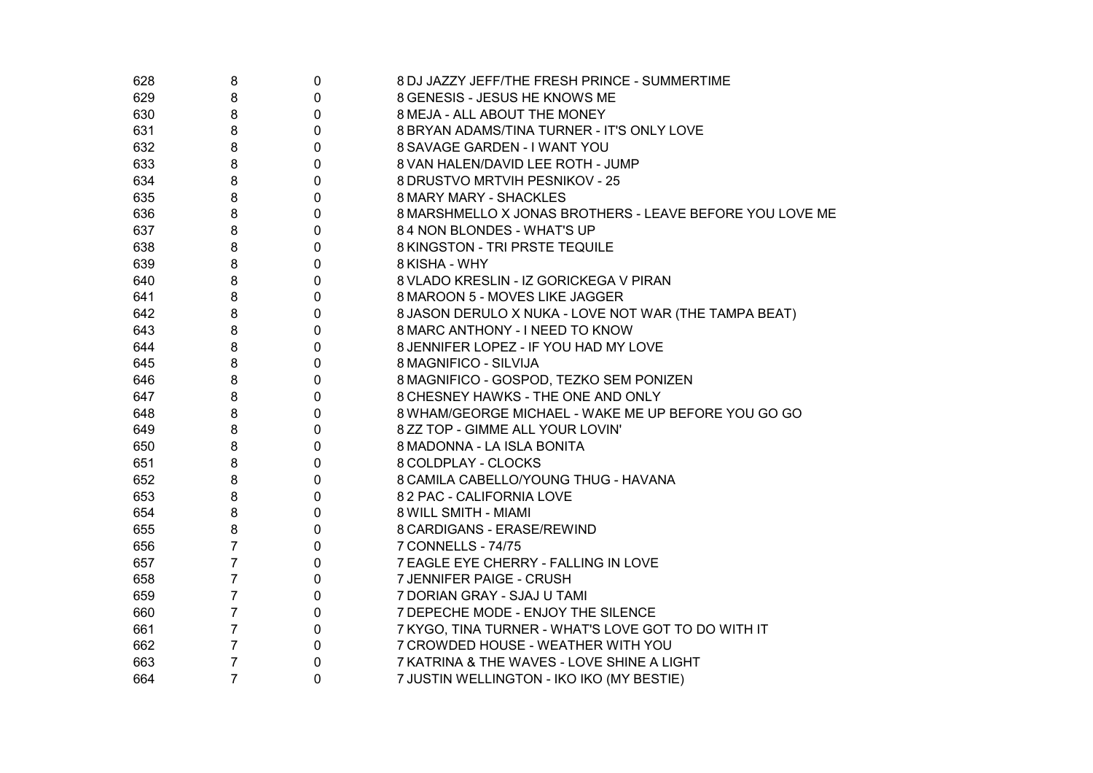| 628 | 8              | 0 | 8 DJ JAZZY JEFF/THE FRESH PRINCE - SUMMERTIME            |
|-----|----------------|---|----------------------------------------------------------|
| 629 | 8              | 0 | 8 GENESIS - JESUS HE KNOWS ME                            |
| 630 | 8              | 0 | 8 MEJA - ALL ABOUT THE MONEY                             |
| 631 | 8              | 0 | 8 BRYAN ADAMS/TINA TURNER - IT'S ONLY LOVE               |
| 632 | 8              | 0 | 8 SAVAGE GARDEN - I WANT YOU                             |
| 633 | 8              | 0 | 8 VAN HALEN/DAVID LEE ROTH - JUMP                        |
| 634 | 8              | 0 | 8 DRUSTVO MRTVIH PESNIKOV - 25                           |
| 635 | 8              | 0 | 8 MARY MARY - SHACKLES                                   |
| 636 | 8              | 0 | 8 MARSHMELLO X JONAS BROTHERS - LEAVE BEFORE YOU LOVE ME |
| 637 | 8              | 0 | 84 NON BLONDES - WHAT'S UP                               |
| 638 | 8              | 0 | 8 KINGSTON - TRI PRSTE TEQUILE                           |
| 639 | 8              | 0 | 8 KISHA - WHY                                            |
| 640 | 8              | 0 | 8 VLADO KRESLIN - IZ GORICKEGA V PIRAN                   |
| 641 | 8              | 0 | 8 MAROON 5 - MOVES LIKE JAGGER                           |
| 642 | 8              | 0 | 8 JASON DERULO X NUKA - LOVE NOT WAR (THE TAMPA BEAT)    |
| 643 | 8              | 0 | 8 MARC ANTHONY - I NEED TO KNOW                          |
| 644 | 8              | 0 | 8 JENNIFER LOPEZ - IF YOU HAD MY LOVE                    |
| 645 | 8              | 0 | 8 MAGNIFICO - SILVIJA                                    |
| 646 | 8              | 0 | 8 MAGNIFICO - GOSPOD, TEZKO SEM PONIZEN                  |
| 647 | 8              | 0 | 8 CHESNEY HAWKS - THE ONE AND ONLY                       |
| 648 | 8              | 0 | 8 WHAM/GEORGE MICHAEL - WAKE ME UP BEFORE YOU GO GO      |
| 649 | 8              | 0 | 8 ZZ TOP - GIMME ALL YOUR LOVIN'                         |
| 650 | 8              | 0 | 8 MADONNA - LA ISLA BONITA                               |
| 651 | 8              | 0 | 8 COLDPLAY - CLOCKS                                      |
| 652 | 8              | 0 | 8 CAMILA CABELLO/YOUNG THUG - HAVANA                     |
| 653 | 8              | 0 | 82 PAC - CALIFORNIA LOVE                                 |
| 654 | 8              | 0 | 8 WILL SMITH - MIAMI                                     |
| 655 | 8              | 0 | 8 CARDIGANS - ERASE/REWIND                               |
| 656 | $\overline{7}$ | 0 | 7 CONNELLS - 74/75                                       |
| 657 | $\overline{7}$ | 0 | 7 EAGLE EYE CHERRY - FALLING IN LOVE                     |
| 658 | $\overline{7}$ | 0 | 7 JENNIFER PAIGE - CRUSH                                 |
| 659 | $\overline{7}$ | 0 | 7 DORIAN GRAY - SJAJ U TAMI                              |
| 660 | $\overline{7}$ | 0 | 7 DEPECHE MODE - ENJOY THE SILENCE                       |
| 661 | $\overline{7}$ | 0 | 7 KYGO, TINA TURNER - WHAT'S LOVE GOT TO DO WITH IT      |
| 662 | 7              | 0 | 7 CROWDED HOUSE - WEATHER WITH YOU                       |
| 663 | $\overline{7}$ | 0 | 7 KATRINA & THE WAVES - LOVE SHINE A LIGHT               |
| 664 | $\overline{7}$ | 0 | 7 JUSTIN WELLINGTON - IKO IKO (MY BESTIE)                |
|     |                |   |                                                          |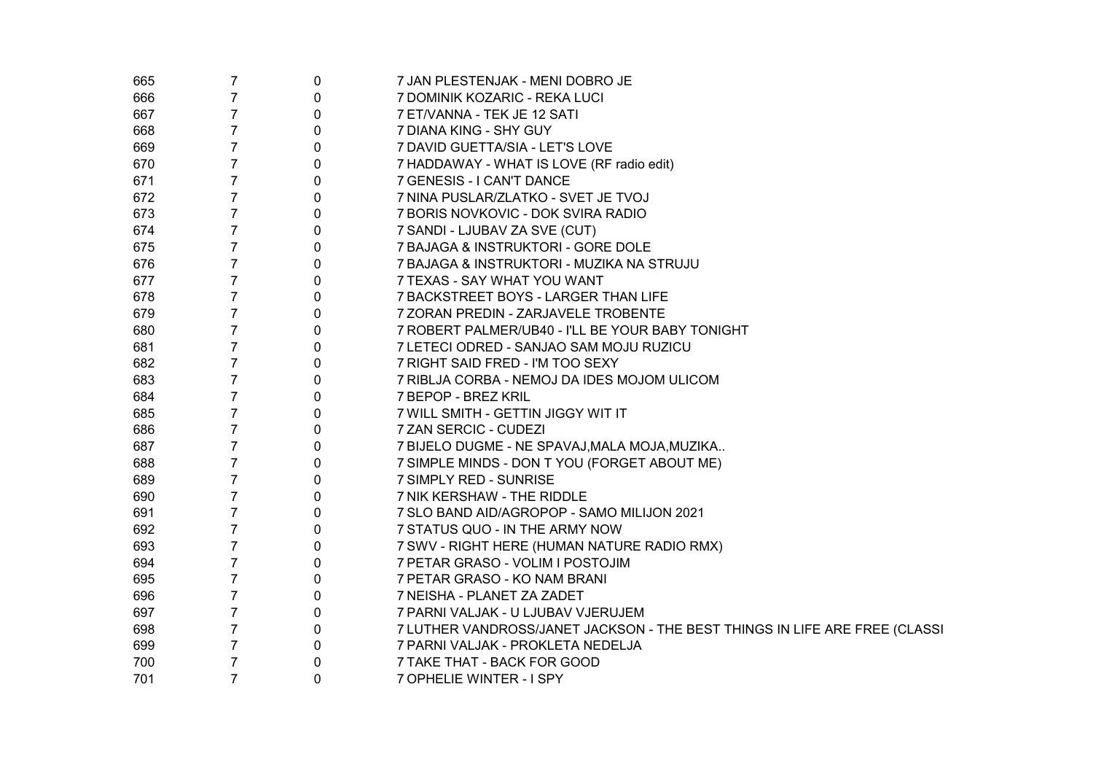| 665 | $\overline{7}$ | 0 | 7 JAN PLESTENJAK - MENI DOBRO JE                                           |
|-----|----------------|---|----------------------------------------------------------------------------|
| 666 | $\overline{7}$ | 0 | 7 DOMINIK KOZARIC - REKA LUCI                                              |
| 667 | $\overline{7}$ | 0 | 7 ET/VANNA - TEK JE 12 SATI                                                |
| 668 | $\overline{7}$ | 0 | 7 DIANA KING - SHY GUY                                                     |
| 669 | $\overline{7}$ | 0 | 7 DAVID GUETTA/SIA - LET'S LOVE                                            |
| 670 | $\overline{7}$ | 0 | 7 HADDAWAY - WHAT IS LOVE (RF radio edit)                                  |
| 671 | $\overline{7}$ | 0 | 7 GENESIS - I CAN'T DANCE                                                  |
| 672 | $\overline{7}$ | 0 | 7 NINA PUSLAR/ZLATKO - SVET JE TVOJ                                        |
| 673 | $\overline{7}$ | 0 | 7 BORIS NOVKOVIC - DOK SVIRA RADIO                                         |
| 674 | $\overline{7}$ | 0 | 7 SANDI - LJUBAV ZA SVE (CUT)                                              |
| 675 | $\overline{7}$ | 0 | 7 BAJAGA & INSTRUKTORI - GORE DOLE                                         |
| 676 | $\overline{7}$ | 0 | 7 BAJAGA & INSTRUKTORI - MUZIKA NA STRUJU                                  |
| 677 | $\overline{7}$ | 0 | 7 TEXAS - SAY WHAT YOU WANT                                                |
| 678 | $\overline{7}$ | 0 | 7 BACKSTREET BOYS - LARGER THAN LIFE                                       |
| 679 | 7              | 0 | 7 ZORAN PREDIN - ZARJAVELE TROBENTE                                        |
| 680 | $\overline{7}$ | 0 | 7 ROBERT PALMER/UB40 - I'LL BE YOUR BABY TONIGHT                           |
| 681 | 7              | 0 | 7 LETECI ODRED - SANJAO SAM MOJU RUZICU                                    |
| 682 | 7              | 0 | 7 RIGHT SAID FRED - I'M TOO SEXY                                           |
| 683 | 7              | 0 | 7 RIBLJA CORBA - NEMOJ DA IDES MOJOM ULICOM                                |
| 684 | 7              | 0 | 7 BEPOP - BREZ KRIL                                                        |
| 685 | 7              | 0 | 7 WILL SMITH - GETTIN JIGGY WIT IT                                         |
| 686 | 7              | 0 | 7 ZAN SERCIC - CUDEZI                                                      |
| 687 | 7              | 0 | 7 BIJELO DUGME - NE SPAVAJ, MALA MOJA, MUZIKA                              |
| 688 | 7              | 0 | 7 SIMPLE MINDS - DON T YOU (FORGET ABOUT ME)                               |
| 689 | 7              | 0 | 7 SIMPLY RED - SUNRISE                                                     |
| 690 | $\overline{7}$ | 0 | 7 NIK KERSHAW - THE RIDDLE                                                 |
| 691 | $\overline{7}$ | 0 | 7 SLO BAND AID/AGROPOP - SAMO MILIJON 2021                                 |
| 692 | $\overline{7}$ | 0 | 7 STATUS QUO - IN THE ARMY NOW                                             |
| 693 | 7              | 0 | 7 SWV - RIGHT HERE (HUMAN NATURE RADIO RMX)                                |
| 694 | 7              | 0 | 7 PETAR GRASO - VOLIM I POSTOJIM                                           |
| 695 | 7              | 0 | 7 PETAR GRASO - KO NAM BRANI                                               |
| 696 | $\overline{7}$ | 0 | 7 NEISHA - PLANET ZA ZADET                                                 |
| 697 | $\overline{7}$ | 0 | 7 PARNI VALJAK - U LJUBAV VJERUJEM                                         |
| 698 | $\overline{7}$ | 0 | 7 LUTHER VANDROSS/JANET JACKSON - THE BEST THINGS IN LIFE ARE FREE (CLASSI |
| 699 | $\overline{7}$ | 0 | 7 PARNI VALJAK - PROKLETA NEDELJA                                          |
| 700 | $\overline{7}$ | 0 | 7 TAKE THAT - BACK FOR GOOD                                                |
| 701 | $\overline{7}$ | 0 | 7 OPHELIE WINTER - I SPY                                                   |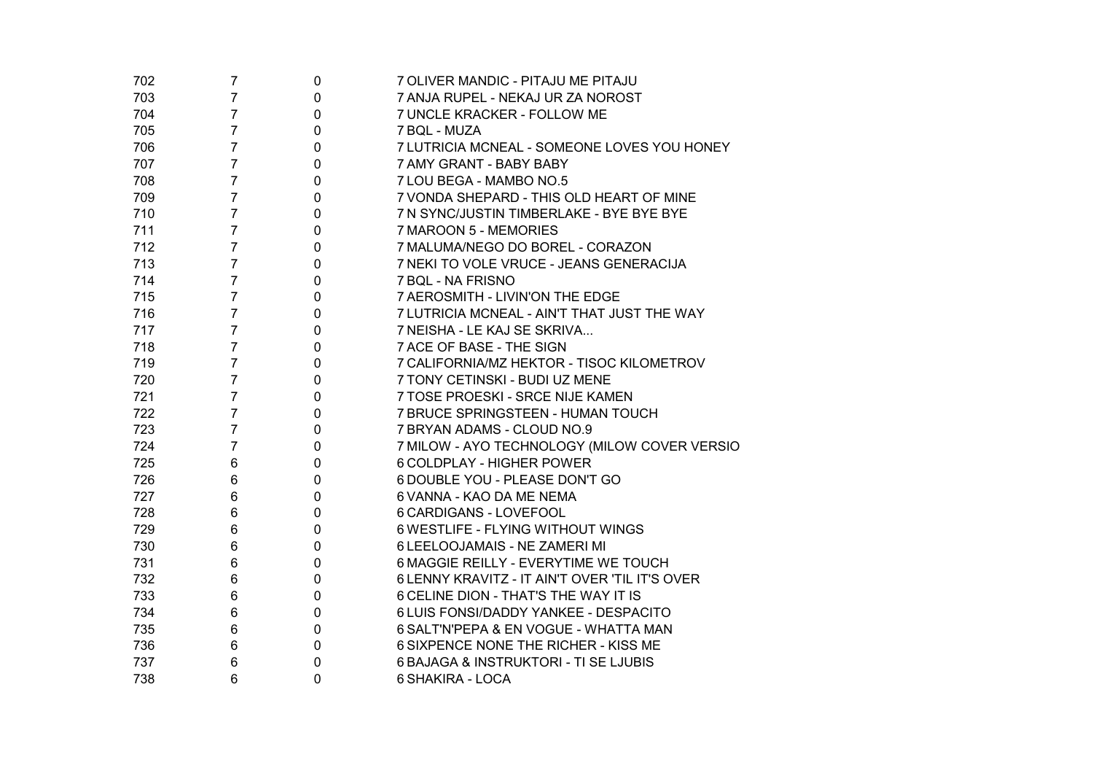| 702 | 7              | 0              | 7 OLIVER MANDIC - PITAJU ME PITAJU             |
|-----|----------------|----------------|------------------------------------------------|
| 703 | 7              | 0              | 7 ANJA RUPEL - NEKAJ UR ZA NOROST              |
| 704 | 7              | 0              | 7 UNCLE KRACKER - FOLLOW ME                    |
| 705 | 7              | 0              | 7 BQL - MUZA                                   |
| 706 | 7              | 0              | 7 LUTRICIA MCNEAL - SOMEONE LOVES YOU HONEY    |
| 707 | 7              | 0              | 7 AMY GRANT - BABY BABY                        |
| 708 | 7              | 0              | 7 LOU BEGA - MAMBO NO.5                        |
| 709 | 7              | 0              | 7 VONDA SHEPARD - THIS OLD HEART OF MINE       |
| 710 | 7              | 0              | 7 N SYNC/JUSTIN TIMBERLAKE - BYE BYE BYE       |
| 711 | 7              | 0              | 7 MAROON 5 - MEMORIES                          |
| 712 | 7              | 0              | 7 MALUMA/NEGO DO BOREL - CORAZON               |
| 713 | 7              | 0              | 7 NEKI TO VOLE VRUCE - JEANS GENERACIJA        |
| 714 | 7              | 0              | 7 BQL - NA FRISNO                              |
| 715 | 7              | 0              | 7 AEROSMITH - LIVIN'ON THE EDGE                |
| 716 | 7              | 0              | 7 LUTRICIA MCNEAL - AIN'T THAT JUST THE WAY    |
| 717 | 7              | 0              | 7 NEISHA - LE KAJ SE SKRIVA                    |
| 718 | 7              | 0              | 7 ACE OF BASE - THE SIGN                       |
| 719 | 7              | 0              | 7 CALIFORNIA/MZ HEKTOR - TISOC KILOMETROV      |
| 720 | 7              | 0              | 7 TONY CETINSKI - BUDI UZ MENE                 |
| 721 | 7              | 0              | 7 TOSE PROESKI - SRCE NIJE KAMEN               |
| 722 | 7              | 0              | 7 BRUCE SPRINGSTEEN - HUMAN TOUCH              |
| 723 | 7              | 0              | 7 BRYAN ADAMS - CLOUD NO.9                     |
| 724 | $\overline{7}$ | 0              | 7 MILOW - AYO TECHNOLOGY (MILOW COVER VERSIO   |
| 725 | 6              | 0              | 6 COLDPLAY - HIGHER POWER                      |
| 726 | 6              | 0              | 6 DOUBLE YOU - PLEASE DON'T GO                 |
| 727 | 6              | 0              | 6 VANNA - KAO DA ME NEMA                       |
| 728 | 6              | 0              | 6 CARDIGANS - LOVEFOOL                         |
| 729 | 6              | 0              | 6 WESTLIFE - FLYING WITHOUT WINGS              |
| 730 | 6              | 0              | 6 LEELOOJAMAIS - NE ZAMERI MI                  |
| 731 | 6              | 0              | 6 MAGGIE REILLY - EVERYTIME WE TOUCH           |
| 732 | 6              | 0              | 6 LENNY KRAVITZ - IT AIN'T OVER 'TIL IT'S OVER |
| 733 | 6              | 0              | 6 CELINE DION - THAT'S THE WAY IT IS           |
| 734 | 6              | 0              | 6 LUIS FONSI/DADDY YANKEE - DESPACITO          |
| 735 | 6              | 0              | 6 SALT'N'PEPA & EN VOGUE - WHATTA MAN          |
| 736 | 6              | $\pmb{0}$      | 6 SIXPENCE NONE THE RICHER - KISS ME           |
| 737 | 6              | 0              | 6 BAJAGA & INSTRUKTORI - TI SE LJUBIS          |
| 738 | 6              | $\overline{0}$ | 6 SHAKIRA - LOCA                               |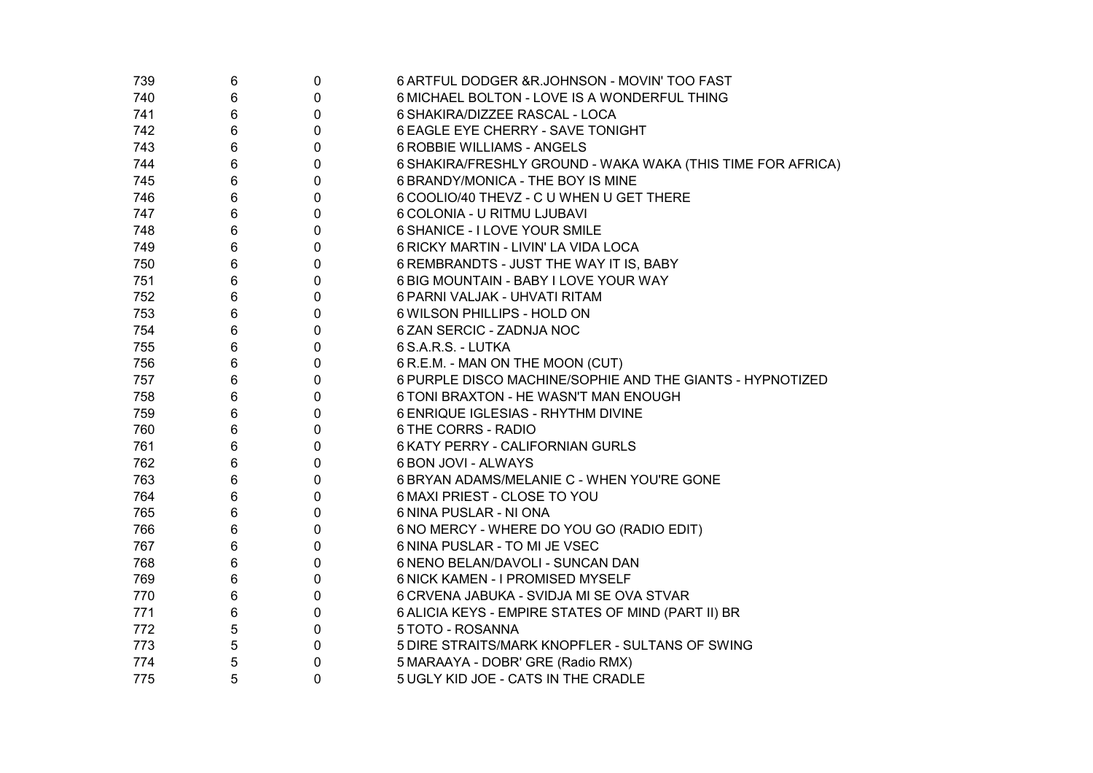| 739 | 6 | $\pmb{0}$   | 6 ARTFUL DODGER & R.JOHNSON - MOVIN' TOO FAST               |
|-----|---|-------------|-------------------------------------------------------------|
| 740 | 6 | $\pmb{0}$   | 6 MICHAEL BOLTON - LOVE IS A WONDERFUL THING                |
| 741 | 6 | $\pmb{0}$   | 6 SHAKIRA/DIZZEE RASCAL - LOCA                              |
| 742 | 6 | $\pmb{0}$   | 6 EAGLE EYE CHERRY - SAVE TONIGHT                           |
| 743 | 6 | $\pmb{0}$   | <b>6 ROBBIE WILLIAMS - ANGELS</b>                           |
| 744 | 6 | $\pmb{0}$   | 6 SHAKIRA/FRESHLY GROUND - WAKA WAKA (THIS TIME FOR AFRICA) |
| 745 | 6 | $\pmb{0}$   | 6 BRANDY/MONICA - THE BOY IS MINE                           |
| 746 | 6 | $\mathbf 0$ | 6 COOLIO/40 THEVZ - C U WHEN U GET THERE                    |
| 747 | 6 | $\pmb{0}$   | 6 COLONIA - U RITMU LJUBAVI                                 |
| 748 | 6 | $\pmb{0}$   | 6 SHANICE - I LOVE YOUR SMILE                               |
| 749 | 6 | $\pmb{0}$   | 6 RICKY MARTIN - LIVIN' LA VIDA LOCA                        |
| 750 | 6 | $\pmb{0}$   | 6 REMBRANDTS - JUST THE WAY IT IS, BABY                     |
| 751 | 6 | $\pmb{0}$   | 6 BIG MOUNTAIN - BABY I LOVE YOUR WAY                       |
| 752 | 6 | $\pmb{0}$   | 6 PARNI VALJAK - UHVATI RITAM                               |
| 753 | 6 | $\pmb{0}$   | 6 WILSON PHILLIPS - HOLD ON                                 |
| 754 | 6 | $\pmb{0}$   | 6 ZAN SERCIC - ZADNJA NOC                                   |
| 755 | 6 | $\pmb{0}$   | 6 S.A.R.S. - LUTKA                                          |
| 756 | 6 | $\pmb{0}$   | 6 R.E.M. - MAN ON THE MOON (CUT)                            |
| 757 | 6 | $\pmb{0}$   | 6 PURPLE DISCO MACHINE/SOPHIE AND THE GIANTS - HYPNOTIZED   |
| 758 | 6 | $\pmb{0}$   | 6 TONI BRAXTON - HE WASN'T MAN ENOUGH                       |
| 759 | 6 | $\pmb{0}$   | 6 ENRIQUE IGLESIAS - RHYTHM DIVINE                          |
| 760 | 6 | $\pmb{0}$   | 6 THE CORRS - RADIO                                         |
| 761 | 6 | $\pmb{0}$   | 6 KATY PERRY - CALIFORNIAN GURLS                            |
| 762 | 6 | $\pmb{0}$   | 6 BON JOVI - ALWAYS                                         |
| 763 | 6 | $\pmb{0}$   | 6 BRYAN ADAMS/MELANIE C - WHEN YOU'RE GONE                  |
| 764 | 6 | $\pmb{0}$   | 6 MAXI PRIEST - CLOSE TO YOU                                |
| 765 | 6 | $\pmb{0}$   | 6 NINA PUSLAR - NI ONA                                      |
| 766 | 6 | $\pmb{0}$   | 6 NO MERCY - WHERE DO YOU GO (RADIO EDIT)                   |
| 767 | 6 | $\pmb{0}$   | 6 NINA PUSLAR - TO MI JE VSEC                               |
| 768 | 6 | $\pmb{0}$   | 6 NENO BELAN/DAVOLI - SUNCAN DAN                            |
| 769 | 6 | $\pmb{0}$   | 6 NICK KAMEN - I PROMISED MYSELF                            |
| 770 | 6 | $\pmb{0}$   | 6 CRVENA JABUKA - SVIDJA MI SE OVA STVAR                    |
| 771 | 6 | $\pmb{0}$   | 6 ALICIA KEYS - EMPIRE STATES OF MIND (PART II) BR          |
| 772 | 5 | $\pmb{0}$   | 5 TOTO - ROSANNA                                            |
| 773 | 5 | $\pmb{0}$   | 5 DIRE STRAITS/MARK KNOPFLER - SULTANS OF SWING             |
| 774 | 5 | 0           | 5 MARAAYA - DOBR' GRE (Radio RMX)                           |
| 775 | 5 | 0           | 5 UGLY KID JOE - CATS IN THE CRADLE                         |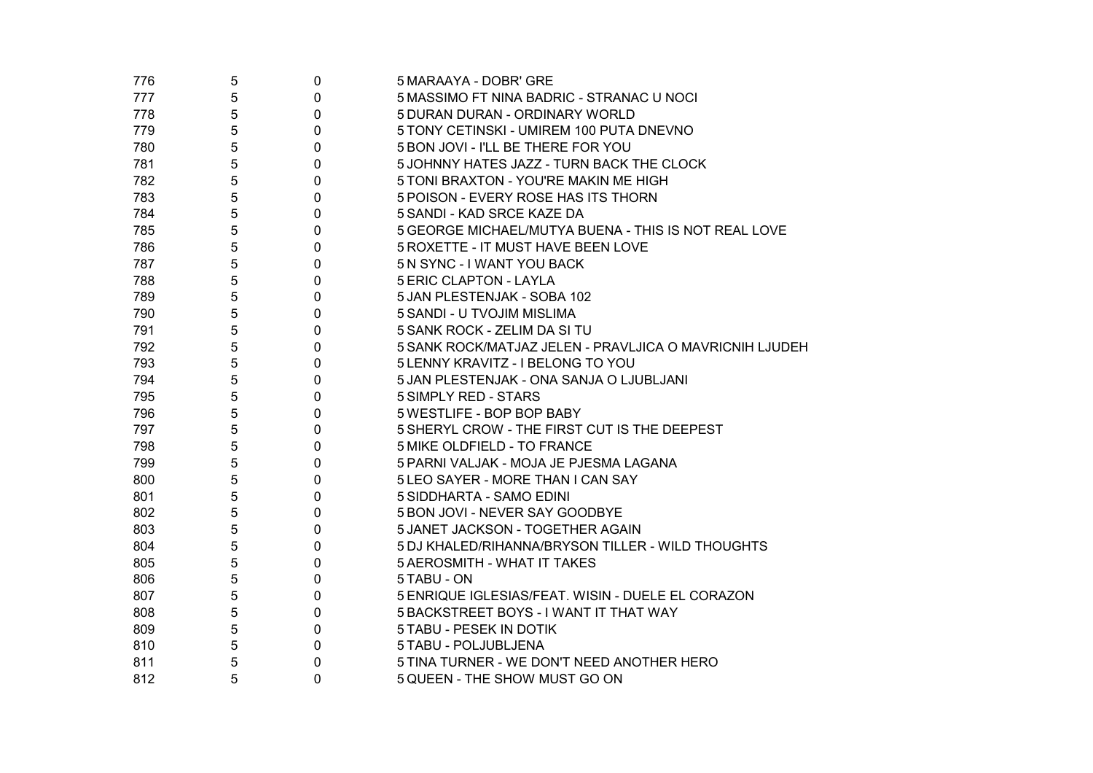| 776 | 5 | $\pmb{0}$   | 5 MARAAYA - DOBR' GRE                                   |
|-----|---|-------------|---------------------------------------------------------|
| 777 | 5 | $\mathbf 0$ | 5 MASSIMO FT NINA BADRIC - STRANAC U NOCI               |
| 778 | 5 | $\mathbf 0$ | 5 DURAN DURAN - ORDINARY WORLD                          |
| 779 | 5 | 0           | 5 TONY CETINSKI - UMIREM 100 PUTA DNEVNO                |
| 780 | 5 | 0           | 5 BON JOVI - I'LL BE THERE FOR YOU                      |
| 781 | 5 | 0           | 5 JOHNNY HATES JAZZ - TURN BACK THE CLOCK               |
| 782 | 5 | 0           | 5 TONI BRAXTON - YOU'RE MAKIN ME HIGH                   |
| 783 | 5 | 0           | 5 POISON - EVERY ROSE HAS ITS THORN                     |
| 784 | 5 | 0           | 5 SANDI - KAD SRCE KAZE DA                              |
| 785 | 5 | 0           | 5 GEORGE MICHAEL/MUTYA BUENA - THIS IS NOT REAL LOVE    |
| 786 | 5 | 0           | 5 ROXETTE - IT MUST HAVE BEEN LOVE                      |
| 787 | 5 | 0           | 5 N SYNC - I WANT YOU BACK                              |
| 788 | 5 | $\Omega$    | <b>5 ERIC CLAPTON - LAYLA</b>                           |
| 789 | 5 | 0           | 5 JAN PLESTENJAK - SOBA 102                             |
| 790 | 5 | 0           | 5 SANDI - U TVOJIM MISLIMA                              |
| 791 | 5 | 0           | 5 SANK ROCK - ZELIM DA SI TU                            |
| 792 | 5 | 0           | 5 SANK ROCK/MATJAZ JELEN - PRAVLJICA O MAVRICNIH LJUDEH |
| 793 | 5 | 0           | 5 LENNY KRAVITZ - I BELONG TO YOU                       |
| 794 | 5 | 0           | 5 JAN PLESTENJAK - ONA SANJA O LJUBLJANI                |
| 795 | 5 | 0           | 5 SIMPLY RED - STARS                                    |
| 796 | 5 | 0           | 5 WESTLIFE - BOP BOP BABY                               |
| 797 | 5 | 0           | 5 SHERYL CROW - THE FIRST CUT IS THE DEEPEST            |
| 798 | 5 | 0           | 5 MIKE OLDFIELD - TO FRANCE                             |
| 799 | 5 | 0           | 5 PARNI VALJAK - MOJA JE PJESMA LAGANA                  |
| 800 | 5 | 0           | 5 LEO SAYER - MORE THAN I CAN SAY                       |
| 801 | 5 | 0           | 5 SIDDHARTA - SAMO EDINI                                |
| 802 | 5 | 0           | 5 BON JOVI - NEVER SAY GOODBYE                          |
| 803 | 5 | 0           | 5 JANET JACKSON - TOGETHER AGAIN                        |
| 804 | 5 | 0           | 5 DJ KHALED/RIHANNA/BRYSON TILLER - WILD THOUGHTS       |
| 805 | 5 | 0           | 5 AEROSMITH - WHAT IT TAKES                             |
| 806 | 5 | 0           | 5 TABU - ON                                             |
| 807 | 5 | 0           | 5 ENRIQUE IGLESIAS/FEAT. WISIN - DUELE EL CORAZON       |
| 808 | 5 | 0           | 5 BACKSTREET BOYS - I WANT IT THAT WAY                  |
| 809 | 5 | 0           | 5 TABU - PESEK IN DOTIK                                 |
| 810 | 5 | 0           | 5 TABU - POLJUBLJENA                                    |
| 811 | 5 | 0           | 5 TINA TURNER - WE DON'T NEED ANOTHER HERO              |
| 812 | 5 | 0           | 5 QUEEN - THE SHOW MUST GO ON                           |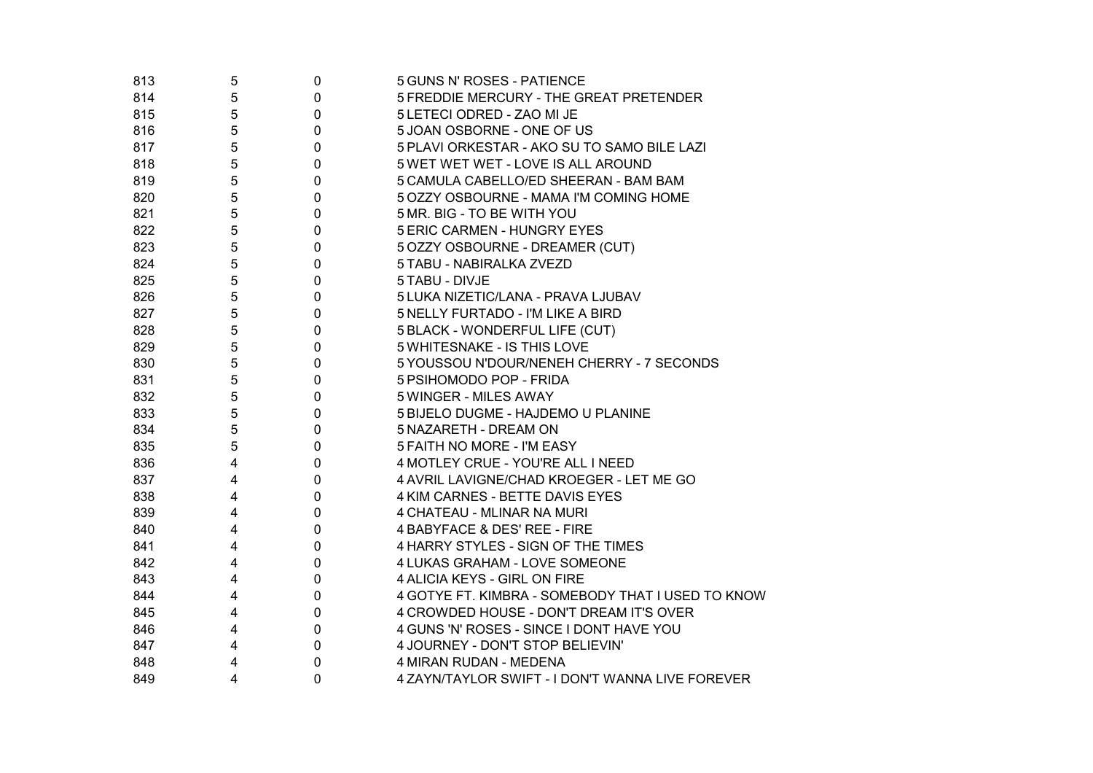| 813 | 5 | 0           | 5 GUNS N' ROSES - PATIENCE                        |
|-----|---|-------------|---------------------------------------------------|
| 814 | 5 | 0           | 5 FREDDIE MERCURY - THE GREAT PRETENDER           |
| 815 | 5 | 0           | 5 LETECI ODRED - ZAO MI JE                        |
| 816 | 5 | 0           | 5 JOAN OSBORNE - ONE OF US                        |
| 817 | 5 | $\pmb{0}$   | 5 PLAVI ORKESTAR - AKO SU TO SAMO BILE LAZI       |
| 818 | 5 | 0           | 5 WET WET WET - LOVE IS ALL AROUND                |
| 819 | 5 | 0           | 5 CAMULA CABELLO/ED SHEERAN - BAM BAM             |
| 820 | 5 | $\pmb{0}$   | 5 OZZY OSBOURNE - MAMA I'M COMING HOME            |
| 821 | 5 | 0           | 5 MR. BIG - TO BE WITH YOU                        |
| 822 | 5 | 0           | 5 ERIC CARMEN - HUNGRY EYES                       |
| 823 | 5 | 0           | 5 OZZY OSBOURNE - DREAMER (CUT)                   |
| 824 | 5 | 0           | 5 TABU - NABIRALKA ZVEZD                          |
| 825 | 5 | 0           | 5 TABU - DIVJE                                    |
| 826 | 5 | 0           | 5 LUKA NIZETIC/LANA - PRAVA LJUBAV                |
| 827 | 5 | 0           | 5 NELLY FURTADO - I'M LIKE A BIRD                 |
| 828 | 5 | 0           | 5 BLACK - WONDERFUL LIFE (CUT)                    |
| 829 | 5 | 0           | 5 WHITESNAKE - IS THIS LOVE                       |
| 830 | 5 | $\mathbf 0$ | 5 YOUSSOU N'DOUR/NENEH CHERRY - 7 SECONDS         |
| 831 | 5 | 0           | 5 PSIHOMODO POP - FRIDA                           |
| 832 | 5 | 0           | 5 WINGER - MILES AWAY                             |
| 833 | 5 | 0           | 5 BIJELO DUGME - HAJDEMO U PLANINE                |
| 834 | 5 | 0           | 5 NAZARETH - DREAM ON                             |
| 835 | 5 | 0           | 5 FAITH NO MORE - I'M EASY                        |
| 836 | 4 | $\mathbf 0$ | 4 MOTLEY CRUE - YOU'RE ALL I NEED                 |
| 837 | 4 | 0           | 4 AVRIL LAVIGNE/CHAD KROEGER - LET ME GO          |
| 838 | 4 | 0           | 4 KIM CARNES - BETTE DAVIS EYES                   |
| 839 | 4 | 0           | 4 CHATEAU - MLINAR NA MURI                        |
| 840 | 4 | 0           | 4 BABYFACE & DES' REE - FIRE                      |
| 841 | 4 | 0           | 4 HARRY STYLES - SIGN OF THE TIMES                |
| 842 | 4 | 0           | 4 LUKAS GRAHAM - LOVE SOMEONE                     |
| 843 | 4 | 0           | 4 ALICIA KEYS - GIRL ON FIRE                      |
| 844 | 4 | 0           | 4 GOTYE FT. KIMBRA - SOMEBODY THAT I USED TO KNOW |
| 845 | 4 | 0           | 4 CROWDED HOUSE - DON'T DREAM IT'S OVER           |
| 846 | 4 | 0           | 4 GUNS 'N' ROSES - SINCE I DONT HAVE YOU          |
| 847 | 4 | 0           | 4 JOURNEY - DON'T STOP BELIEVIN'                  |
| 848 | 4 | 0           | 4 MIRAN RUDAN - MEDENA                            |
| 849 | 4 | 0           | 4 ZAYN/TAYLOR SWIFT - I DON'T WANNA LIVE FOREVER  |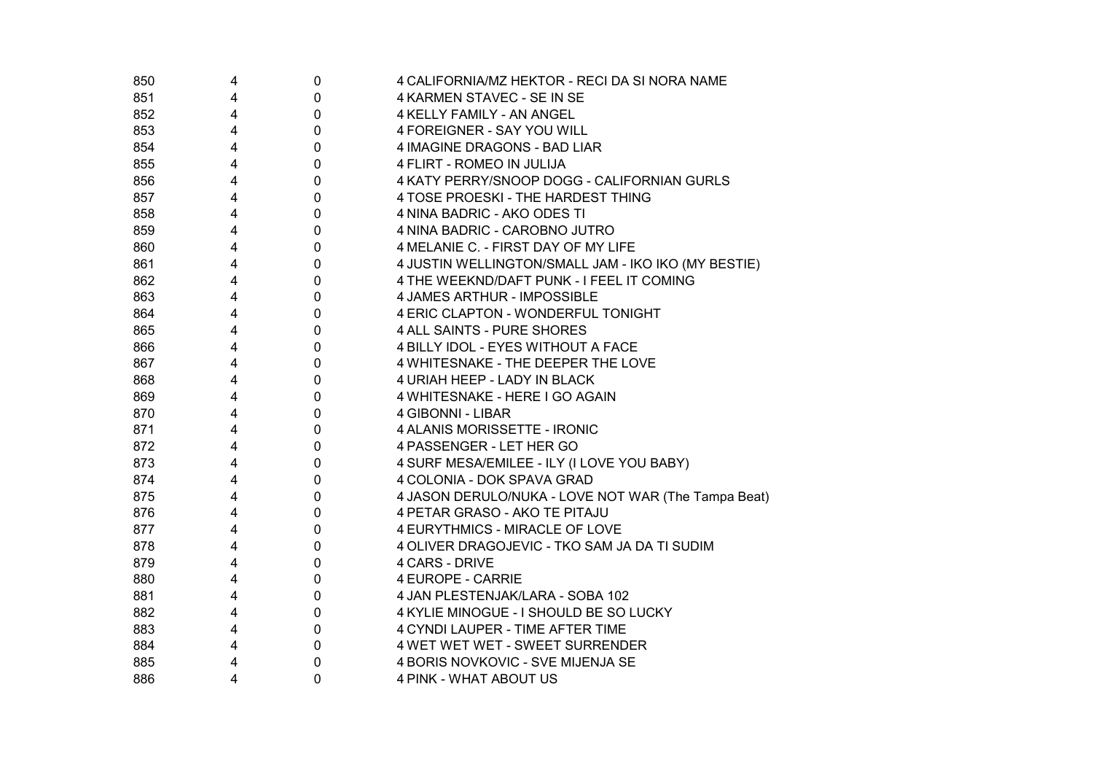| 850 | 4 | 0                | 4 CALIFORNIA/MZ HEKTOR - RECI DA SI NORA NAME       |
|-----|---|------------------|-----------------------------------------------------|
| 851 | 4 | $\pmb{0}$        | 4 KARMEN STAVEC - SE IN SE                          |
| 852 | 4 | $\mathbf 0$      | 4 KELLY FAMILY - AN ANGEL                           |
| 853 | 4 | $\pmb{0}$        | 4 FOREIGNER - SAY YOU WILL                          |
| 854 | 4 | $\pmb{0}$        | 4 IMAGINE DRAGONS - BAD LIAR                        |
| 855 | 4 | $\mathbf 0$      | 4 FLIRT - ROMEO IN JULIJA                           |
| 856 | 4 | $\pmb{0}$        | 4 KATY PERRY/SNOOP DOGG - CALIFORNIAN GURLS         |
| 857 | 4 | $\pmb{0}$        | 4 TOSE PROESKI - THE HARDEST THING                  |
| 858 | 4 | $\pmb{0}$        | 4 NINA BADRIC - AKO ODES TI                         |
| 859 | 4 | $\mathbf 0$      | 4 NINA BADRIC - CAROBNO JUTRO                       |
| 860 | 4 | $\mathbf 0$      | 4 MELANIE C. - FIRST DAY OF MY LIFE                 |
| 861 | 4 | $\pmb{0}$        | 4 JUSTIN WELLINGTON/SMALL JAM - IKO IKO (MY BESTIE) |
| 862 | 4 | $\mathbf 0$      | 4 THE WEEKND/DAFT PUNK - I FEEL IT COMING           |
| 863 | 4 | 0                | 4 JAMES ARTHUR - IMPOSSIBLE                         |
| 864 | 4 | $\pmb{0}$        | 4 ERIC CLAPTON - WONDERFUL TONIGHT                  |
| 865 | 4 | $\pmb{0}$        | 4 ALL SAINTS - PURE SHORES                          |
| 866 | 4 | $\pmb{0}$        | 4 BILLY IDOL - EYES WITHOUT A FACE                  |
| 867 | 4 | $\pmb{0}$        | 4 WHITESNAKE - THE DEEPER THE LOVE                  |
| 868 | 4 | $\pmb{0}$        | 4 URIAH HEEP - LADY IN BLACK                        |
| 869 | 4 | $\pmb{0}$        | 4 WHITESNAKE - HERE I GO AGAIN                      |
| 870 | 4 | $\pmb{0}$        | 4 GIBONNI - LIBAR                                   |
| 871 | 4 | $\pmb{0}$        | 4 ALANIS MORISSETTE - IRONIC                        |
| 872 | 4 | $\pmb{0}$        | 4 PASSENGER - LET HER GO                            |
| 873 | 4 | $\pmb{0}$        | 4 SURF MESA/EMILEE - ILY (I LOVE YOU BABY)          |
| 874 | 4 | $\pmb{0}$        | 4 COLONIA - DOK SPAVA GRAD                          |
| 875 | 4 | $\pmb{0}$        | 4 JASON DERULO/NUKA - LOVE NOT WAR (The Tampa Beat) |
| 876 | 4 | $\pmb{0}$        | 4 PETAR GRASO - AKO TE PITAJU                       |
| 877 | 4 | $\pmb{0}$        | 4 EURYTHMICS - MIRACLE OF LOVE                      |
| 878 | 4 | $\boldsymbol{0}$ | 4 OLIVER DRAGOJEVIC - TKO SAM JA DA TI SUDIM        |
| 879 | 4 | $\boldsymbol{0}$ | 4 CARS - DRIVE                                      |
| 880 | 4 | $\mathbf 0$      | 4 EUROPE - CARRIE                                   |
| 881 | 4 | $\pmb{0}$        | 4 JAN PLESTENJAK/LARA - SOBA 102                    |
| 882 | 4 | $\pmb{0}$        | 4 KYLIE MINOGUE - I SHOULD BE SO LUCKY              |
| 883 | 4 | $\mathbf 0$      | 4 CYNDI LAUPER - TIME AFTER TIME                    |
| 884 | 4 | $\mathbf 0$      | 4 WET WET WET - SWEET SURRENDER                     |
| 885 | 4 | $\pmb{0}$        | 4 BORIS NOVKOVIC - SVE MIJENJA SE                   |
| 886 | 4 | $\mathbf 0$      | 4 PINK - WHAT ABOUT US                              |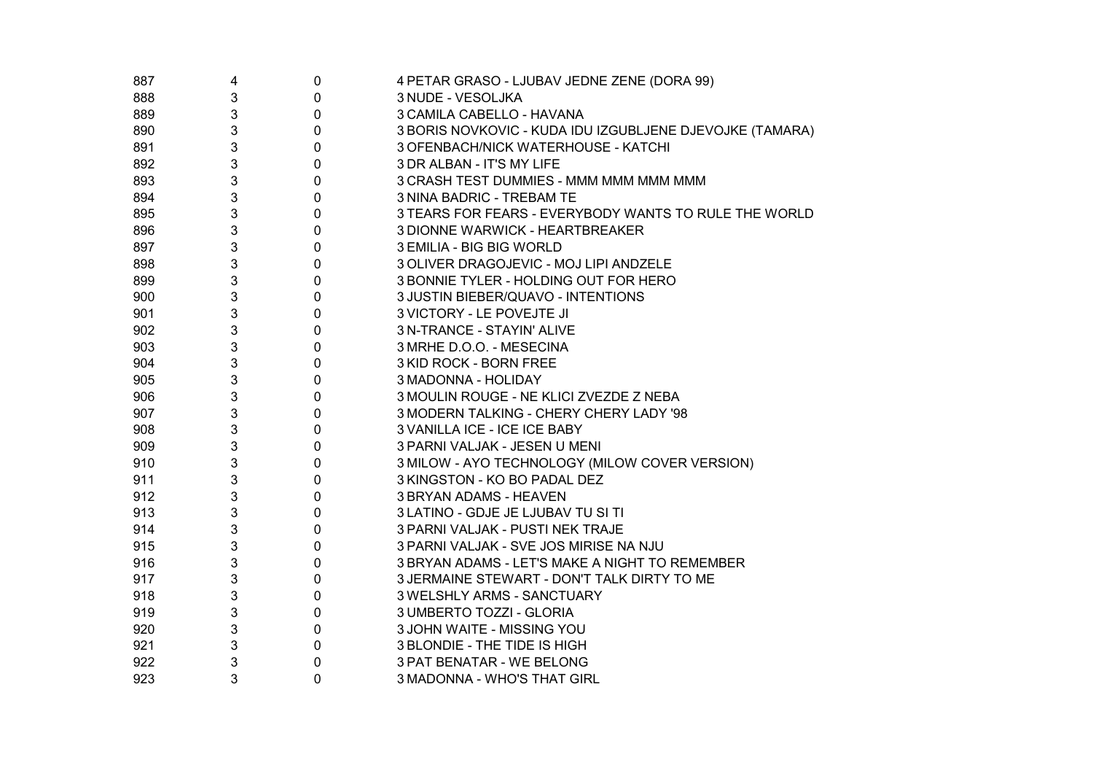| 887 | 4 | $\pmb{0}$ | 4 PETAR GRASO - LJUBAV JEDNE ZENE (DORA 99)              |
|-----|---|-----------|----------------------------------------------------------|
| 888 | 3 | 0         | 3 NUDE - VESOLJKA                                        |
| 889 | 3 | 0         | 3 CAMILA CABELLO - HAVANA                                |
| 890 | 3 | 0         | 3 BORIS NOVKOVIC - KUDA IDU IZGUBLJENE DJEVOJKE (TAMARA) |
| 891 | 3 | 0         | 3 OFENBACH/NICK WATERHOUSE - KATCHI                      |
| 892 | 3 | 0         | 3 DR ALBAN - IT'S MY LIFE                                |
| 893 | 3 | 0         | 3 CRASH TEST DUMMIES - MMM MMM MMM MMM                   |
| 894 | 3 | 0         | 3 NINA BADRIC - TREBAM TE                                |
| 895 | 3 | 0         | 3 TEARS FOR FEARS - EVERYBODY WANTS TO RULE THE WORLD    |
| 896 | 3 | 0         | 3 DIONNE WARWICK - HEARTBREAKER                          |
| 897 | 3 | 0         | 3 EMILIA - BIG BIG WORLD                                 |
| 898 | 3 | 0         | 3 OLIVER DRAGOJEVIC - MOJ LIPI ANDZELE                   |
| 899 | 3 | 0         | 3 BONNIE TYLER - HOLDING OUT FOR HERO                    |
| 900 | 3 | 0         | 3 JUSTIN BIEBER/QUAVO - INTENTIONS                       |
| 901 | 3 | 0         | 3 VICTORY - LE POVEJTE JI                                |
| 902 | 3 | 0         | 3 N-TRANCE - STAYIN' ALIVE                               |
| 903 | 3 | 0         | 3 MRHE D.O.O. - MESECINA                                 |
| 904 | 3 | 0         | 3 KID ROCK - BORN FREE                                   |
| 905 | 3 | 0         | 3 MADONNA - HOLIDAY                                      |
| 906 | 3 | 0         | 3 MOULIN ROUGE - NE KLICI ZVEZDE Z NEBA                  |
| 907 | 3 | 0         | 3 MODERN TALKING - CHERY CHERY LADY '98                  |
| 908 | 3 | 0         | 3 VANILLA ICE - ICE ICE BABY                             |
| 909 | 3 | 0         | 3 PARNI VALJAK - JESEN U MENI                            |
| 910 | 3 | 0         | 3 MILOW - AYO TECHNOLOGY (MILOW COVER VERSION)           |
| 911 | 3 | 0         | 3 KINGSTON - KO BO PADAL DEZ                             |
| 912 | 3 | 0         | 3 BRYAN ADAMS - HEAVEN                                   |
| 913 | 3 | 0         | 3 LATINO - GDJE JE LJUBAV TU SI TI                       |
| 914 | 3 | 0         | 3 PARNI VALJAK - PUSTI NEK TRAJE                         |
| 915 | 3 | 0         | 3 PARNI VALJAK - SVE JOS MIRISE NA NJU                   |
| 916 | 3 | 0         | 3 BRYAN ADAMS - LET'S MAKE A NIGHT TO REMEMBER           |
| 917 | 3 | 0         | 3 JERMAINE STEWART - DON'T TALK DIRTY TO ME              |
| 918 | 3 | 0         | 3 WELSHLY ARMS - SANCTUARY                               |
| 919 | 3 | 0         | 3 UMBERTO TOZZI - GLORIA                                 |
| 920 | 3 | 0         | 3 JOHN WAITE - MISSING YOU                               |
| 921 | 3 | 0         | 3 BLONDIE - THE TIDE IS HIGH                             |
| 922 | 3 | 0         | 3 PAT BENATAR - WE BELONG                                |
| 923 | 3 | 0         | 3 MADONNA - WHO'S THAT GIRL                              |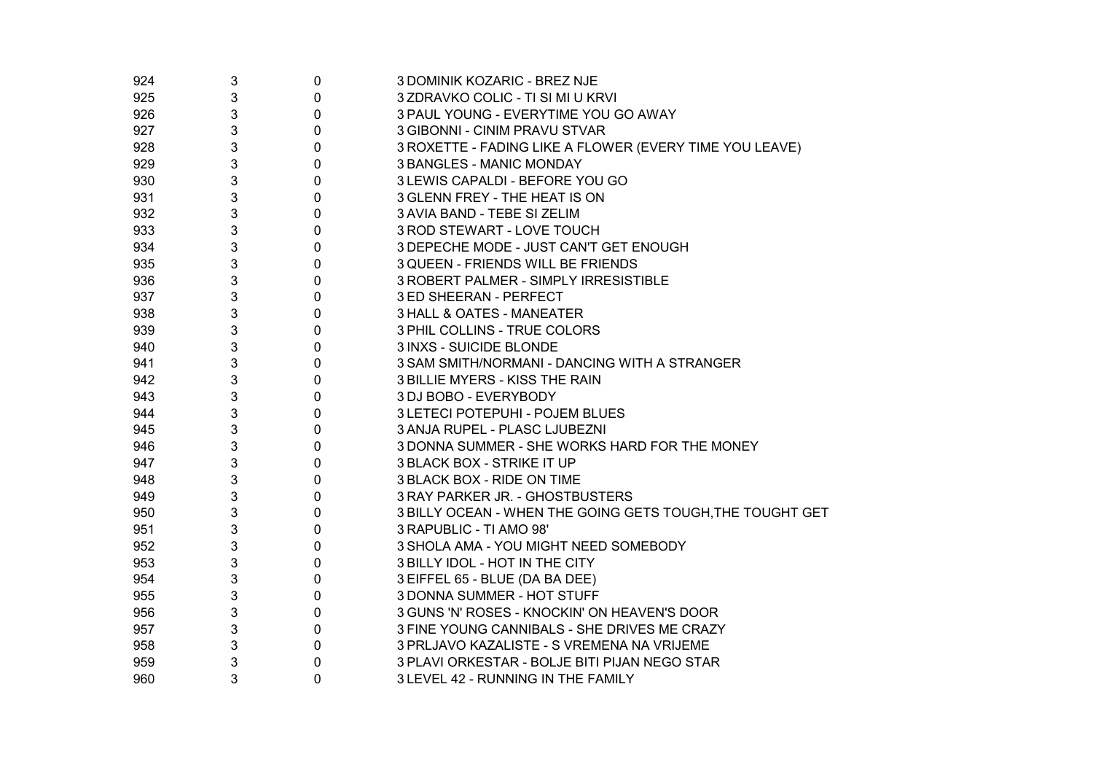| 924 | 3 | $\pmb{0}$   | 3 DOMINIK KOZARIC - BREZ NJE                              |
|-----|---|-------------|-----------------------------------------------------------|
| 925 | 3 | $\pmb{0}$   | 3 ZDRAVKO COLIC - TI SI MI U KRVI                         |
| 926 | 3 | $\mathbf 0$ | 3 PAUL YOUNG - EVERYTIME YOU GO AWAY                      |
| 927 | 3 | $\pmb{0}$   | 3 GIBONNI - CINIM PRAVU STVAR                             |
| 928 | 3 | $\pmb{0}$   | 3 ROXETTE - FADING LIKE A FLOWER (EVERY TIME YOU LEAVE)   |
| 929 | 3 | $\pmb{0}$   | 3 BANGLES - MANIC MONDAY                                  |
| 930 | 3 | 0           | 3 LEWIS CAPALDI - BEFORE YOU GO                           |
| 931 | 3 | 0           | 3 GLENN FREY - THE HEAT IS ON                             |
| 932 | 3 | 0           | 3 AVIA BAND - TEBE SI ZELIM                               |
| 933 | 3 | 0           | 3 ROD STEWART - LOVE TOUCH                                |
| 934 | 3 | 0           | 3 DEPECHE MODE - JUST CAN'T GET ENOUGH                    |
| 935 | 3 | 0           | 3 QUEEN - FRIENDS WILL BE FRIENDS                         |
| 936 | 3 | 0           | 3 ROBERT PALMER - SIMPLY IRRESISTIBLE                     |
| 937 | 3 | 0           | 3 ED SHEERAN - PERFECT                                    |
| 938 | 3 | 0           | 3 HALL & OATES - MANEATER                                 |
| 939 | 3 | 0           | 3 PHIL COLLINS - TRUE COLORS                              |
| 940 | 3 | 0           | 3 INXS - SUICIDE BLONDE                                   |
| 941 | 3 | 0           | 3 SAM SMITH/NORMANI - DANCING WITH A STRANGER             |
| 942 | 3 | 0           | 3 BILLIE MYERS - KISS THE RAIN                            |
| 943 | 3 | 0           | 3 DJ BOBO - EVERYBODY                                     |
| 944 | 3 | 0           | 3 LETECI POTEPUHI - POJEM BLUES                           |
| 945 | 3 | 0           | 3 ANJA RUPEL - PLASC LJUBEZNI                             |
| 946 | 3 | 0           | 3 DONNA SUMMER - SHE WORKS HARD FOR THE MONEY             |
| 947 | 3 | 0           | 3 BLACK BOX - STRIKE IT UP                                |
| 948 | 3 | 0           | 3 BLACK BOX - RIDE ON TIME                                |
| 949 | 3 | 0           | 3 RAY PARKER JR. - GHOSTBUSTERS                           |
| 950 | 3 | 0           | 3 BILLY OCEAN - WHEN THE GOING GETS TOUGH, THE TOUGHT GET |
| 951 | 3 | 0           | 3 RAPUBLIC - TI AMO 98'                                   |
| 952 | 3 | 0           | 3 SHOLA AMA - YOU MIGHT NEED SOMEBODY                     |
| 953 | 3 | 0           | 3 BILLY IDOL - HOT IN THE CITY                            |
| 954 | 3 | 0           | 3 EIFFEL 65 - BLUE (DA BA DEE)                            |
| 955 | 3 | 0           | 3 DONNA SUMMER - HOT STUFF                                |
| 956 | 3 | 0           | 3 GUNS 'N' ROSES - KNOCKIN' ON HEAVEN'S DOOR              |
| 957 | 3 | 0           | 3 FINE YOUNG CANNIBALS - SHE DRIVES ME CRAZY              |
| 958 | 3 | 0           | 3 PRLJAVO KAZALISTE - S VREMENA NA VRIJEME                |
| 959 | 3 | 0           | 3 PLAVI ORKESTAR - BOLJE BITI PIJAN NEGO STAR             |
| 960 | 3 | 0           | 3 LEVEL 42 - RUNNING IN THE FAMILY                        |
|     |   |             |                                                           |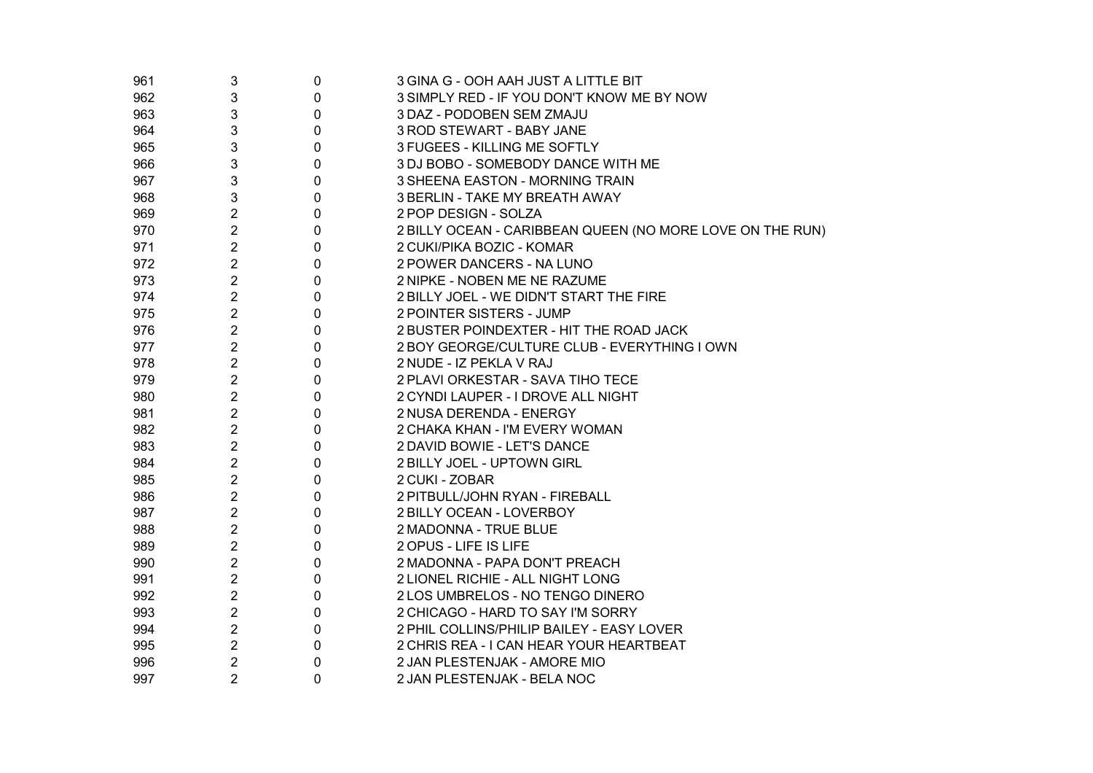| 961 | 3              | $\pmb{0}$   | 3 GINA G - OOH AAH JUST A LITTLE BIT                      |
|-----|----------------|-------------|-----------------------------------------------------------|
| 962 | 3              | $\mathbf 0$ | 3 SIMPLY RED - IF YOU DON'T KNOW ME BY NOW                |
| 963 | 3              | $\mathbf 0$ | 3 DAZ - PODOBEN SEM ZMAJU                                 |
| 964 | 3              | $\mathbf 0$ | 3 ROD STEWART - BABY JANE                                 |
| 965 | 3              | 0           | 3 FUGEES - KILLING ME SOFTLY                              |
| 966 | 3              | 0           | 3 DJ BOBO - SOMEBODY DANCE WITH ME                        |
| 967 | 3              | 0           | 3 SHEENA EASTON - MORNING TRAIN                           |
| 968 | 3              | $\mathbf 0$ | 3 BERLIN - TAKE MY BREATH AWAY                            |
| 969 | $\overline{2}$ | 0           | 2 POP DESIGN - SOLZA                                      |
| 970 | $\overline{2}$ | 0           | 2 BILLY OCEAN - CARIBBEAN QUEEN (NO MORE LOVE ON THE RUN) |
| 971 | $\overline{2}$ | 0           | 2 CUKI/PIKA BOZIC - KOMAR                                 |
| 972 | $\overline{2}$ | 0           | 2 POWER DANCERS - NA LUNO                                 |
| 973 | $\overline{2}$ | 0           | 2 NIPKE - NOBEN ME NE RAZUME                              |
| 974 | $\overline{2}$ | 0           | 2 BILLY JOEL - WE DIDN'T START THE FIRE                   |
| 975 | $\overline{2}$ | 0           | 2 POINTER SISTERS - JUMP                                  |
| 976 | $\overline{2}$ | 0           | 2 BUSTER POINDEXTER - HIT THE ROAD JACK                   |
| 977 | $\overline{2}$ | 0           | 2 BOY GEORGE/CULTURE CLUB - EVERYTHING I OWN              |
| 978 | $\overline{2}$ | 0           | 2 NUDE - IZ PEKLA V RAJ                                   |
| 979 | $\overline{2}$ | 0           | 2 PLAVI ORKESTAR - SAVA TIHO TECE                         |
| 980 | $\overline{2}$ | 0           | 2 CYNDI LAUPER - I DROVE ALL NIGHT                        |
| 981 | $\overline{2}$ | 0           | 2 NUSA DERENDA - ENERGY                                   |
| 982 | $\overline{2}$ | 0           | 2 CHAKA KHAN - I'M EVERY WOMAN                            |
| 983 | $\overline{2}$ | 0           | 2 DAVID BOWIE - LET'S DANCE                               |
| 984 | $\overline{2}$ | 0           | 2 BILLY JOEL - UPTOWN GIRL                                |
| 985 | $\overline{c}$ | 0           | 2 CUKI - ZOBAR                                            |
| 986 | $\overline{c}$ | 0           | 2 PITBULL/JOHN RYAN - FIREBALL                            |
| 987 | $\overline{2}$ | 0           | 2 BILLY OCEAN - LOVERBOY                                  |
| 988 | $\overline{2}$ | 0           | 2 MADONNA - TRUE BLUE                                     |
| 989 | $\overline{2}$ | 0           | 2 OPUS - LIFE IS LIFE                                     |
| 990 | $\overline{2}$ | 0           | 2 MADONNA - PAPA DON'T PREACH                             |
| 991 | $\overline{2}$ | 0           | 2 LIONEL RICHIE - ALL NIGHT LONG                          |
| 992 | $\overline{2}$ | 0           | 2 LOS UMBRELOS - NO TENGO DINERO                          |
| 993 | $\overline{2}$ | 0           | 2 CHICAGO - HARD TO SAY I'M SORRY                         |
| 994 | $\overline{2}$ | $\mathbf 0$ | 2 PHIL COLLINS/PHILIP BAILEY - EASY LOVER                 |
| 995 | $\overline{2}$ | 0           | 2 CHRIS REA - I CAN HEAR YOUR HEARTBEAT                   |
| 996 | $\overline{2}$ | 0           | 2 JAN PLESTENJAK - AMORE MIO                              |
| 997 | $\overline{2}$ | 0           | 2 JAN PLESTENJAK - BELA NOC                               |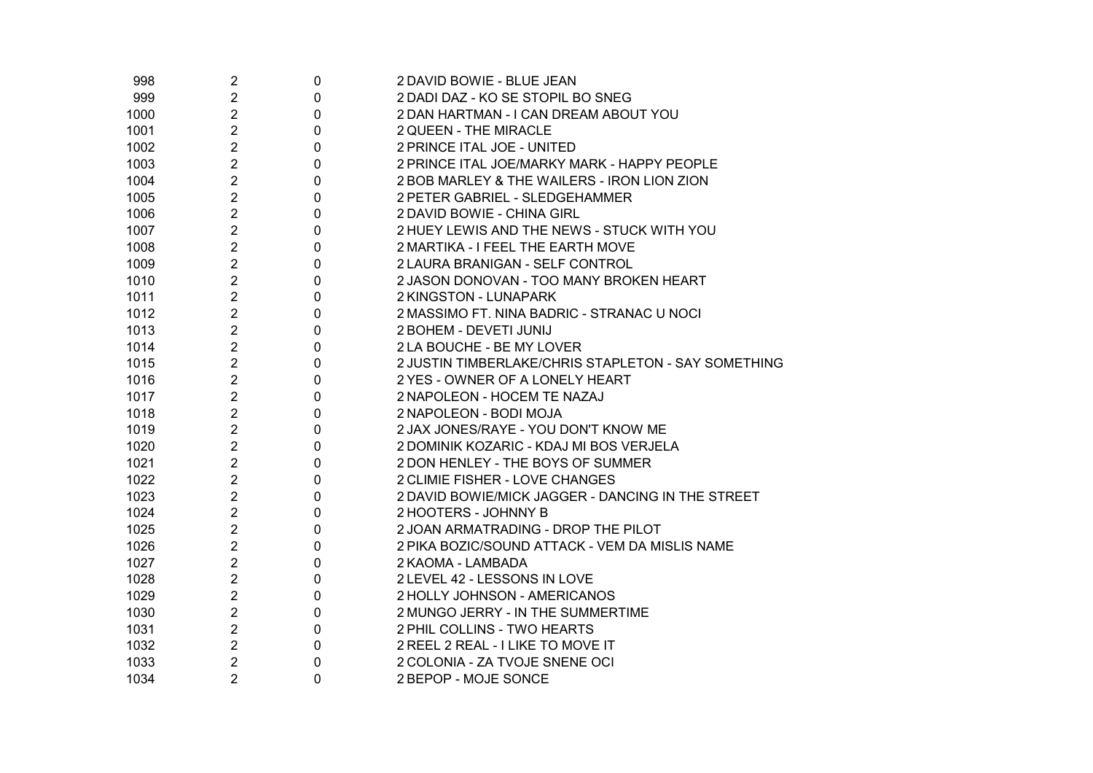| 998  | $\overline{2}$ | 0 | 2 DAVID BOWIE - BLUE JEAN                           |
|------|----------------|---|-----------------------------------------------------|
| 999  | $\overline{c}$ | 0 | 2 DADI DAZ - KO SE STOPIL BO SNEG                   |
| 1000 | $\overline{2}$ | 0 | 2 DAN HARTMAN - I CAN DREAM ABOUT YOU               |
| 1001 | $\overline{2}$ | 0 | 2 QUEEN - THE MIRACLE                               |
| 1002 | $\overline{2}$ | 0 | 2 PRINCE ITAL JOE - UNITED                          |
| 1003 | $\overline{2}$ | 0 | 2 PRINCE ITAL JOE/MARKY MARK - HAPPY PEOPLE         |
| 1004 | $\overline{2}$ | 0 | 2 BOB MARLEY & THE WAILERS - IRON LION ZION         |
| 1005 | $\overline{2}$ | 0 | 2 PETER GABRIEL - SLEDGEHAMMER                      |
| 1006 | $\overline{2}$ | 0 | 2 DAVID BOWIE - CHINA GIRL                          |
| 1007 | $\overline{2}$ | 0 | 2 HUEY LEWIS AND THE NEWS - STUCK WITH YOU          |
| 1008 | $\overline{2}$ | 0 | 2 MARTIKA - I FEEL THE EARTH MOVE                   |
| 1009 | $\overline{2}$ | 0 | 2 LAURA BRANIGAN - SELF CONTROL                     |
| 1010 | $\overline{2}$ | 0 | 2 JASON DONOVAN - TOO MANY BROKEN HEART             |
| 1011 | $\overline{2}$ | 0 | 2 KINGSTON - LUNAPARK                               |
| 1012 | $\overline{2}$ | 0 | 2 MASSIMO FT. NINA BADRIC - STRANAC U NOCI          |
| 1013 | $\overline{2}$ | 0 | 2 BOHEM - DEVETI JUNIJ                              |
| 1014 | $\overline{2}$ | 0 | 2 LA BOUCHE - BE MY LOVER                           |
| 1015 | $\overline{2}$ | 0 | 2 JUSTIN TIMBERLAKE/CHRIS STAPLETON - SAY SOMETHING |
| 1016 | $\overline{2}$ | 0 | 2 YES - OWNER OF A LONELY HEART                     |
| 1017 | $\overline{2}$ | 0 | 2 NAPOLEON - HOCEM TE NAZAJ                         |
| 1018 | $\overline{2}$ | 0 | 2 NAPOLEON - BODI MOJA                              |
| 1019 | $\overline{2}$ | 0 | 2 JAX JONES/RAYE - YOU DON'T KNOW ME                |
| 1020 | $\overline{2}$ | 0 | 2 DOMINIK KOZARIC - KDAJ MI BOS VERJELA             |
| 1021 | $\overline{2}$ | 0 | 2 DON HENLEY - THE BOYS OF SUMMER                   |
| 1022 | $\overline{2}$ | 0 | 2 CLIMIE FISHER - LOVE CHANGES                      |
| 1023 | $\overline{2}$ | 0 | 2 DAVID BOWIE/MICK JAGGER - DANCING IN THE STREET   |
| 1024 | $\overline{2}$ | 0 | 2 HOOTERS - JOHNNY B                                |
| 1025 | 2              | 0 | 2 JOAN ARMATRADING - DROP THE PILOT                 |
| 1026 | $\overline{2}$ | 0 | 2 PIKA BOZIC/SOUND ATTACK - VEM DA MISLIS NAME      |
| 1027 | $\overline{2}$ | 0 | 2 KAOMA - LAMBADA                                   |
| 1028 | $\overline{2}$ | 0 | 2 LEVEL 42 - LESSONS IN LOVE                        |
| 1029 | $\overline{2}$ | 0 | 2 HOLLY JOHNSON - AMERICANOS                        |
| 1030 | $\overline{2}$ | 0 | 2 MUNGO JERRY - IN THE SUMMERTIME                   |
| 1031 | $\overline{2}$ | 0 | 2 PHIL COLLINS - TWO HEARTS                         |
| 1032 | $\overline{2}$ | 0 | 2 REEL 2 REAL - I LIKE TO MOVE IT                   |
| 1033 | $\overline{2}$ | 0 | 2 COLONIA - ZA TVOJE SNENE OCI                      |
| 1034 | $\overline{2}$ | 0 | 2 BEPOP - MOJE SONCE                                |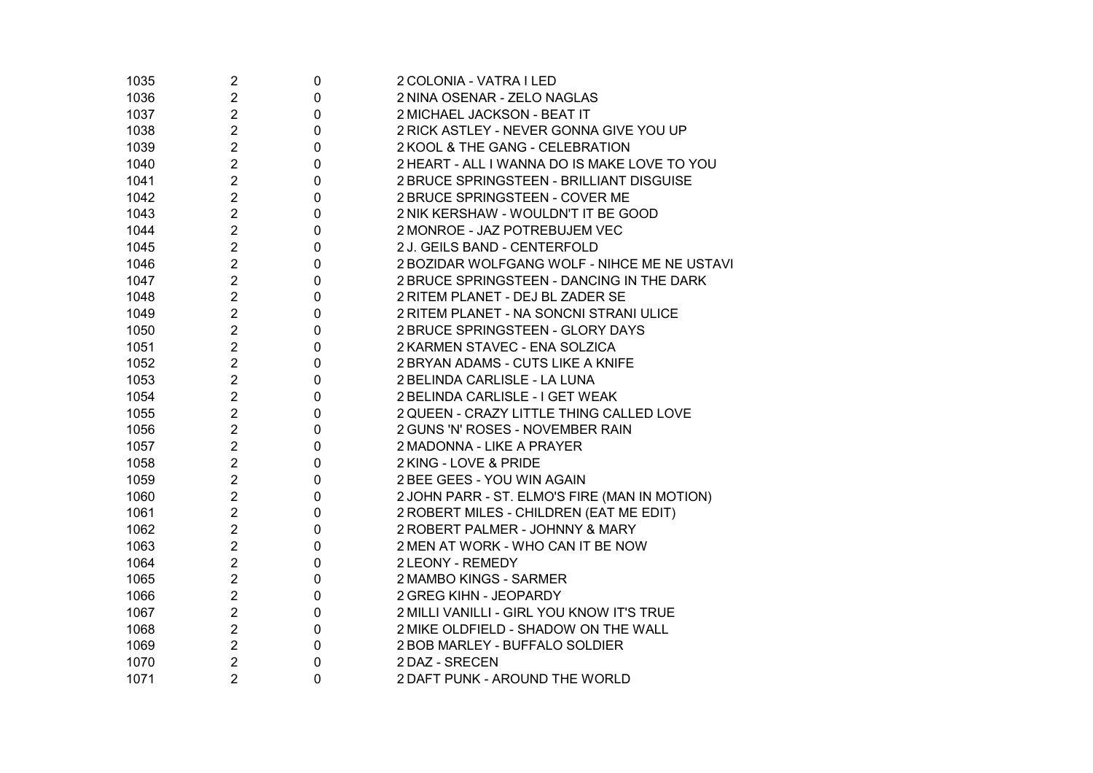| 1035 | $\overline{c}$ | 0                | 2 COLONIA - VATRA I LED                       |
|------|----------------|------------------|-----------------------------------------------|
| 1036 | $\overline{2}$ | 0                | 2 NINA OSENAR - ZELO NAGLAS                   |
| 1037 | $\overline{2}$ | $\pmb{0}$        | 2 MICHAEL JACKSON - BEAT IT                   |
| 1038 | $\overline{2}$ | $\pmb{0}$        | 2 RICK ASTLEY - NEVER GONNA GIVE YOU UP       |
| 1039 | $\overline{2}$ | $\mathbf 0$      | 2 KOOL & THE GANG - CELEBRATION               |
| 1040 | $\overline{2}$ | $\mathbf 0$      | 2 HEART - ALL I WANNA DO IS MAKE LOVE TO YOU  |
| 1041 | $\overline{2}$ | $\mathbf 0$      | 2 BRUCE SPRINGSTEEN - BRILLIANT DISGUISE      |
| 1042 | $\overline{2}$ | $\mathbf 0$      | 2 BRUCE SPRINGSTEEN - COVER ME                |
| 1043 | $\overline{2}$ | $\mathbf 0$      | 2 NIK KERSHAW - WOULDN'T IT BE GOOD           |
| 1044 | $\overline{2}$ | $\mathbf 0$      | 2 MONROE - JAZ POTREBUJEM VEC                 |
| 1045 | $\overline{2}$ | $\mathbf 0$      | 2 J. GEILS BAND - CENTERFOLD                  |
| 1046 | $\overline{2}$ | $\mathbf 0$      | 2 BOZIDAR WOLFGANG WOLF - NIHCE ME NE USTAVI  |
| 1047 | $\overline{2}$ | $\mathbf 0$      | 2 BRUCE SPRINGSTEEN - DANCING IN THE DARK     |
| 1048 | $\overline{2}$ | $\mathbf 0$      | 2 RITEM PLANET - DEJ BL ZADER SE              |
| 1049 | $\overline{2}$ | $\mathbf{0}$     | 2 RITEM PLANET - NA SONCNI STRANI ULICE       |
| 1050 | $\overline{2}$ | $\mathbf 0$      | 2 BRUCE SPRINGSTEEN - GLORY DAYS              |
| 1051 | $\overline{2}$ | $\mathbf 0$      | 2 KARMEN STAVEC - ENA SOLZICA                 |
| 1052 | $\overline{2}$ | $\mathbf 0$      | 2 BRYAN ADAMS - CUTS LIKE A KNIFE             |
| 1053 | $\overline{2}$ | $\mathbf 0$      | 2 BELINDA CARLISLE - LA LUNA                  |
| 1054 | $\overline{2}$ | $\mathbf 0$      | 2 BELINDA CARLISLE - I GET WEAK               |
| 1055 | $\overline{2}$ | $\mathbf 0$      | 2 QUEEN - CRAZY LITTLE THING CALLED LOVE      |
| 1056 | $\overline{2}$ | $\mathbf 0$      | 2 GUNS 'N' ROSES - NOVEMBER RAIN              |
| 1057 | $\overline{2}$ | $\pmb{0}$        | 2 MADONNA - LIKE A PRAYER                     |
| 1058 | $\overline{2}$ | $\mathbf 0$      | 2 KING - LOVE & PRIDE                         |
| 1059 | $\overline{2}$ | $\mathbf 0$      | 2 BEE GEES - YOU WIN AGAIN                    |
| 1060 | $\overline{2}$ | $\mathbf 0$      | 2 JOHN PARR - ST. ELMO'S FIRE (MAN IN MOTION) |
| 1061 | $\overline{2}$ | $\mathbf 0$      | 2 ROBERT MILES - CHILDREN (EAT ME EDIT)       |
| 1062 | $\overline{2}$ | $\mathbf 0$      | 2 ROBERT PALMER - JOHNNY & MARY               |
| 1063 | $\overline{2}$ | 0                | 2 MEN AT WORK - WHO CAN IT BE NOW             |
| 1064 | $\overline{2}$ | $\mathbf 0$      | 2 LEONY - REMEDY                              |
| 1065 | $\overline{2}$ | $\mathbf 0$      | 2 MAMBO KINGS - SARMER                        |
| 1066 | $\overline{2}$ | $\boldsymbol{0}$ | 2 GREG KIHN - JEOPARDY                        |
| 1067 | $\overline{c}$ | $\mathbf 0$      | 2 MILLI VANILLI - GIRL YOU KNOW IT'S TRUE     |
| 1068 | $\overline{2}$ | $\boldsymbol{0}$ | 2 MIKE OLDFIELD - SHADOW ON THE WALL          |
| 1069 | $\overline{2}$ | $\boldsymbol{0}$ | 2 BOB MARLEY - BUFFALO SOLDIER                |
| 1070 | $\overline{2}$ | $\mathbf 0$      | 2 DAZ - SRECEN                                |
| 1071 | $\overline{2}$ | $\mathbf 0$      | 2 DAFT PUNK - AROUND THE WORLD                |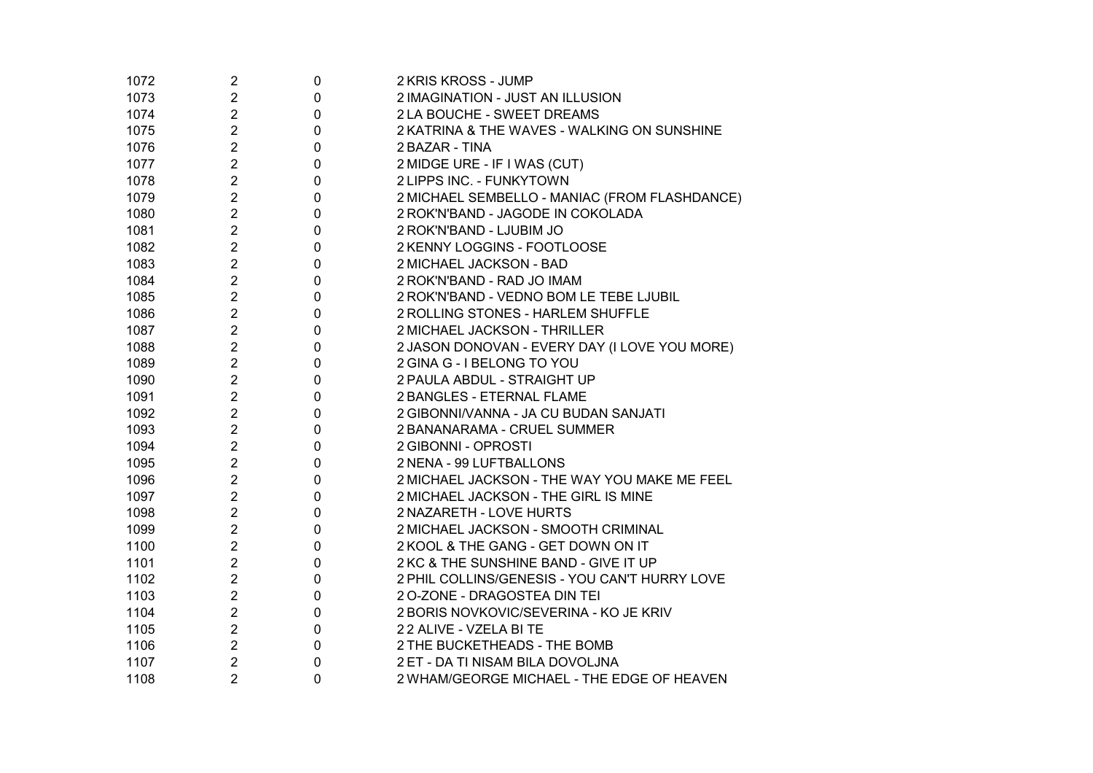| 1072 | $\overline{c}$ | $\boldsymbol{0}$ | 2 KRIS KROSS - JUMP                           |
|------|----------------|------------------|-----------------------------------------------|
| 1073 | $\overline{2}$ | $\pmb{0}$        | 2 IMAGINATION - JUST AN ILLUSION              |
| 1074 | $\overline{2}$ | $\pmb{0}$        | 2 LA BOUCHE - SWEET DREAMS                    |
| 1075 | $\overline{2}$ | 0                | 2 KATRINA & THE WAVES - WALKING ON SUNSHINE   |
| 1076 | $\overline{2}$ | 0                | 2 BAZAR - TINA                                |
| 1077 | $\overline{c}$ | 0                | 2 MIDGE URE - IF I WAS (CUT)                  |
| 1078 | $\overline{c}$ | $\mathbf 0$      | 2 LIPPS INC. - FUNKYTOWN                      |
| 1079 | $\overline{c}$ | 0                | 2 MICHAEL SEMBELLO - MANIAC (FROM FLASHDANCE) |
| 1080 | $\overline{2}$ | 0                | 2 ROK'N'BAND - JAGODE IN COKOLADA             |
| 1081 | $\overline{2}$ | $\mathbf 0$      | 2 ROK'N'BAND - LJUBIM JO                      |
| 1082 | $\overline{2}$ | $\pmb{0}$        | 2 KENNY LOGGINS - FOOTLOOSE                   |
| 1083 | $\overline{2}$ | $\mathbf 0$      | 2 MICHAEL JACKSON - BAD                       |
| 1084 | $\overline{2}$ | $\mathbf 0$      | 2 ROK'N'BAND - RAD JO IMAM                    |
| 1085 | $\overline{2}$ | $\mathbf 0$      | 2 ROK'N'BAND - VEDNO BOM LE TEBE LJUBIL       |
| 1086 | $\overline{2}$ | $\mathbf 0$      | 2 ROLLING STONES - HARLEM SHUFFLE             |
| 1087 | 2              | 0                | 2 MICHAEL JACKSON - THRILLER                  |
| 1088 | 2              | $\pmb{0}$        | 2 JASON DONOVAN - EVERY DAY (I LOVE YOU MORE) |
| 1089 | 2              | $\pmb{0}$        | 2 GINA G - I BELONG TO YOU                    |
| 1090 | 2              | 0                | 2 PAULA ABDUL - STRAIGHT UP                   |
| 1091 | 2              | 0                | 2 BANGLES - ETERNAL FLAME                     |
| 1092 | $\overline{2}$ | 0                | 2 GIBONNI/VANNA - JA CU BUDAN SANJATI         |
| 1093 | $\overline{2}$ | 0                | 2 BANANARAMA - CRUEL SUMMER                   |
| 1094 | 2              | 0                | 2 GIBONNI - OPROSTI                           |
| 1095 | 2              | 0                | 2 NENA - 99 LUFTBALLONS                       |
| 1096 | 2              | 0                | 2 MICHAEL JACKSON - THE WAY YOU MAKE ME FEEL  |
| 1097 | $\overline{c}$ | 0                | 2 MICHAEL JACKSON - THE GIRL IS MINE          |
| 1098 | $\overline{c}$ | $\mathbf 0$      | 2 NAZARETH - LOVE HURTS                       |
| 1099 | $\overline{2}$ | $\pmb{0}$        | 2 MICHAEL JACKSON - SMOOTH CRIMINAL           |
| 1100 | $\overline{c}$ | $\mathbf 0$      | 2 KOOL & THE GANG - GET DOWN ON IT            |
| 1101 | $\overline{2}$ | 0                | 2 KC & THE SUNSHINE BAND - GIVE IT UP         |
| 1102 | $\overline{2}$ | 0                | 2 PHIL COLLINS/GENESIS - YOU CAN'T HURRY LOVE |
| 1103 | $\overline{2}$ | $\pmb{0}$        | 2 O-ZONE - DRAGOSTEA DIN TEI                  |
| 1104 | $\overline{2}$ | 0                | 2 BORIS NOVKOVIC/SEVERINA - KO JE KRIV        |
| 1105 | $\overline{2}$ | $\pmb{0}$        | 22 ALIVE - VZELA BI TE                        |
| 1106 | $\overline{2}$ | $\pmb{0}$        | 2 THE BUCKETHEADS - THE BOMB                  |
| 1107 | $\overline{2}$ | 0                | 2 ET - DA TI NISAM BILA DOVOLJNA              |
| 1108 | $\overline{2}$ | 0                | 2 WHAM/GEORGE MICHAEL - THE EDGE OF HEAVEN    |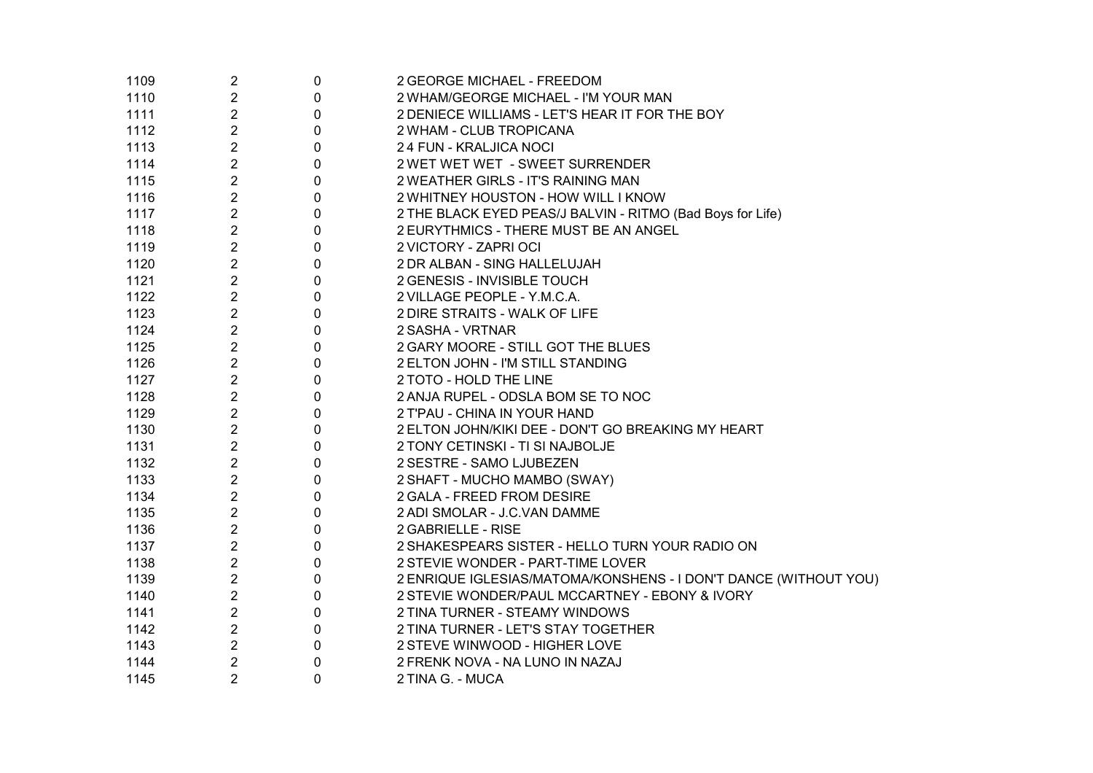| 1109 | $\overline{2}$ | 0           | 2 GEORGE MICHAEL - FREEDOM                                       |
|------|----------------|-------------|------------------------------------------------------------------|
| 1110 | $\overline{2}$ | 0           | 2 WHAM/GEORGE MICHAEL - I'M YOUR MAN                             |
| 1111 | $\overline{2}$ | $\mathbf 0$ | 2 DENIECE WILLIAMS - LET'S HEAR IT FOR THE BOY                   |
| 1112 | $\overline{2}$ | $\pmb{0}$   | 2 WHAM - CLUB TROPICANA                                          |
| 1113 | $\overline{2}$ | $\pmb{0}$   | 24 FUN - KRALJICA NOCI                                           |
| 1114 | $\overline{2}$ | $\mathbf 0$ | 2 WET WET WET - SWEET SURRENDER                                  |
| 1115 | $\overline{2}$ | $\mathbf 0$ | 2 WEATHER GIRLS - IT'S RAINING MAN                               |
| 1116 | $\overline{2}$ | $\mathbf 0$ | 2 WHITNEY HOUSTON - HOW WILL I KNOW                              |
| 1117 | $\overline{2}$ | $\mathbf 0$ | 2 THE BLACK EYED PEAS/J BALVIN - RITMO (Bad Boys for Life)       |
| 1118 | $\overline{2}$ | $\mathbf 0$ | 2 EURYTHMICS - THERE MUST BE AN ANGEL                            |
| 1119 | $\overline{2}$ | $\mathbf 0$ | 2 VICTORY - ZAPRI OCI                                            |
| 1120 | $\overline{2}$ | $\pmb{0}$   | 2 DR ALBAN - SING HALLELUJAH                                     |
| 1121 | $\overline{2}$ | 0           | 2 GENESIS - INVISIBLE TOUCH                                      |
| 1122 | 2              | $\mathbf 0$ | 2 VILLAGE PEOPLE - Y.M.C.A.                                      |
| 1123 | $\overline{2}$ | 0           | 2 DIRE STRAITS - WALK OF LIFE                                    |
| 1124 | $\overline{2}$ | 0           | 2 SASHA - VRTNAR                                                 |
| 1125 | 2              | 0           | 2 GARY MOORE - STILL GOT THE BLUES                               |
| 1126 | 2              | 0           | 2 ELTON JOHN - I'M STILL STANDING                                |
| 1127 | $\overline{2}$ | 0           | 2 TOTO - HOLD THE LINE                                           |
| 1128 | $\overline{2}$ | 0           | 2 ANJA RUPEL - ODSLA BOM SE TO NOC                               |
| 1129 | $\overline{2}$ | 0           | 2 T'PAU - CHINA IN YOUR HAND                                     |
| 1130 | $\overline{2}$ | 0           | 2 ELTON JOHN/KIKI DEE - DON'T GO BREAKING MY HEART               |
| 1131 | $\overline{2}$ | 0           | 2 TONY CETINSKI - TI SI NAJBOLJE                                 |
| 1132 | $\overline{2}$ | 0           | 2 SESTRE - SAMO LJUBEZEN                                         |
| 1133 | $\overline{c}$ | 0           | 2 SHAFT - MUCHO MAMBO (SWAY)                                     |
| 1134 | $\overline{2}$ | 0           | 2 GALA - FREED FROM DESIRE                                       |
| 1135 | $\overline{2}$ | 0           | 2 ADI SMOLAR - J.C.VAN DAMME                                     |
| 1136 | $\overline{2}$ | 0           | 2 GABRIELLE - RISE                                               |
| 1137 | $\overline{2}$ | 0           | 2 SHAKESPEARS SISTER - HELLO TURN YOUR RADIO ON                  |
| 1138 | $\overline{2}$ | 0           | 2 STEVIE WONDER - PART-TIME LOVER                                |
| 1139 | $\overline{2}$ | 0           | 2 ENRIQUE IGLESIAS/MATOMA/KONSHENS - I DON'T DANCE (WITHOUT YOU) |
| 1140 | $\overline{2}$ | $\pmb{0}$   | 2 STEVIE WONDER/PAUL MCCARTNEY - EBONY & IVORY                   |
| 1141 | $\overline{2}$ | $\pmb{0}$   | 2 TINA TURNER - STEAMY WINDOWS                                   |
| 1142 | $\overline{2}$ | $\pmb{0}$   | 2 TINA TURNER - LET'S STAY TOGETHER                              |
| 1143 | $\overline{2}$ | $\pmb{0}$   | 2 STEVE WINWOOD - HIGHER LOVE                                    |
| 1144 | $\overline{2}$ | 0           | 2 FRENK NOVA - NA LUNO IN NAZAJ                                  |
| 1145 | $\overline{2}$ | $\Omega$    | 2 TINA G. - MUCA                                                 |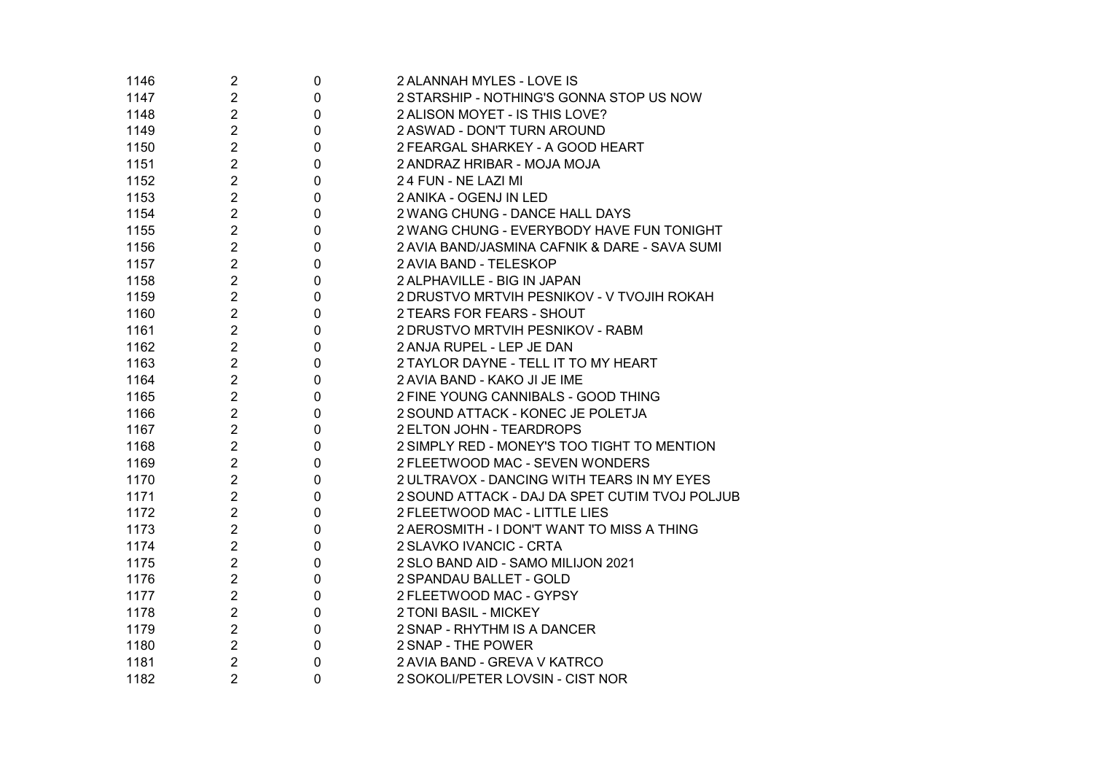| 1146 | 2              | 0           | 2 ALANNAH MYLES - LOVE IS                      |
|------|----------------|-------------|------------------------------------------------|
| 1147 | $\overline{c}$ | 0           | 2 STARSHIP - NOTHING'S GONNA STOP US NOW       |
| 1148 | $\overline{c}$ | 0           | 2 ALISON MOYET - IS THIS LOVE?                 |
| 1149 | $\overline{2}$ | 0           | 2 ASWAD - DON'T TURN AROUND                    |
| 1150 | $\overline{2}$ | 0           | 2 FEARGAL SHARKEY - A GOOD HEART               |
| 1151 | $\overline{2}$ | 0           | 2 ANDRAZ HRIBAR - MOJA MOJA                    |
| 1152 | $\overline{2}$ | 0           | 24 FUN - NE LAZI MI                            |
| 1153 | $\overline{c}$ | 0           | 2 ANIKA - OGENJ IN LED                         |
| 1154 | $\overline{2}$ | 0           | 2 WANG CHUNG - DANCE HALL DAYS                 |
| 1155 | $\overline{c}$ | 0           | 2 WANG CHUNG - EVERYBODY HAVE FUN TONIGHT      |
| 1156 | $\overline{2}$ | 0           | 2 AVIA BAND/JASMINA CAFNIK & DARE - SAVA SUMI  |
| 1157 | $\overline{2}$ | 0           | 2 AVIA BAND - TELESKOP                         |
| 1158 | $\overline{2}$ | 0           | 2 ALPHAVILLE - BIG IN JAPAN                    |
| 1159 | $\overline{2}$ | 0           | 2 DRUSTVO MRTVIH PESNIKOV - V TVOJIH ROKAH     |
| 1160 | $\overline{2}$ | 0           | 2 TEARS FOR FEARS - SHOUT                      |
| 1161 | $\overline{c}$ | 0           | 2 DRUSTVO MRTVIH PESNIKOV - RABM               |
| 1162 | $\overline{2}$ | 0           | 2 ANJA RUPEL - LEP JE DAN                      |
| 1163 | $\overline{2}$ | 0           | 2 TAYLOR DAYNE - TELL IT TO MY HEART           |
| 1164 | $\overline{c}$ | 0           | 2 AVIA BAND - KAKO JI JE IME                   |
| 1165 | $\overline{c}$ | 0           | 2 FINE YOUNG CANNIBALS - GOOD THING            |
| 1166 | $\overline{2}$ | 0           | 2 SOUND ATTACK - KONEC JE POLETJA              |
| 1167 | $\overline{2}$ | 0           | 2 ELTON JOHN - TEARDROPS                       |
| 1168 | $\overline{2}$ | 0           | 2 SIMPLY RED - MONEY'S TOO TIGHT TO MENTION    |
| 1169 | $\overline{c}$ | 0           | 2 FLEETWOOD MAC - SEVEN WONDERS                |
| 1170 | $\overline{2}$ | 0           | 2 ULTRAVOX - DANCING WITH TEARS IN MY EYES     |
| 1171 | $\overline{c}$ | 0           | 2 SOUND ATTACK - DAJ DA SPET CUTIM TVOJ POLJUB |
| 1172 | $\overline{c}$ | 0           | 2 FLEETWOOD MAC - LITTLE LIES                  |
| 1173 | $\overline{c}$ | 0           | 2 AEROSMITH - I DON'T WANT TO MISS A THING     |
| 1174 | $\overline{c}$ | 0           | 2 SLAVKO IVANCIC - CRTA                        |
| 1175 | $\overline{2}$ | 0           | 2 SLO BAND AID - SAMO MILIJON 2021             |
| 1176 | $\overline{c}$ | 0           | 2 SPANDAU BALLET - GOLD                        |
| 1177 | $\overline{2}$ | 0           | 2 FLEETWOOD MAC - GYPSY                        |
| 1178 | $\overline{c}$ | 0           | 2 TONI BASIL - MICKEY                          |
| 1179 | $\overline{2}$ | 0           | 2 SNAP - RHYTHM IS A DANCER                    |
| 1180 | $\overline{2}$ | 0           | 2 SNAP - THE POWER                             |
| 1181 | $\overline{2}$ | 0           | 2 AVIA BAND - GREVA V KATRCO                   |
| 1182 | $\overline{2}$ | $\mathbf 0$ | 2 SOKOLI/PETER LOVSIN - CIST NOR               |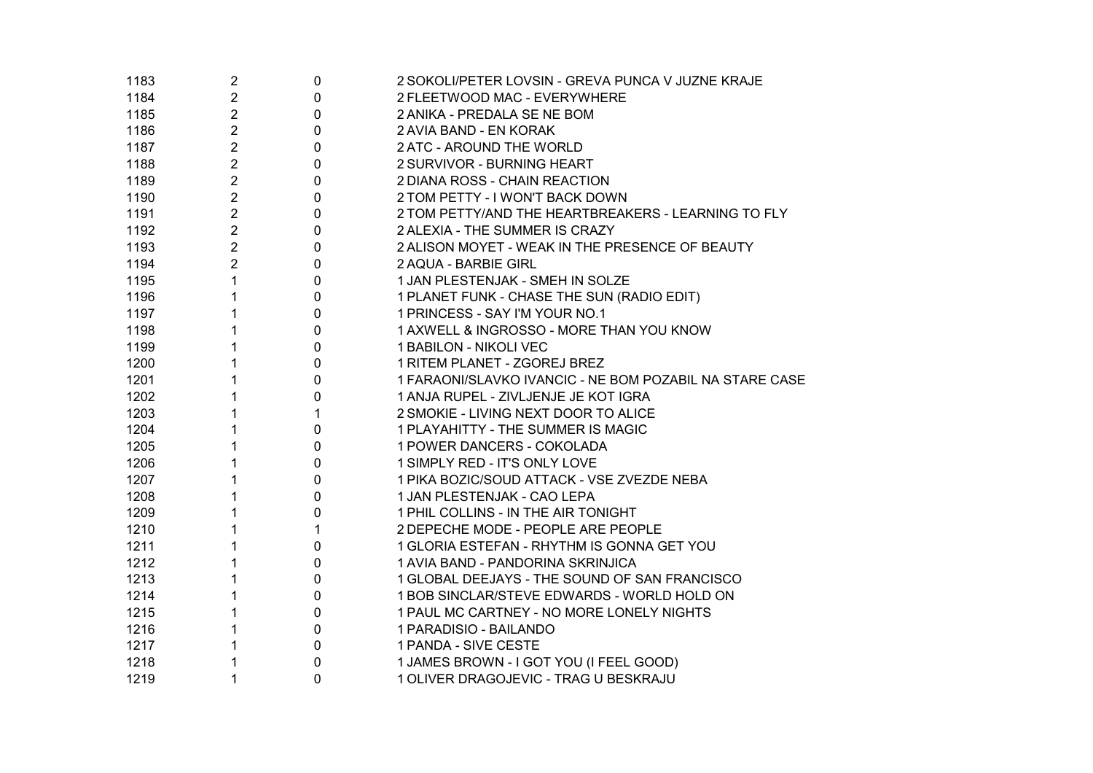| 1183 | $\overline{2}$   | 0            | 2 SOKOLI/PETER LOVSIN - GREVA PUNCA V JUZNE KRAJE       |
|------|------------------|--------------|---------------------------------------------------------|
| 1184 | $\overline{c}$   | $\pmb{0}$    | 2 FLEETWOOD MAC - EVERYWHERE                            |
| 1185 | 2                | $\pmb{0}$    | 2 ANIKA - PREDALA SE NE BOM                             |
| 1186 | 2                | $\mathbf 0$  | 2 AVIA BAND - EN KORAK                                  |
| 1187 | $\boldsymbol{2}$ | $\mathbf 0$  | 2 ATC - AROUND THE WORLD                                |
| 1188 | 2                | $\mathbf 0$  | 2 SURVIVOR - BURNING HEART                              |
| 1189 | $\overline{2}$   | $\mathbf 0$  | 2 DIANA ROSS - CHAIN REACTION                           |
| 1190 | $\overline{2}$   | $\mathbf 0$  | 2 TOM PETTY - I WON'T BACK DOWN                         |
| 1191 | $\overline{c}$   | $\pmb{0}$    | 2 TOM PETTY/AND THE HEARTBREAKERS - LEARNING TO FLY     |
| 1192 | $\overline{2}$   | $\pmb{0}$    | 2 ALEXIA - THE SUMMER IS CRAZY                          |
| 1193 | $\overline{2}$   | $\pmb{0}$    | 2 ALISON MOYET - WEAK IN THE PRESENCE OF BEAUTY         |
| 1194 | $\overline{c}$   | $\pmb{0}$    | 2 AQUA - BARBIE GIRL                                    |
| 1195 | 1                | $\pmb{0}$    | 1 JAN PLESTENJAK - SMEH IN SOLZE                        |
| 1196 | 1                | $\pmb{0}$    | 1 PLANET FUNK - CHASE THE SUN (RADIO EDIT)              |
| 1197 |                  | $\mathbf 0$  | 1 PRINCESS - SAY I'M YOUR NO.1                          |
| 1198 |                  | $\pmb{0}$    | 1 AXWELL & INGROSSO - MORE THAN YOU KNOW                |
| 1199 |                  | $\mathbf 0$  | 1 BABILON - NIKOLI VEC                                  |
| 1200 |                  | $\mathbf 0$  | 1 RITEM PLANET - ZGOREJ BREZ                            |
| 1201 |                  | $\pmb{0}$    | 1 FARAONI/SLAVKO IVANCIC - NE BOM POZABIL NA STARE CASE |
| 1202 |                  | $\mathbf 0$  | 1 ANJA RUPEL - ZIVLJENJE JE KOT IGRA                    |
| 1203 |                  | $\mathbf{1}$ | 2 SMOKIE - LIVING NEXT DOOR TO ALICE                    |
| 1204 |                  | 0            | 1 PLAYAHITTY - THE SUMMER IS MAGIC                      |
| 1205 |                  | 0            | 1 POWER DANCERS - COKOLADA                              |
| 1206 |                  | $\mathbf 0$  | 1 SIMPLY RED - IT'S ONLY LOVE                           |
| 1207 |                  | $\mathbf 0$  | 1 PIKA BOZIC/SOUD ATTACK - VSE ZVEZDE NEBA              |
| 1208 |                  | $\pmb{0}$    | 1 JAN PLESTENJAK - CAO LEPA                             |
| 1209 |                  | $\pmb{0}$    | 1 PHIL COLLINS - IN THE AIR TONIGHT                     |
| 1210 |                  | 1            | 2 DEPECHE MODE - PEOPLE ARE PEOPLE                      |
| 1211 |                  | $\pmb{0}$    | 1 GLORIA ESTEFAN - RHYTHM IS GONNA GET YOU              |
| 1212 |                  | $\pmb{0}$    | 1 AVIA BAND - PANDORINA SKRINJICA                       |
| 1213 |                  | $\pmb{0}$    | 1 GLOBAL DEEJAYS - THE SOUND OF SAN FRANCISCO           |
| 1214 |                  | $\pmb{0}$    | 1 BOB SINCLAR/STEVE EDWARDS - WORLD HOLD ON             |
| 1215 |                  | $\pmb{0}$    | 1 PAUL MC CARTNEY - NO MORE LONELY NIGHTS               |
| 1216 |                  | $\pmb{0}$    | 1 PARADISIO - BAILANDO                                  |
| 1217 |                  | $\pmb{0}$    | 1 PANDA - SIVE CESTE                                    |
| 1218 |                  | $\pmb{0}$    | 1 JAMES BROWN - I GOT YOU (I FEEL GOOD)                 |
| 1219 | 1                | $\mathbf 0$  | 1 OLIVER DRAGOJEVIC - TRAG U BESKRAJU                   |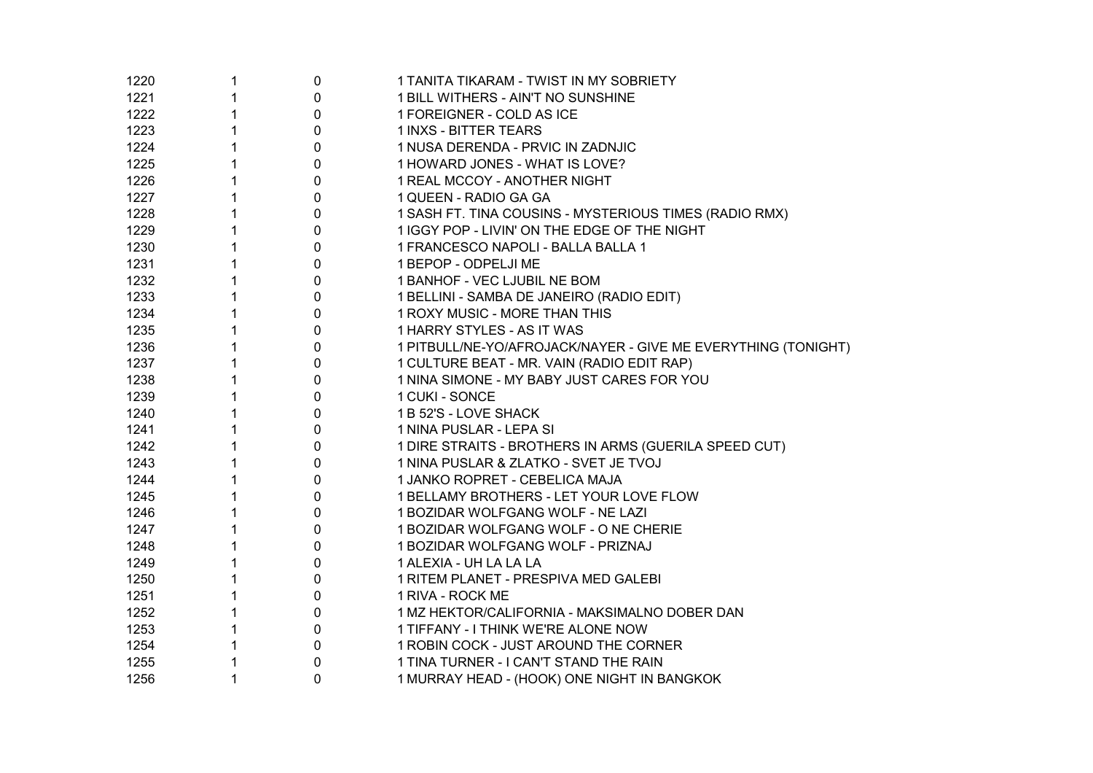| 1220 | 1            | $\boldsymbol{0}$ | 1 TANITA TIKARAM - TWIST IN MY SOBRIETY                       |
|------|--------------|------------------|---------------------------------------------------------------|
| 1221 |              | $\pmb{0}$        | 1 BILL WITHERS - AIN'T NO SUNSHINE                            |
| 1222 | 1            | $\pmb{0}$        | 1 FOREIGNER - COLD AS ICE                                     |
| 1223 | 1            | $\pmb{0}$        | <b>1 INXS - BITTER TEARS</b>                                  |
| 1224 | 1            | $\pmb{0}$        | 1 NUSA DERENDA - PRVIC IN ZADNJIC                             |
| 1225 | 1            | $\pmb{0}$        | 1 HOWARD JONES - WHAT IS LOVE?                                |
| 1226 | $\mathbf{1}$ | $\pmb{0}$        | 1 REAL MCCOY - ANOTHER NIGHT                                  |
| 1227 | 1            | $\pmb{0}$        | 1 QUEEN - RADIO GA GA                                         |
| 1228 | 1            | $\pmb{0}$        | 1 SASH FT. TINA COUSINS - MYSTERIOUS TIMES (RADIO RMX)        |
| 1229 | 1            | $\pmb{0}$        | 1 IGGY POP - LIVIN' ON THE EDGE OF THE NIGHT                  |
| 1230 | $\mathbf{1}$ | $\mathbf 0$      | 1 FRANCESCO NAPOLI - BALLA BALLA 1                            |
| 1231 | $\mathbf{1}$ | $\mathbf 0$      | 1 BEPOP - ODPELJI ME                                          |
| 1232 | 1            | $\pmb{0}$        | 1 BANHOF - VEC LJUBIL NE BOM                                  |
| 1233 | 1            | $\pmb{0}$        | 1 BELLINI - SAMBA DE JANEIRO (RADIO EDIT)                     |
| 1234 | 1            | $\mathbf 0$      | 1 ROXY MUSIC - MORE THAN THIS                                 |
| 1235 | 1            | $\pmb{0}$        | 1 HARRY STYLES - AS IT WAS                                    |
| 1236 | 1            | $\pmb{0}$        | 1 PITBULL/NE-YO/AFROJACK/NAYER - GIVE ME EVERYTHING (TONIGHT) |
| 1237 | 1            | $\pmb{0}$        | 1 CULTURE BEAT - MR. VAIN (RADIO EDIT RAP)                    |
| 1238 | 1            | $\mathbf 0$      | 1 NINA SIMONE - MY BABY JUST CARES FOR YOU                    |
| 1239 | 1            | 0                | 1 CUKI - SONCE                                                |
| 1240 | 1            | 0                | 1 B 52'S - LOVE SHACK                                         |
| 1241 | 1            | 0                | 1 NINA PUSLAR - LEPA SI                                       |
| 1242 | 1            | $\pmb{0}$        | 1 DIRE STRAITS - BROTHERS IN ARMS (GUERILA SPEED CUT)         |
| 1243 | 1            | $\mathbf 0$      | 1 NINA PUSLAR & ZLATKO - SVET JE TVOJ                         |
| 1244 | $\mathbf{1}$ | $\pmb{0}$        | 1 JANKO ROPRET - CEBELICA MAJA                                |
| 1245 | 1            | $\pmb{0}$        | 1 BELLAMY BROTHERS - LET YOUR LOVE FLOW                       |
| 1246 | 1            | $\boldsymbol{0}$ | 1 BOZIDAR WOLFGANG WOLF - NE LAZI                             |
| 1247 | 1            | $\pmb{0}$        | 1 BOZIDAR WOLFGANG WOLF - O NE CHERIE                         |
| 1248 | 1            | $\pmb{0}$        | 1 BOZIDAR WOLFGANG WOLF - PRIZNAJ                             |
| 1249 | $\mathbf{1}$ | $\pmb{0}$        | 1 ALEXIA - UH LA LA LA                                        |
| 1250 | $\mathbf 1$  | $\pmb{0}$        | 1 RITEM PLANET - PRESPIVA MED GALEBI                          |
| 1251 | $\mathbf{1}$ | $\pmb{0}$        | 1 RIVA - ROCK ME                                              |
| 1252 | 1            | $\pmb{0}$        | 1 MZ HEKTOR/CALIFORNIA - MAKSIMALNO DOBER DAN                 |
| 1253 | $\mathbf{1}$ | $\pmb{0}$        | 1 TIFFANY - I THINK WE'RE ALONE NOW                           |
| 1254 | $\mathbf{1}$ | $\pmb{0}$        | 1 ROBIN COCK - JUST AROUND THE CORNER                         |
| 1255 | 1            | $\pmb{0}$        | 1 TINA TURNER - I CAN'T STAND THE RAIN                        |
| 1256 | 1            | $\mathbf{0}$     | 1 MURRAY HEAD - (HOOK) ONE NIGHT IN BANGKOK                   |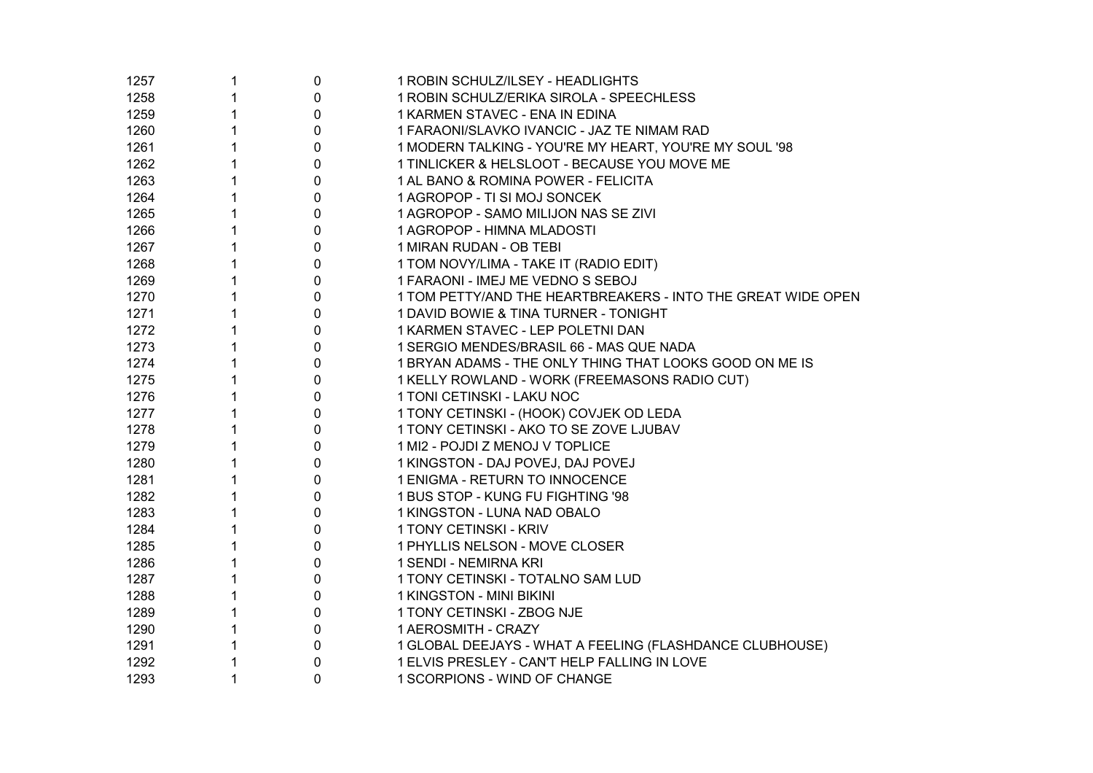| 1257 | 1 | 0            | 1 ROBIN SCHULZ/ILSEY - HEADLIGHTS                            |
|------|---|--------------|--------------------------------------------------------------|
| 1258 |   | $\pmb{0}$    | 1 ROBIN SCHULZ/ERIKA SIROLA - SPEECHLESS                     |
| 1259 | 1 | $\mathbf 0$  | 1 KARMEN STAVEC - ENA IN EDINA                               |
| 1260 | 1 | $\mathbf 0$  | 1 FARAONI/SLAVKO IVANCIC - JAZ TE NIMAM RAD                  |
| 1261 | 1 | $\mathbf 0$  | 1 MODERN TALKING - YOU'RE MY HEART, YOU'RE MY SOUL '98       |
| 1262 | 1 | $\mathbf 0$  | 1 TINLICKER & HELSLOOT - BECAUSE YOU MOVE ME                 |
| 1263 | 1 | $\mathbf 0$  | 1 AL BANO & ROMINA POWER - FELICITA                          |
| 1264 | 1 | $\mathbf 0$  | 1 AGROPOP - TI SI MOJ SONCEK                                 |
| 1265 | 1 | $\mathbf 0$  | 1 AGROPOP - SAMO MILIJON NAS SE ZIVI                         |
| 1266 | 1 | $\mathbf 0$  | 1 AGROPOP - HIMNA MLADOSTI                                   |
| 1267 | 1 | $\mathbf 0$  | 1 MIRAN RUDAN - OB TEBI                                      |
| 1268 | 1 | $\mathbf 0$  | 1 TOM NOVY/LIMA - TAKE IT (RADIO EDIT)                       |
| 1269 | 1 | $\mathbf 0$  | 1 FARAONI - IMEJ ME VEDNO S SEBOJ                            |
| 1270 | 1 | $\mathbf{0}$ | 1 TOM PETTY/AND THE HEARTBREAKERS - INTO THE GREAT WIDE OPEN |
| 1271 | 1 | $\mathbf 0$  | 1 DAVID BOWIE & TINA TURNER - TONIGHT                        |
| 1272 |   | $\pmb{0}$    | 1 KARMEN STAVEC - LEP POLETNI DAN                            |
| 1273 | 1 | $\mathbf 0$  | 1 SERGIO MENDES/BRASIL 66 - MAS QUE NADA                     |
| 1274 | 1 | $\pmb{0}$    | 1 BRYAN ADAMS - THE ONLY THING THAT LOOKS GOOD ON ME IS      |
| 1275 |   | 0            | 1 KELLY ROWLAND - WORK (FREEMASONS RADIO CUT)                |
| 1276 |   | $\mathbf 0$  | 1 TONI CETINSKI - LAKU NOC                                   |
| 1277 | 1 | 0            | 1 TONY CETINSKI - (HOOK) COVJEK OD LEDA                      |
| 1278 | 1 | 0            | 1 TONY CETINSKI - AKO TO SE ZOVE LJUBAV                      |
| 1279 | 1 | 0            | 1 MI2 - POJDI Z MENOJ V TOPLICE                              |
| 1280 | 1 | 0            | 1 KINGSTON - DAJ POVEJ, DAJ POVEJ                            |
| 1281 | 1 | $\pmb{0}$    | 1 ENIGMA - RETURN TO INNOCENCE                               |
| 1282 | 1 | $\pmb{0}$    | 1 BUS STOP - KUNG FU FIGHTING '98                            |
| 1283 | 1 | $\pmb{0}$    | 1 KINGSTON - LUNA NAD OBALO                                  |
| 1284 | 1 | $\pmb{0}$    | 1 TONY CETINSKI - KRIV                                       |
| 1285 | 1 | $\pmb{0}$    | 1 PHYLLIS NELSON - MOVE CLOSER                               |
| 1286 | 1 | $\pmb{0}$    | 1 SENDI - NEMIRNA KRI                                        |
| 1287 | 1 | $\pmb{0}$    | 1 TONY CETINSKI - TOTALNO SAM LUD                            |
| 1288 | 1 | $\pmb{0}$    | 1 KINGSTON - MINI BIKINI                                     |
| 1289 | 1 | 0            | 1 TONY CETINSKI - ZBOG NJE                                   |
| 1290 |   | $\pmb{0}$    | 1 AEROSMITH - CRAZY                                          |
| 1291 |   | $\pmb{0}$    | 1 GLOBAL DEEJAYS - WHAT A FEELING (FLASHDANCE CLUBHOUSE)     |
| 1292 |   | 0            | 1 ELVIS PRESLEY - CAN'T HELP FALLING IN LOVE                 |
| 1293 | 1 | $\mathbf 0$  | 1 SCORPIONS - WIND OF CHANGE                                 |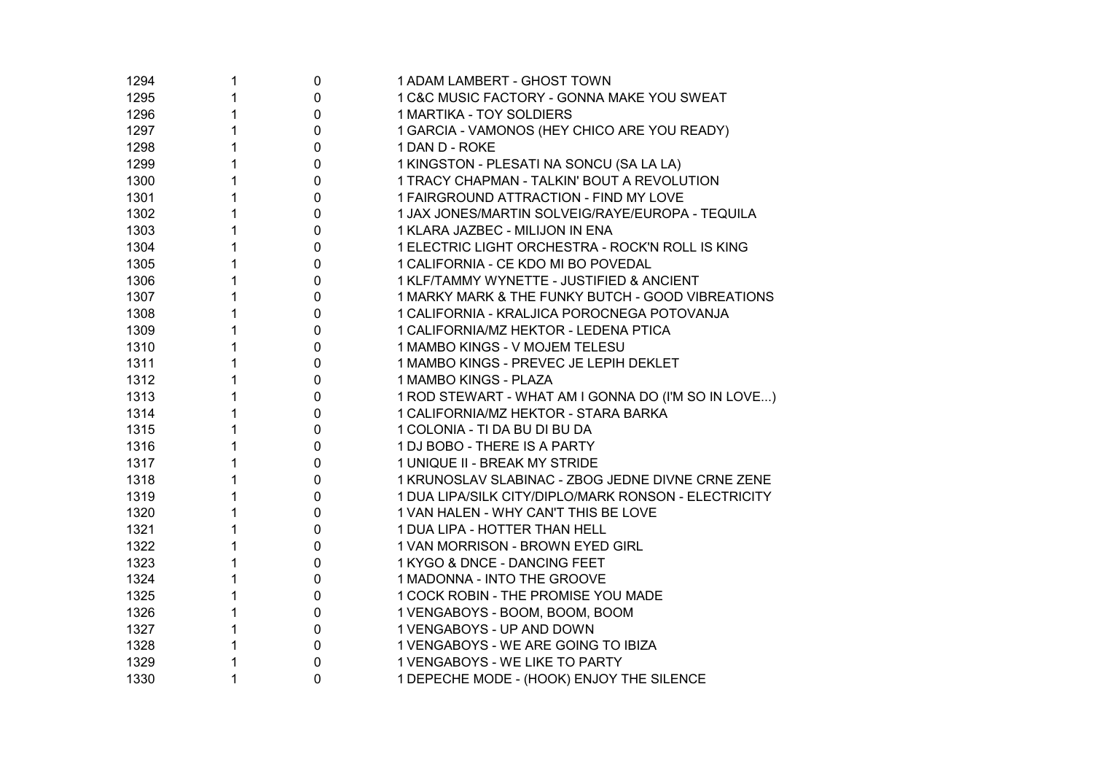| 1294 | 1 | 0           | 1 ADAM LAMBERT - GHOST TOWN                          |
|------|---|-------------|------------------------------------------------------|
| 1295 |   | $\pmb{0}$   | 1 C&C MUSIC FACTORY - GONNA MAKE YOU SWEAT           |
| 1296 |   | $\pmb{0}$   | 1 MARTIKA - TOY SOLDIERS                             |
| 1297 |   | $\pmb{0}$   | 1 GARCIA - VAMONOS (HEY CHICO ARE YOU READY)         |
| 1298 |   | $\pmb{0}$   | 1 DAN D - ROKE                                       |
| 1299 |   | $\pmb{0}$   | 1 KINGSTON - PLESATI NA SONCU (SA LA LA)             |
| 1300 |   | $\pmb{0}$   | 1 TRACY CHAPMAN - TALKIN' BOUT A REVOLUTION          |
| 1301 |   | $\pmb{0}$   | 1 FAIRGROUND ATTRACTION - FIND MY LOVE               |
| 1302 |   | $\pmb{0}$   | 1 JAX JONES/MARTIN SOLVEIG/RAYE/EUROPA - TEQUILA     |
| 1303 |   | $\pmb{0}$   | 1 KLARA JAZBEC - MILIJON IN ENA                      |
| 1304 |   | $\pmb{0}$   | 1 ELECTRIC LIGHT ORCHESTRA - ROCK'N ROLL IS KING     |
| 1305 |   | $\mathbf 0$ | 1 CALIFORNIA - CE KDO MI BO POVEDAL                  |
| 1306 |   | $\mathbf 0$ | 1 KLF/TAMMY WYNETTE - JUSTIFIED & ANCIENT            |
| 1307 |   | $\mathbf 0$ | 1 MARKY MARK & THE FUNKY BUTCH - GOOD VIBREATIONS    |
| 1308 |   | $\mathbf 0$ | 1 CALIFORNIA - KRALJICA POROCNEGA POTOVANJA          |
| 1309 |   | $\pmb{0}$   | 1 CALIFORNIA/MZ HEKTOR - LEDENA PTICA                |
| 1310 |   | $\pmb{0}$   | 1 MAMBO KINGS - V MOJEM TELESU                       |
| 1311 |   | $\pmb{0}$   | 1 MAMBO KINGS - PREVEC JE LEPIH DEKLET               |
| 1312 |   | $\pmb{0}$   | 1 MAMBO KINGS - PLAZA                                |
| 1313 |   | $\pmb{0}$   | 1 ROD STEWART - WHAT AM I GONNA DO (I'M SO IN LOVE)  |
| 1314 |   | 0           | 1 CALIFORNIA/MZ HEKTOR - STARA BARKA                 |
| 1315 |   | $\pmb{0}$   | 1 COLONIA - TI DA BU DI BU DA                        |
| 1316 |   | $\pmb{0}$   | 1 DJ BOBO - THERE IS A PARTY                         |
| 1317 |   | $\pmb{0}$   | 1 UNIQUE II - BREAK MY STRIDE                        |
| 1318 |   | $\pmb{0}$   | 1 KRUNOSLAV SLABINAC - ZBOG JEDNE DIVNE CRNE ZENE    |
| 1319 |   | $\pmb{0}$   | 1 DUA LIPA/SILK CITY/DIPLO/MARK RONSON - ELECTRICITY |
| 1320 |   | $\pmb{0}$   | 1 VAN HALEN - WHY CAN'T THIS BE LOVE                 |
| 1321 |   | 0           | 1 DUA LIPA - HOTTER THAN HELL                        |
| 1322 |   | $\pmb{0}$   | 1 VAN MORRISON - BROWN EYED GIRL                     |
| 1323 |   | $\mathbf 0$ | 1 KYGO & DNCE - DANCING FEET                         |
| 1324 |   | 0           | 1 MADONNA - INTO THE GROOVE                          |
| 1325 |   | $\pmb{0}$   | 1 COCK ROBIN - THE PROMISE YOU MADE                  |
| 1326 |   | $\pmb{0}$   | 1 VENGABOYS - BOOM, BOOM, BOOM                       |
| 1327 |   | $\pmb{0}$   | 1 VENGABOYS - UP AND DOWN                            |
| 1328 |   | $\pmb{0}$   | 1 VENGABOYS - WE ARE GOING TO IBIZA                  |
| 1329 |   | $\pmb{0}$   | 1 VENGABOYS - WE LIKE TO PARTY                       |
| 1330 | 1 | $\mathbf 0$ | 1 DEPECHE MODE - (HOOK) ENJOY THE SILENCE            |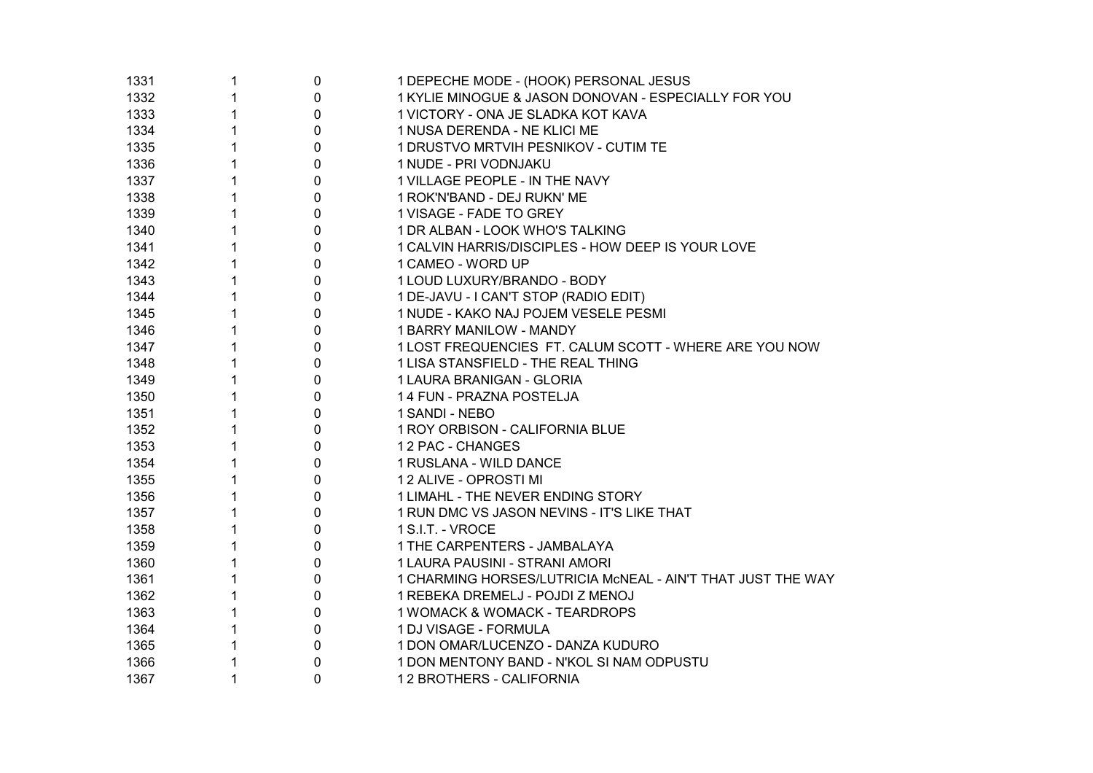| 1331 | 1            | 0 | 1 DEPECHE MODE - (HOOK) PERSONAL JESUS                      |
|------|--------------|---|-------------------------------------------------------------|
| 1332 | 1            | 0 | 1 KYLIE MINOGUE & JASON DONOVAN - ESPECIALLY FOR YOU        |
| 1333 | 1            | 0 | 1 VICTORY - ONA JE SLADKA KOT KAVA                          |
| 1334 | 1            | 0 | 1 NUSA DERENDA - NE KLICI ME                                |
| 1335 | 1            | 0 | 1 DRUSTVO MRTVIH PESNIKOV - CUTIM TE                        |
| 1336 | 1            | 0 | 1 NUDE - PRI VODNJAKU                                       |
| 1337 | 1            | 0 | 1 VILLAGE PEOPLE - IN THE NAVY                              |
| 1338 | 1            | 0 | 1 ROK'N'BAND - DEJ RUKN' ME                                 |
| 1339 | 1            | 0 | 1 VISAGE - FADE TO GREY                                     |
| 1340 | $\mathbf{1}$ | 0 | 1 DR ALBAN - LOOK WHO'S TALKING                             |
| 1341 | 1            | 0 | 1 CALVIN HARRIS/DISCIPLES - HOW DEEP IS YOUR LOVE           |
| 1342 | 1            | 0 | 1 CAMEO - WORD UP                                           |
| 1343 | 1            | 0 | 1 LOUD LUXURY/BRANDO - BODY                                 |
| 1344 | 1            | 0 | 1 DE-JAVU - I CAN'T STOP (RADIO EDIT)                       |
| 1345 | 1            | 0 | 1 NUDE - KAKO NAJ POJEM VESELE PESMI                        |
| 1346 | 1            | 0 | 1 BARRY MANILOW - MANDY                                     |
| 1347 | 1            | 0 | 1 LOST FREQUENCIES FT. CALUM SCOTT - WHERE ARE YOU NOW      |
| 1348 | 1            | 0 | 1 LISA STANSFIELD - THE REAL THING                          |
| 1349 | 1            | 0 | 1 LAURA BRANIGAN - GLORIA                                   |
| 1350 | 1            | 0 | 14 FUN - PRAZNA POSTELJA                                    |
| 1351 | 1            | 0 | 1 SANDI - NEBO                                              |
| 1352 | 1            | 0 | 1 ROY ORBISON - CALIFORNIA BLUE                             |
| 1353 | 1            | 0 | 12 PAC - CHANGES                                            |
| 1354 | 1            | 0 | 1 RUSLANA - WILD DANCE                                      |
| 1355 | 1            | 0 | 12 ALIVE - OPROSTI MI                                       |
| 1356 | 1            | 0 | 1 LIMAHL - THE NEVER ENDING STORY                           |
| 1357 | 1            | 0 | 1 RUN DMC VS JASON NEVINS - IT'S LIKE THAT                  |
| 1358 | 1            | 0 | 1 S.I.T. - VROCE                                            |
| 1359 | 1            | 0 | 1 THE CARPENTERS - JAMBALAYA                                |
| 1360 | 1            | 0 | 1 LAURA PAUSINI - STRANI AMORI                              |
| 1361 | 1            | 0 | 1 CHARMING HORSES/LUTRICIA McNEAL - AIN'T THAT JUST THE WAY |
| 1362 | 1            | 0 | 1 REBEKA DREMELJ - POJDI Z MENOJ                            |
| 1363 | 1            | 0 | 1 WOMACK & WOMACK - TEARDROPS                               |
| 1364 | 1            | 0 | 1 DJ VISAGE - FORMULA                                       |
| 1365 | 1            | 0 | 1 DON OMAR/LUCENZO - DANZA KUDURO                           |
| 1366 |              | 0 | 1 DON MENTONY BAND - N'KOL SI NAM ODPUSTU                   |
| 1367 | 1            | 0 | 12 BROTHERS - CALIFORNIA                                    |